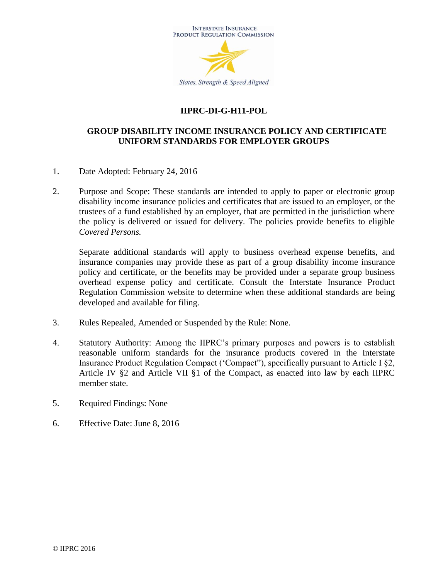

# **IIPRC-DI-G-H11-POL**

## **GROUP DISABILITY INCOME INSURANCE POLICY AND CERTIFICATE UNIFORM STANDARDS FOR EMPLOYER GROUPS**

- 1. Date Adopted: February 24, 2016
- 2. Purpose and Scope: These standards are intended to apply to paper or electronic group disability income insurance policies and certificates that are issued to an employer, or the trustees of a fund established by an employer, that are permitted in the jurisdiction where the policy is delivered or issued for delivery. The policies provide benefits to eligible *Covered Persons.*

Separate additional standards will apply to business overhead expense benefits, and insurance companies may provide these as part of a group disability income insurance policy and certificate, or the benefits may be provided under a separate group business overhead expense policy and certificate. Consult the Interstate Insurance Product Regulation Commission website to determine when these additional standards are being developed and available for filing.

- 3. Rules Repealed, Amended or Suspended by the Rule: None.
- 4. Statutory Authority: Among the IIPRC's primary purposes and powers is to establish reasonable uniform standards for the insurance products covered in the Interstate Insurance Product Regulation Compact ('Compact"), specifically pursuant to Article I §2, Article IV §2 and Article VII §1 of the Compact, as enacted into law by each IIPRC member state.
- 5. Required Findings: None
- 6. Effective Date: June 8, 2016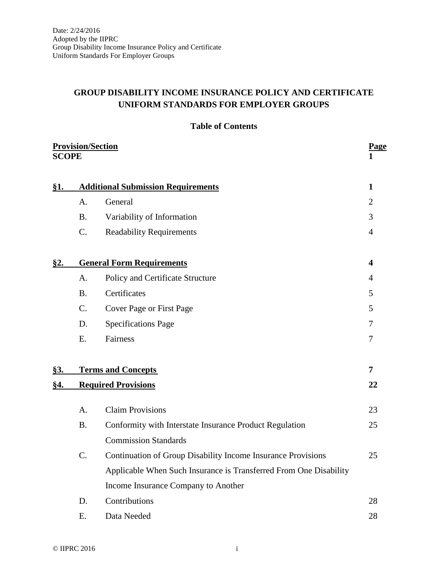# **GROUP DISABILITY INCOME INSURANCE POLICY AND CERTIFICATE UNIFORM STANDARDS FOR EMPLOYER GROUPS**

|  | <b>Table of Contents</b> |
|--|--------------------------|
|--|--------------------------|

|            | <b>Provision/Section</b><br><b>SCOPE</b> |                                                                   | <b>Page</b>    |  |
|------------|------------------------------------------|-------------------------------------------------------------------|----------------|--|
| §1.        |                                          | <b>Additional Submission Requirements</b>                         |                |  |
|            | A <sub>1</sub>                           | General                                                           | $\overline{2}$ |  |
|            | <b>B.</b>                                | Variability of Information                                        | 3              |  |
|            | $C_{\cdot}$                              | <b>Readability Requirements</b>                                   | $\overline{4}$ |  |
| <u>§2.</u> |                                          | <b>General Form Requirements</b>                                  | 4              |  |
|            | A.                                       | Policy and Certificate Structure                                  | 4              |  |
|            | B.                                       | Certificates                                                      | 5              |  |
|            | $C_{\cdot}$                              | Cover Page or First Page                                          | 5              |  |
|            | D.                                       | <b>Specifications Page</b>                                        | 7              |  |
|            | E.                                       | Fairness                                                          | 7              |  |
| <u>§3.</u> |                                          | <b>Terms and Concepts</b>                                         | $\overline{7}$ |  |
| <u>§4.</u> | <b>Required Provisions</b>               |                                                                   | 22             |  |
|            | A <sub>1</sub>                           | <b>Claim Provisions</b>                                           | 23             |  |
|            | <b>B.</b>                                | Conformity with Interstate Insurance Product Regulation           | 25             |  |
|            |                                          | <b>Commission Standards</b>                                       |                |  |
|            | C.                                       | Continuation of Group Disability Income Insurance Provisions      | 25             |  |
|            |                                          | Applicable When Such Insurance is Transferred From One Disability |                |  |
|            |                                          | Income Insurance Company to Another                               |                |  |
|            | D.                                       | Contributions                                                     | 28             |  |
|            | Ε.                                       | Data Needed                                                       | 28             |  |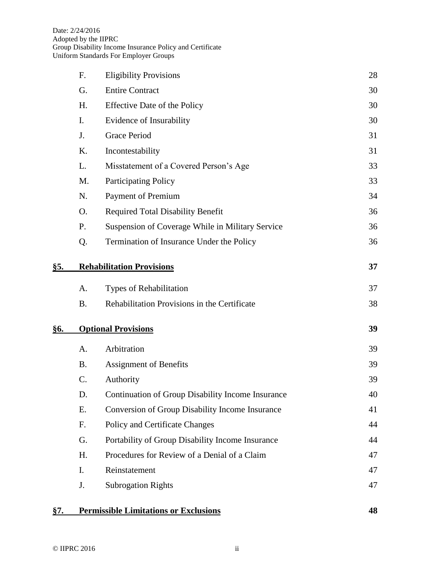|            | F.             | <b>Eligibility Provisions</b>                     | 28 |
|------------|----------------|---------------------------------------------------|----|
|            | G.             | <b>Entire Contract</b>                            | 30 |
|            | Η.             | <b>Effective Date of the Policy</b>               | 30 |
|            | $\mathbf{I}$ . | Evidence of Insurability                          | 30 |
|            | J.             | <b>Grace Period</b>                               | 31 |
|            | K.             | Incontestability                                  | 31 |
|            | L.             | Misstatement of a Covered Person's Age            | 33 |
|            | M.             | <b>Participating Policy</b>                       | 33 |
|            | N.             | <b>Payment of Premium</b>                         | 34 |
|            | O.             | <b>Required Total Disability Benefit</b>          | 36 |
|            | P.             | Suspension of Coverage While in Military Service  | 36 |
|            | Q.             | Termination of Insurance Under the Policy         | 36 |
| <u>§5.</u> |                | <b>Rehabilitation Provisions</b>                  | 37 |
|            | A.             | Types of Rehabilitation                           | 37 |
|            | <b>B.</b>      | Rehabilitation Provisions in the Certificate      | 38 |
| §6.        |                | <b>Optional Provisions</b>                        | 39 |
|            | A.             | Arbitration                                       | 39 |
|            | <b>B.</b>      | <b>Assignment of Benefits</b>                     | 39 |
|            | C.             | Authority                                         | 39 |
|            | D.             | Continuation of Group Disability Income Insurance | 40 |
|            | Ε.             | Conversion of Group Disability Income Insurance   | 41 |
|            | F.             | Policy and Certificate Changes                    | 44 |
|            | G.             | Portability of Group Disability Income Insurance  | 44 |
|            | Η.             | Procedures for Review of a Denial of a Claim      | 47 |
|            | I.             | Reinstatement                                     | 47 |
|            | J.             | <b>Subrogation Rights</b>                         | 47 |
|            |                |                                                   |    |

# **§7. Permissible Limitations or Exclusions 48**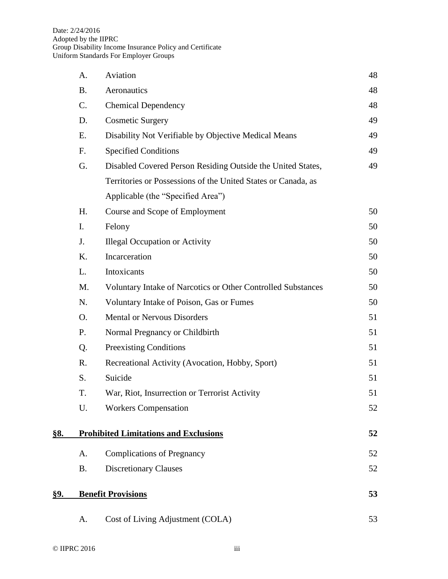|            | A.                                           | Cost of Living Adjustment (COLA)                              | 53       |
|------------|----------------------------------------------|---------------------------------------------------------------|----------|
| §9.        |                                              | <b>Benefit Provisions</b>                                     | 53       |
|            | <b>B.</b>                                    | <b>Discretionary Clauses</b>                                  | 52       |
|            | A.                                           | <b>Complications of Pregnancy</b>                             | 52       |
| <u>§8.</u> | <b>Prohibited Limitations and Exclusions</b> |                                                               | 52       |
|            | U.                                           | <b>Workers Compensation</b>                                   | 52       |
|            | T.                                           | War, Riot, Insurrection or Terrorist Activity                 | 51       |
|            | S.                                           | Suicide                                                       | 51       |
|            | R.                                           | Recreational Activity (Avocation, Hobby, Sport)               | 51       |
|            | Q.                                           | <b>Preexisting Conditions</b>                                 | 51       |
|            | P.                                           | Normal Pregnancy or Childbirth                                | 51       |
|            | O.                                           | <b>Mental or Nervous Disorders</b>                            | 51       |
|            | N.                                           | Voluntary Intake of Poison, Gas or Fumes                      | 50       |
|            | M.                                           | Voluntary Intake of Narcotics or Other Controlled Substances  | 50       |
|            | L.                                           | Intoxicants                                                   | 50       |
|            | K.                                           | Incarceration                                                 | 50       |
|            | J.                                           | <b>Illegal Occupation or Activity</b>                         | 50       |
|            | I.                                           | Felony                                                        | 50       |
|            | H.                                           | Course and Scope of Employment                                | 50       |
|            |                                              | Applicable (the "Specified Area")                             |          |
|            |                                              | Territories or Possessions of the United States or Canada, as |          |
|            | G.                                           | Disabled Covered Person Residing Outside the United States,   | 49       |
|            | F.                                           | <b>Specified Conditions</b>                                   | 49       |
|            | Ε.                                           | Disability Not Verifiable by Objective Medical Means          | 49       |
|            | D.                                           | <b>Chemical Dependency</b><br><b>Cosmetic Surgery</b>         | 49       |
|            | <b>B.</b><br>C.                              | Aeronautics                                                   | 48<br>48 |
|            | A.                                           | Aviation                                                      | 48       |
|            |                                              |                                                               |          |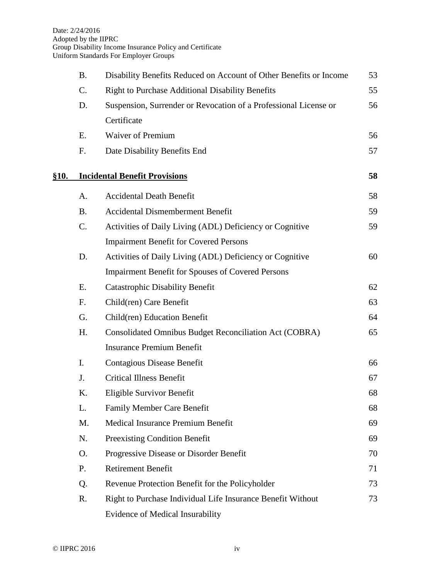|             | <b>B.</b>       | Disability Benefits Reduced on Account of Other Benefits or Income | 53 |
|-------------|-----------------|--------------------------------------------------------------------|----|
|             | C.              | <b>Right to Purchase Additional Disability Benefits</b>            | 55 |
|             | D.              | Suspension, Surrender or Revocation of a Professional License or   | 56 |
|             |                 | Certificate                                                        |    |
|             | E.              | <b>Waiver of Premium</b>                                           | 56 |
|             | F.              | Date Disability Benefits End                                       | 57 |
|             |                 |                                                                    |    |
| <b>§10.</b> |                 | <b>Incidental Benefit Provisions</b>                               | 58 |
|             | A.              | <b>Accidental Death Benefit</b>                                    | 58 |
|             | <b>B.</b>       | <b>Accidental Dismemberment Benefit</b>                            | 59 |
|             | $\mathcal{C}$ . | Activities of Daily Living (ADL) Deficiency or Cognitive           | 59 |
|             |                 | <b>Impairment Benefit for Covered Persons</b>                      |    |
|             | D.              | Activities of Daily Living (ADL) Deficiency or Cognitive           | 60 |
|             |                 | <b>Impairment Benefit for Spouses of Covered Persons</b>           |    |
|             | Ε.              | <b>Catastrophic Disability Benefit</b>                             | 62 |
|             | F.              | Child(ren) Care Benefit                                            | 63 |
|             | G.              | Child(ren) Education Benefit                                       | 64 |
|             | H.              | Consolidated Omnibus Budget Reconciliation Act (COBRA)             | 65 |
|             |                 | <b>Insurance Premium Benefit</b>                                   |    |
|             | I.              | <b>Contagious Disease Benefit</b>                                  | 66 |
|             | J.              | <b>Critical Illness Benefit</b>                                    | 67 |
|             | K.              | Eligible Survivor Benefit                                          | 68 |
|             | L.              | <b>Family Member Care Benefit</b>                                  | 68 |
|             | M.              | Medical Insurance Premium Benefit                                  | 69 |
|             | N.              | Preexisting Condition Benefit                                      | 69 |
|             | O.              | Progressive Disease or Disorder Benefit                            | 70 |
|             | P.              | <b>Retirement Benefit</b>                                          | 71 |
|             | Q.              | Revenue Protection Benefit for the Policyholder                    | 73 |
|             | R.              | Right to Purchase Individual Life Insurance Benefit Without        | 73 |
|             |                 | Evidence of Medical Insurability                                   |    |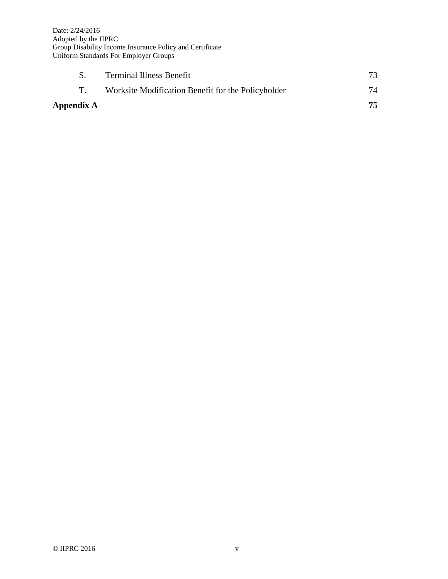| Appendix A |                                                    |     |
|------------|----------------------------------------------------|-----|
|            | Worksite Modification Benefit for the Policyholder | -74 |
|            | <b>Terminal Illness Benefit</b>                    |     |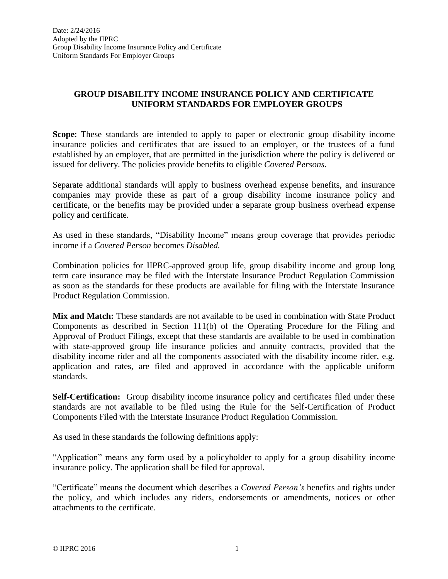## **GROUP DISABILITY INCOME INSURANCE POLICY AND CERTIFICATE UNIFORM STANDARDS FOR EMPLOYER GROUPS**

**Scope**: These standards are intended to apply to paper or electronic group disability income insurance policies and certificates that are issued to an employer, or the trustees of a fund established by an employer, that are permitted in the jurisdiction where the policy is delivered or issued for delivery. The policies provide benefits to eligible *Covered Persons*.

Separate additional standards will apply to business overhead expense benefits, and insurance companies may provide these as part of a group disability income insurance policy and certificate, or the benefits may be provided under a separate group business overhead expense policy and certificate.

As used in these standards, "Disability Income" means group coverage that provides periodic income if a *Covered Person* becomes *Disabled.*

Combination policies for IIPRC-approved group life, group disability income and group long term care insurance may be filed with the Interstate Insurance Product Regulation Commission as soon as the standards for these products are available for filing with the Interstate Insurance Product Regulation Commission.

**Mix and Match:** These standards are not available to be used in combination with State Product Components as described in Section 111(b) of the Operating Procedure for the Filing and Approval of Product Filings, except that these standards are available to be used in combination with state-approved group life insurance policies and annuity contracts, provided that the disability income rider and all the components associated with the disability income rider, e.g. application and rates, are filed and approved in accordance with the applicable uniform standards.

**Self-Certification:** Group disability income insurance policy and certificates filed under these standards are not available to be filed using the Rule for the Self-Certification of Product Components Filed with the Interstate Insurance Product Regulation Commission.

As used in these standards the following definitions apply:

"Application" means any form used by a policyholder to apply for a group disability income insurance policy. The application shall be filed for approval.

"Certificate" means the document which describes a *Covered Person's* benefits and rights under the policy, and which includes any riders, endorsements or amendments, notices or other attachments to the certificate.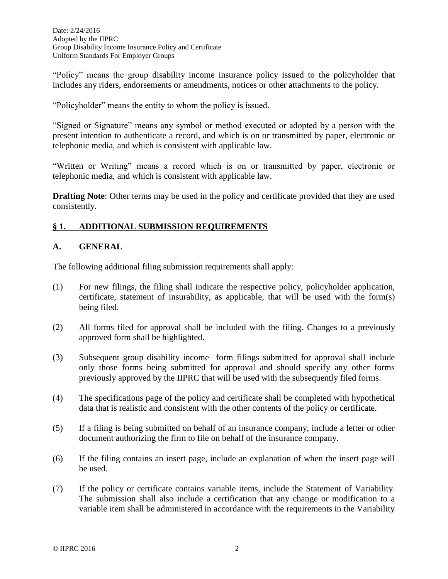"Policy" means the group disability income insurance policy issued to the policyholder that includes any riders, endorsements or amendments, notices or other attachments to the policy.

"Policyholder" means the entity to whom the policy is issued.

"Signed or Signature" means any symbol or method executed or adopted by a person with the present intention to authenticate a record, and which is on or transmitted by paper, electronic or telephonic media, and which is consistent with applicable law.

"Written or Writing" means a record which is on or transmitted by paper, electronic or telephonic media, and which is consistent with applicable law.

**Drafting Note:** Other terms may be used in the policy and certificate provided that they are used consistently.

## **§ 1. ADDITIONAL SUBMISSION REQUIREMENTS**

#### **A. GENERAL**

The following additional filing submission requirements shall apply:

- (1) For new filings, the filing shall indicate the respective policy, policyholder application, certificate, statement of insurability, as applicable, that will be used with the form(s) being filed.
- (2) All forms filed for approval shall be included with the filing. Changes to a previously approved form shall be highlighted.
- (3) Subsequent group disability income form filings submitted for approval shall include only those forms being submitted for approval and should specify any other forms previously approved by the IIPRC that will be used with the subsequently filed forms.
- (4) The specifications page of the policy and certificate shall be completed with hypothetical data that is realistic and consistent with the other contents of the policy or certificate.
- (5) If a filing is being submitted on behalf of an insurance company, include a letter or other document authorizing the firm to file on behalf of the insurance company.
- (6) If the filing contains an insert page, include an explanation of when the insert page will be used.
- (7) If the policy or certificate contains variable items, include the Statement of Variability. The submission shall also include a certification that any change or modification to a variable item shall be administered in accordance with the requirements in the Variability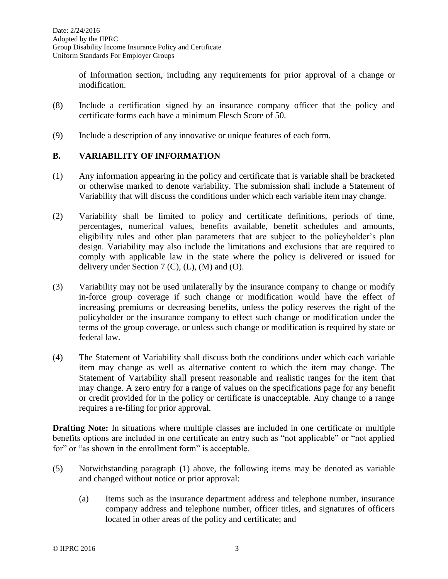of Information section, including any requirements for prior approval of a change or modification.

- (8) Include a certification signed by an insurance company officer that the policy and certificate forms each have a minimum Flesch Score of 50.
- (9) Include a description of any innovative or unique features of each form.

#### **B. VARIABILITY OF INFORMATION**

- (1) Any information appearing in the policy and certificate that is variable shall be bracketed or otherwise marked to denote variability. The submission shall include a Statement of Variability that will discuss the conditions under which each variable item may change.
- (2) Variability shall be limited to policy and certificate definitions, periods of time, percentages, numerical values, benefits available, benefit schedules and amounts, eligibility rules and other plan parameters that are subject to the policyholder's plan design. Variability may also include the limitations and exclusions that are required to comply with applicable law in the state where the policy is delivered or issued for delivery under Section  $7 (C)$ ,  $(L)$ ,  $(M)$  and  $(O)$ .
- (3) Variability may not be used unilaterally by the insurance company to change or modify in-force group coverage if such change or modification would have the effect of increasing premiums or decreasing benefits, unless the policy reserves the right of the policyholder or the insurance company to effect such change or modification under the terms of the group coverage, or unless such change or modification is required by state or federal law.
- (4) The Statement of Variability shall discuss both the conditions under which each variable item may change as well as alternative content to which the item may change. The Statement of Variability shall present reasonable and realistic ranges for the item that may change. A zero entry for a range of values on the specifications page for any benefit or credit provided for in the policy or certificate is unacceptable. Any change to a range requires a re-filing for prior approval.

**Drafting Note:** In situations where multiple classes are included in one certificate or multiple benefits options are included in one certificate an entry such as "not applicable" or "not applied for" or "as shown in the enrollment form" is acceptable.

- (5) Notwithstanding paragraph (1) above, the following items may be denoted as variable and changed without notice or prior approval:
	- (a) Items such as the insurance department address and telephone number, insurance company address and telephone number, officer titles, and signatures of officers located in other areas of the policy and certificate; and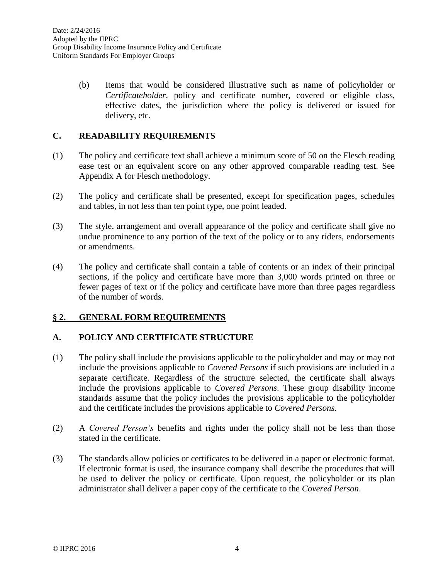(b) Items that would be considered illustrative such as name of policyholder or *Certificateholder,* policy and certificate number, covered or eligible class, effective dates, the jurisdiction where the policy is delivered or issued for delivery, etc.

#### **C. READABILITY REQUIREMENTS**

- (1) The policy and certificate text shall achieve a minimum score of 50 on the Flesch reading ease test or an equivalent score on any other approved comparable reading test. See Appendix A for Flesch methodology.
- (2) The policy and certificate shall be presented, except for specification pages, schedules and tables, in not less than ten point type, one point leaded.
- (3) The style, arrangement and overall appearance of the policy and certificate shall give no undue prominence to any portion of the text of the policy or to any riders, endorsements or amendments.
- (4) The policy and certificate shall contain a table of contents or an index of their principal sections, if the policy and certificate have more than 3,000 words printed on three or fewer pages of text or if the policy and certificate have more than three pages regardless of the number of words.

## **§ 2. GENERAL FORM REQUIREMENTS**

## **A. POLICY AND CERTIFICATE STRUCTURE**

- (1) The policy shall include the provisions applicable to the policyholder and may or may not include the provisions applicable to *Covered Persons* if such provisions are included in a separate certificate. Regardless of the structure selected, the certificate shall always include the provisions applicable to *Covered Persons*. These group disability income standards assume that the policy includes the provisions applicable to the policyholder and the certificate includes the provisions applicable to *Covered Persons*.
- (2) A *Covered Person's* benefits and rights under the policy shall not be less than those stated in the certificate.
- (3) The standards allow policies or certificates to be delivered in a paper or electronic format. If electronic format is used, the insurance company shall describe the procedures that will be used to deliver the policy or certificate. Upon request, the policyholder or its plan administrator shall deliver a paper copy of the certificate to the *Covered Person*.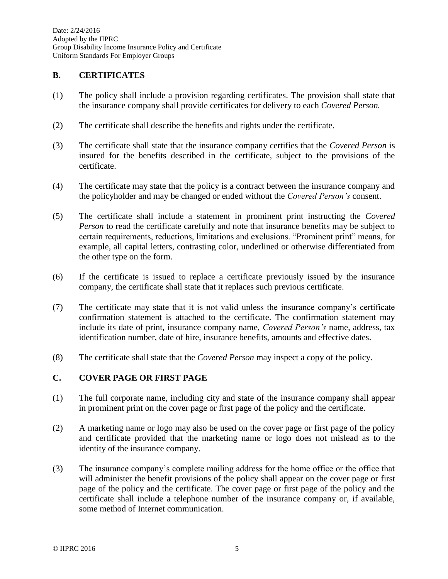#### **B. CERTIFICATES**

- (1) The policy shall include a provision regarding certificates. The provision shall state that the insurance company shall provide certificates for delivery to each *Covered Person.*
- (2) The certificate shall describe the benefits and rights under the certificate.
- (3) The certificate shall state that the insurance company certifies that the *Covered Person* is insured for the benefits described in the certificate, subject to the provisions of the certificate.
- (4) The certificate may state that the policy is a contract between the insurance company and the policyholder and may be changed or ended without the *Covered Person's* consent.
- (5) The certificate shall include a statement in prominent print instructing the *Covered Person* to read the certificate carefully and note that insurance benefits may be subject to certain requirements, reductions, limitations and exclusions. "Prominent print" means, for example, all capital letters, contrasting color, underlined or otherwise differentiated from the other type on the form.
- (6) If the certificate is issued to replace a certificate previously issued by the insurance company, the certificate shall state that it replaces such previous certificate.
- (7) The certificate may state that it is not valid unless the insurance company's certificate confirmation statement is attached to the certificate. The confirmation statement may include its date of print, insurance company name, *Covered Person's* name, address, tax identification number, date of hire, insurance benefits, amounts and effective dates.
- (8) The certificate shall state that the *Covered Person* may inspect a copy of the policy.

#### **C. COVER PAGE OR FIRST PAGE**

- (1) The full corporate name, including city and state of the insurance company shall appear in prominent print on the cover page or first page of the policy and the certificate.
- (2) A marketing name or logo may also be used on the cover page or first page of the policy and certificate provided that the marketing name or logo does not mislead as to the identity of the insurance company.
- (3) The insurance company's complete mailing address for the home office or the office that will administer the benefit provisions of the policy shall appear on the cover page or first page of the policy and the certificate. The cover page or first page of the policy and the certificate shall include a telephone number of the insurance company or, if available, some method of Internet communication.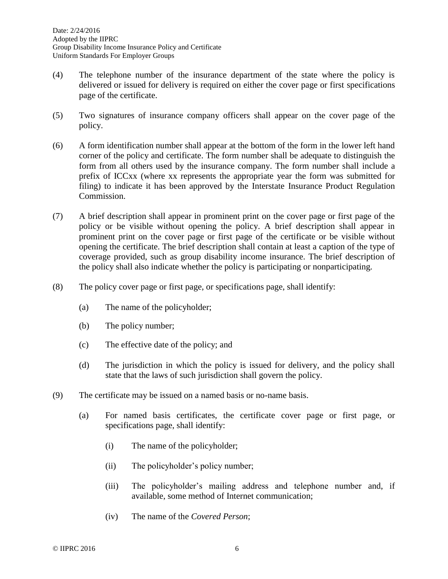- (4) The telephone number of the insurance department of the state where the policy is delivered or issued for delivery is required on either the cover page or first specifications page of the certificate.
- (5) Two signatures of insurance company officers shall appear on the cover page of the policy.
- (6) A form identification number shall appear at the bottom of the form in the lower left hand corner of the policy and certificate. The form number shall be adequate to distinguish the form from all others used by the insurance company. The form number shall include a prefix of ICCxx (where xx represents the appropriate year the form was submitted for filing) to indicate it has been approved by the Interstate Insurance Product Regulation Commission.
- (7) A brief description shall appear in prominent print on the cover page or first page of the policy or be visible without opening the policy. A brief description shall appear in prominent print on the cover page or first page of the certificate or be visible without opening the certificate. The brief description shall contain at least a caption of the type of coverage provided, such as group disability income insurance. The brief description of the policy shall also indicate whether the policy is participating or nonparticipating.
- (8) The policy cover page or first page, or specifications page, shall identify:
	- (a) The name of the policyholder;
	- (b) The policy number;
	- (c) The effective date of the policy; and
	- (d) The jurisdiction in which the policy is issued for delivery, and the policy shall state that the laws of such jurisdiction shall govern the policy.
- (9) The certificate may be issued on a named basis or no-name basis.
	- (a) For named basis certificates, the certificate cover page or first page, or specifications page, shall identify:
		- (i) The name of the policyholder;
		- (ii) The policyholder's policy number;
		- (iii) The policyholder's mailing address and telephone number and, if available, some method of Internet communication;
		- (iv) The name of the *Covered Person*;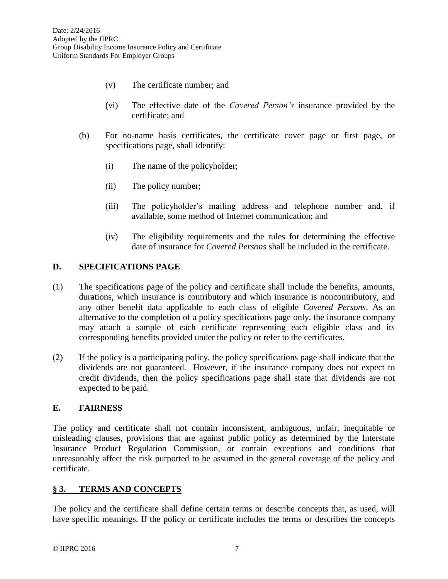- (v) The certificate number; and
- (vi) The effective date of the *Covered Person's* insurance provided by the certificate; and
- (b) For no-name basis certificates, the certificate cover page or first page, or specifications page, shall identify:
	- (i) The name of the policyholder;
	- (ii) The policy number;
	- (iii) The policyholder's mailing address and telephone number and, if available, some method of Internet communication; and
	- (iv) The eligibility requirements and the rules for determining the effective date of insurance for *Covered Persons* shall be included in the certificate.

#### **D. SPECIFICATIONS PAGE**

- (1) The specifications page of the policy and certificate shall include the benefits, amounts, durations, which insurance is contributory and which insurance is noncontributory, and any other benefit data applicable to each class of eligible *Covered Persons*. As an alternative to the completion of a policy specifications page only, the insurance company may attach a sample of each certificate representing each eligible class and its corresponding benefits provided under the policy or refer to the certificates.
- (2) If the policy is a participating policy, the policy specifications page shall indicate that the dividends are not guaranteed. However, if the insurance company does not expect to credit dividends, then the policy specifications page shall state that dividends are not expected to be paid.

#### **E. FAIRNESS**

The policy and certificate shall not contain inconsistent, ambiguous, unfair, inequitable or misleading clauses, provisions that are against public policy as determined by the Interstate Insurance Product Regulation Commission, or contain exceptions and conditions that unreasonably affect the risk purported to be assumed in the general coverage of the policy and certificate.

## **§ 3. TERMS AND CONCEPTS**

The policy and the certificate shall define certain terms or describe concepts that, as used, will have specific meanings. If the policy or certificate includes the terms or describes the concepts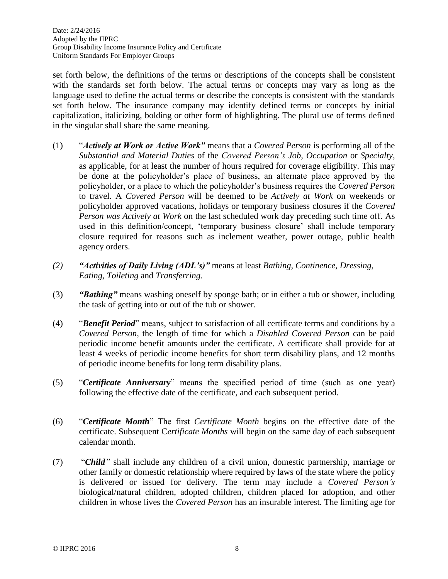set forth below, the definitions of the terms or descriptions of the concepts shall be consistent with the standards set forth below. The actual terms or concepts may vary as long as the language used to define the actual terms or describe the concepts is consistent with the standards set forth below. The insurance company may identify defined terms or concepts by initial capitalization, italicizing, bolding or other form of highlighting. The plural use of terms defined in the singular shall share the same meaning.

- (1) "*Actively at Work or Active Work"* means that a *Covered Person* is performing all of the *Substantial and Material Duties* of the *Covered Person's Job, Occupation* or *Specialty*, as applicable, for at least the number of hours required for coverage eligibility. This may be done at the policyholder's place of business, an alternate place approved by the policyholder, or a place to which the policyholder's business requires the *Covered Person* to travel. A *Covered Person* will be deemed to be *Actively at Work* on weekends or policyholder approved vacations, holidays or temporary business closures if the *Covered Person was Actively at Work* on the last scheduled work day preceding such time off. As used in this definition/concept, 'temporary business closure' shall include temporary closure required for reasons such as inclement weather, power outage, public health agency orders.
- *(2) "Activities of Daily Living (ADL's)"* means at least *Bathing, Continence, Dressing, Eating, Toileting* and *Transferring.*
- (3) *"Bathing"* means washing oneself by sponge bath; or in either a tub or shower, including the task of getting into or out of the tub or shower.
- (4) "*Benefit Period*" means, subject to satisfaction of all certificate terms and conditions by a *Covered Person*, the length of time for which a *Disabled Covered Person* can be paid periodic income benefit amounts under the certificate. A certificate shall provide for at least 4 weeks of periodic income benefits for short term disability plans, and 12 months of periodic income benefits for long term disability plans.
- (5) "*Certificate Anniversary*" means the specified period of time (such as one year) following the effective date of the certificate, and each subsequent period.
- (6) "*Certificate Month*" The first *Certificate Month* begins on the effective date of the certificate. Subsequent C*ertificate Months* will begin on the same day of each subsequent calendar month.
- (7) "*Child"* shall include any children of a civil union, domestic partnership, marriage or other family or domestic relationship where required by laws of the state where the policy is delivered or issued for delivery. The term may include a *Covered Person's* biological/natural children, adopted children, children placed for adoption, and other children in whose lives the *Covered Person* has an insurable interest. The limiting age for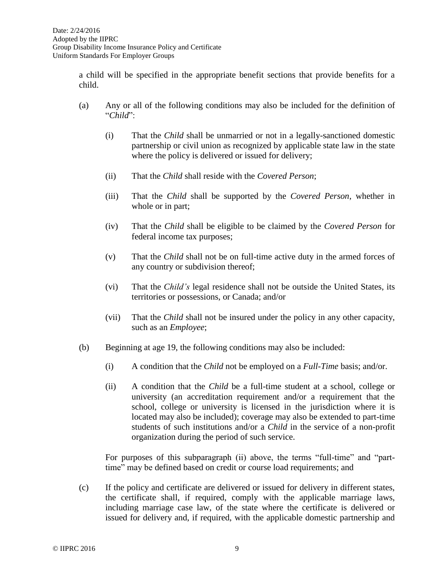a child will be specified in the appropriate benefit sections that provide benefits for a child.

- (a) Any or all of the following conditions may also be included for the definition of "*Child*":
	- (i) That the *Child* shall be unmarried or not in a legally-sanctioned domestic partnership or civil union as recognized by applicable state law in the state where the policy is delivered or issued for delivery;
	- (ii) That the *Child* shall reside with the *Covered Person*;
	- (iii) That the *Child* shall be supported by the *Covered Person*, whether in whole or in part;
	- (iv) That the *Child* shall be eligible to be claimed by the *Covered Person* for federal income tax purposes;
	- (v) That the *Child* shall not be on full-time active duty in the armed forces of any country or subdivision thereof;
	- (vi) That the *Child's* legal residence shall not be outside the United States, its territories or possessions, or Canada; and/or
	- (vii) That the *Child* shall not be insured under the policy in any other capacity, such as an *Employee*;
- (b) Beginning at age 19, the following conditions may also be included:
	- (i) A condition that the *Child* not be employed on a *Full-Time* basis; and/or.
	- (ii) A condition that the *Child* be a full-time student at a school, college or university (an accreditation requirement and/or a requirement that the school, college or university is licensed in the jurisdiction where it is located may also be included); coverage may also be extended to part-time students of such institutions and/or a *Child* in the service of a non-profit organization during the period of such service.

For purposes of this subparagraph (ii) above, the terms "full-time" and "parttime" may be defined based on credit or course load requirements; and

(c) If the policy and certificate are delivered or issued for delivery in different states, the certificate shall, if required, comply with the applicable marriage laws, including marriage case law, of the state where the certificate is delivered or issued for delivery and, if required, with the applicable domestic partnership and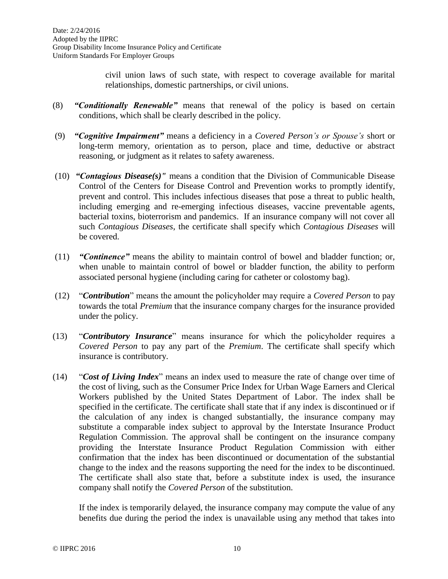civil union laws of such state, with respect to coverage available for marital relationships, domestic partnerships, or civil unions.

- (8) *"Conditionally Renewable"* means that renewal of the policy is based on certain conditions, which shall be clearly described in the policy.
- (9) *"Cognitive Impairment"* means a deficiency in a *Covered Person's or Spouse's* short or long-term memory, orientation as to person, place and time, deductive or abstract reasoning, or judgment as it relates to safety awareness.
- (10) *"Contagious Disease(s)"* means a condition that the Division of Communicable Disease Control of the Centers for Disease Control and Prevention works to promptly identify, prevent and control. This includes infectious diseases that pose a threat to public health, including emerging and re-emerging infectious diseases, vaccine preventable agents, bacterial toxins, bioterrorism and pandemics. If an insurance company will not cover all such *Contagious Diseases*, the certificate shall specify which *Contagious Diseases* will be covered.
- (11) *"Continence"* means the ability to maintain control of bowel and bladder function; or, when unable to maintain control of bowel or bladder function, the ability to perform associated personal hygiene (including caring for catheter or colostomy bag).
- (12) "*Contribution*" means the amount the policyholder may require a *Covered Person* to pay towards the total *Premium* that the insurance company charges for the insurance provided under the policy.
- (13) "*Contributory Insurance*" means insurance for which the policyholder requires a *Covered Person* to pay any part of the *Premium*. The certificate shall specify which insurance is contributory.
- (14) "*Cost of Living Index*" means an index used to measure the rate of change over time of the cost of living, such as the Consumer Price Index for Urban Wage Earners and Clerical Workers published by the United States Department of Labor. The index shall be specified in the certificate. The certificate shall state that if any index is discontinued or if the calculation of any index is changed substantially, the insurance company may substitute a comparable index subject to approval by the Interstate Insurance Product Regulation Commission. The approval shall be contingent on the insurance company providing the Interstate Insurance Product Regulation Commission with either confirmation that the index has been discontinued or documentation of the substantial change to the index and the reasons supporting the need for the index to be discontinued. The certificate shall also state that, before a substitute index is used, the insurance company shall notify the *Covered Person* of the substitution.

If the index is temporarily delayed, the insurance company may compute the value of any benefits due during the period the index is unavailable using any method that takes into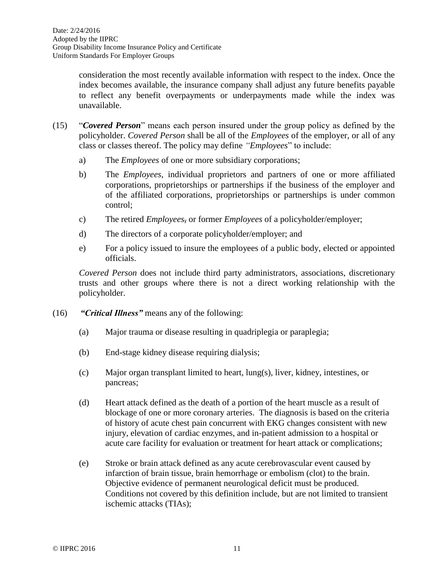consideration the most recently available information with respect to the index. Once the index becomes available, the insurance company shall adjust any future benefits payable to reflect any benefit overpayments or underpayments made while the index was unavailable.

- (15) "*Covered Person*" means each person insured under the group policy as defined by the policyholder. *Covered Person* shall be all of the *Employees* of the employer, or all of any class or classes thereof. The policy may define *"Employees*" to include:
	- a) The *Employees* of one or more subsidiary corporations;
	- b) The *Employees*, individual proprietors and partners of one or more affiliated corporations, proprietorships or partnerships if the business of the employer and of the affiliated corporations, proprietorships or partnerships is under common control;
	- c) The retired *Employees*, or former *Employees* of a policyholder/employer;
	- d) The directors of a corporate policyholder/employer; and
	- e) For a policy issued to insure the employees of a public body, elected or appointed officials.

*Covered Person* does not include third party administrators, associations, discretionary trusts and other groups where there is not a direct working relationship with the policyholder.

- (16) *"Critical Illness"* means any of the following:
	- (a) Major trauma or disease resulting in quadriplegia or paraplegia;
	- (b) End-stage kidney disease requiring dialysis;
	- (c) Major organ transplant limited to heart, lung(s), liver, kidney, intestines, or pancreas;
	- (d) Heart attack defined as the death of a portion of the heart muscle as a result of blockage of one or more coronary arteries. The diagnosis is based on the criteria of history of acute chest pain concurrent with EKG changes consistent with new injury, elevation of cardiac enzymes, and in-patient admission to a hospital or acute care facility for evaluation or treatment for heart attack or complications;
	- (e) Stroke or brain attack defined as any acute cerebrovascular event caused by infarction of brain tissue, brain hemorrhage or embolism (clot) to the brain. Objective evidence of permanent neurological deficit must be produced. Conditions not covered by this definition include, but are not limited to transient ischemic attacks (TIAs);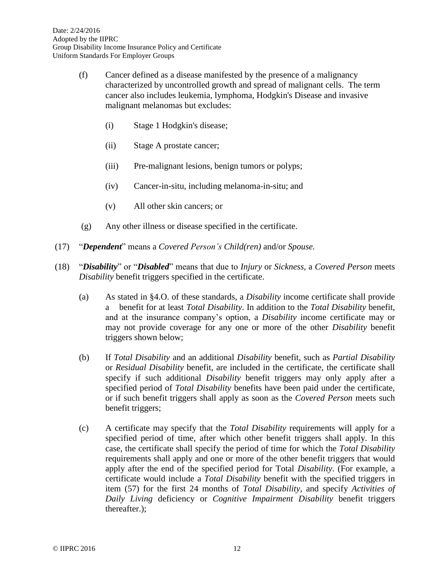- (f) Cancer defined as a disease manifested by the presence of a malignancy characterized by uncontrolled growth and spread of malignant cells. The term cancer also includes leukemia, lymphoma, Hodgkin's Disease and invasive malignant melanomas but excludes:
	- (i) Stage 1 Hodgkin's disease;
	- (ii) Stage A prostate cancer;
	- (iii) Pre-malignant lesions, benign tumors or polyps;
	- (iv) Cancer-in-situ, including melanoma-in-situ; and
	- (v) All other skin cancers; or
- (g) Any other illness or disease specified in the certificate.
- (17) "*Dependent*" means a *Covered Person's Child(ren)* and/or *Spouse.*
- (18) "*Disability*" or "*Disabled*" means that due to *Injury* or *Sickness*, a *Covered Person* meets *Disability* benefit triggers specified in the certificate.
	- (a) As stated in §4.O. of these standards, a *Disability* income certificate shall provide a benefit for at least *Total Disability*. In addition to the *Total Disability* benefit, and at the insurance company's option, a *Disability* income certificate may or may not provide coverage for any one or more of the other *Disability* benefit triggers shown below;
	- (b) If *Total Disability* and an additional *Disability* benefit, such as *Partial Disability* or *Residual Disability* benefit, are included in the certificate, the certificate shall specify if such additional *Disability* benefit triggers may only apply after a specified period of *Total Disability* benefits have been paid under the certificate, or if such benefit triggers shall apply as soon as the *Covered Person* meets such benefit triggers;
	- (c) A certificate may specify that the *Total Disability* requirements will apply for a specified period of time, after which other benefit triggers shall apply. In this case, the certificate shall specify the period of time for which the *Total Disability* requirements shall apply and one or more of the other benefit triggers that would apply after the end of the specified period for Total *Disability*. (For example, a certificate would include a *Total Disability* benefit with the specified triggers in item (57) for the first 24 months of *Total Disability*, and specify *Activities of Daily Living* deficiency or *Cognitive Impairment Disability* benefit triggers thereafter.);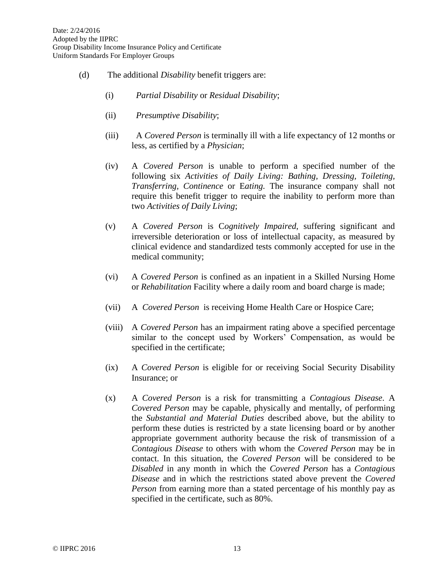- (d) The additional *Disability* benefit triggers are:
	- (i) *Partial Disability* or *Residual Disability*;
	- (ii) *Presumptive Disability*;
	- (iii) A *Covered Person* is terminally ill with a life expectancy of 12 months or less, as certified by a *Physician*;
	- (iv) A *Covered Person* is unable to perform a specified number of the following six *Activities of Daily Living: Bathing, Dressing, Toileting, Transferring, Continence* or E*ating.* The insurance company shall not require this benefit trigger to require the inability to perform more than two *Activities of Daily Living*;
	- (v) A *Covered Person* is C*ognitively Impaired*, suffering significant and irreversible deterioration or loss of intellectual capacity, as measured by clinical evidence and standardized tests commonly accepted for use in the medical community;
	- (vi) A *Covered Person* is confined as an inpatient in a Skilled Nursing Home or *Rehabilitation* Facility where a daily room and board charge is made;
	- (vii) A *Covered Person* is receiving Home Health Care or Hospice Care;
	- (viii) A *Covered Person* has an impairment rating above a specified percentage similar to the concept used by Workers' Compensation, as would be specified in the certificate;
	- (ix) A *Covered Person* is eligible for or receiving Social Security Disability Insurance; or
	- (x) A *Covered Person* is a risk for transmitting a *Contagious Disease*. A *Covered Person* may be capable, physically and mentally, of performing the *Substantial and Material Duties* described above, but the ability to perform these duties is restricted by a state licensing board or by another appropriate government authority because the risk of transmission of a *Contagious Disease* to others with whom the *Covered Person* may be in contact. In this situation, the *Covered Person* will be considered to be *Disabled* in any month in which the *Covered Person* has a *Contagious Disease* and in which the restrictions stated above prevent the *Covered Person* from earning more than a stated percentage of his monthly pay as specified in the certificate, such as 80%.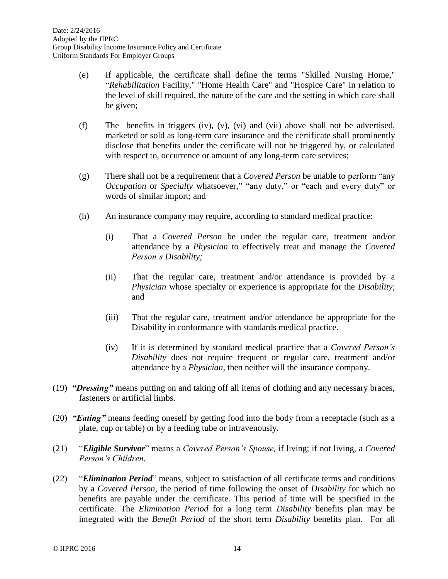- (e) If applicable, the certificate shall define the terms "Skilled Nursing Home," "*Rehabilitation* Facility," "Home Health Care" and "Hospice Care" in relation to the level of skill required, the nature of the care and the setting in which care shall be given;
- (f) The benefits in triggers (iv), (v), (vi) and (vii) above shall not be advertised, marketed or sold as long-term care insurance and the certificate shall prominently disclose that benefits under the certificate will not be triggered by, or calculated with respect to, occurrence or amount of any long-term care services;
- (g) There shall not be a requirement that a *Covered Person* be unable to perform "any *Occupation* or *Specialty* whatsoever," "any duty," or "each and every duty" or words of similar import; and
- (h) An insurance company may require, according to standard medical practice:
	- (i) That a *Covered Person* be under the regular care, treatment and/or attendance by a *Physician* to effectively treat and manage the *Covered Person's Disability;*
	- (ii) That the regular care, treatment and/or attendance is provided by a *Physician* whose specialty or experience is appropriate for the *Disability*; and
	- (iii) That the regular care, treatment and/or attendance be appropriate for the Disability in conformance with standards medical practice.
	- (iv) If it is determined by standard medical practice that a *Covered Person's Disability* does not require frequent or regular care, treatment and/or attendance by a *Physician,* then neither will the insurance company.
- (19) *"Dressing"* means putting on and taking off all items of clothing and any necessary braces, fasteners or artificial limbs.
- (20) *"Eating"* means feeding oneself by getting food into the body from a receptacle (such as a plate, cup or table) or by a feeding tube or intravenously.
- (21) "*Eligible Survivor*" means a *Covered Person's Spouse,* if living; if not living, a *Covered Person's Children.*
- (22) "*Elimination Period*" means, subject to satisfaction of all certificate terms and conditions by a *Covered Person,* the period of time following the onset of *Disability* for which no benefits are payable under the certificate. This period of time will be specified in the certificate. The *Elimination Period* for a long term *Disability* benefits plan may be integrated with the *Benefit Period* of the short term *Disability* benefits plan*.* For all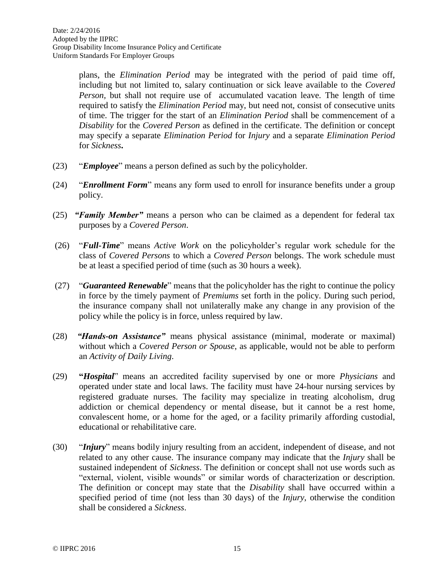plans, the *Elimination Period* may be integrated with the period of paid time off, including but not limited to, salary continuation or sick leave available to the *Covered Person,* but shall not require use of accumulated vacation leave*.* The length of time required to satisfy the *Elimination Period* may, but need not, consist of consecutive units of time. The trigger for the start of an *Elimination Period* shall be commencement of a *Disability* for the *Covered Person* as defined in the certificate. The definition or concept may specify a separate *Elimination Period* for *Injury* and a separate *Elimination Period* for *Sickness***.**

- (23) "*Employee*" means a person defined as such by the policyholder.
- (24) "*Enrollment Form*" means any form used to enroll for insurance benefits under a group policy.
- (25) *"Family Member"* means a person who can be claimed as a dependent for federal tax purposes by a *Covered Person*.
- (26) "*Full-Time*" means *Active Work* on the policyholder's regular work schedule for the class of *Covered Persons* to which a *Covered Person* belongs. The work schedule must be at least a specified period of time (such as 30 hours a week).
- (27) "*Guaranteed Renewable*" means that the policyholder has the right to continue the policy in force by the timely payment of *Premiums* set forth in the policy. During such period, the insurance company shall not unilaterally make any change in any provision of the policy while the policy is in force, unless required by law.
- (28) *"Hands-on Assistance"* means physical assistance (minimal, moderate or maximal) without which a *Covered Person or Spouse*, as applicable, would not be able to perform an *Activity of Daily Living*.
- (29) **"***Hospital*" means an accredited facility supervised by one or more *Physicians* and operated under state and local laws. The facility must have 24-hour nursing services by registered graduate nurses. The facility may specialize in treating alcoholism, drug addiction or chemical dependency or mental disease, but it cannot be a rest home, convalescent home, or a home for the aged, or a facility primarily affording custodial, educational or rehabilitative care.
- (30) "*Injury*" means bodily injury resulting from an accident, independent of disease, and not related to any other cause. The insurance company may indicate that the *Injury* shall be sustained independent of *Sickness*. The definition or concept shall not use words such as "external, violent, visible wounds" or similar words of characterization or description. The definition or concept may state that the *Disability* shall have occurred within a specified period of time (not less than 30 days) of the *Injury*, otherwise the condition shall be considered a *Sickness*.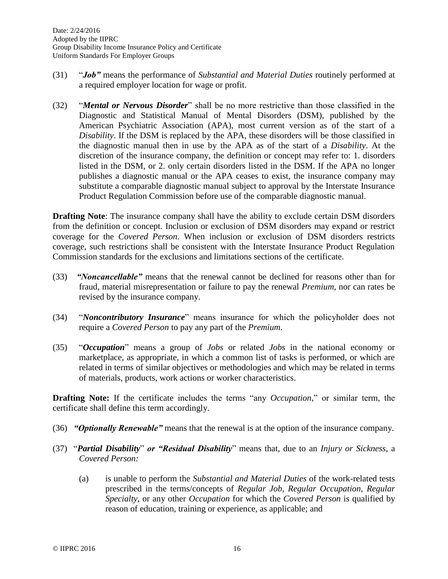- (31) "*Job"* means the performance of *Substantial and Material Duties* routinely performed at a required employer location for wage or profit.
- (32) "*Mental or Nervous Disorder*" shall be no more restrictive than those classified in the Diagnostic and Statistical Manual of Mental Disorders (DSM), published by the American Psychiatric Association (APA), most current version as of the start of a *Disability*. If the DSM is replaced by the APA, these disorders will be those classified in the diagnostic manual then in use by the APA as of the start of a *Disability*. At the discretion of the insurance company, the definition or concept may refer to: 1. disorders listed in the DSM, or 2. only certain disorders listed in the DSM. If the APA no longer publishes a diagnostic manual or the APA ceases to exist, the insurance company may substitute a comparable diagnostic manual subject to approval by the Interstate Insurance Product Regulation Commission before use of the comparable diagnostic manual.

**Drafting Note:** The insurance company shall have the ability to exclude certain DSM disorders from the definition or concept. Inclusion or exclusion of DSM disorders may expand or restrict coverage for the *Covered Person*. When inclusion or exclusion of DSM disorders restricts coverage, such restrictions shall be consistent with the Interstate Insurance Product Regulation Commission standards for the exclusions and limitations sections of the certificate.

- (33) *"Noncancellable"* means that the renewal cannot be declined for reasons other than for fraud, material misrepresentation or failure to pay the renewal *Premium*, nor can rates be revised by the insurance company.
- (34) "*Noncontributory Insurance*" means insurance for which the policyholder does not require a *Covered Person* to pay any part of the *Premium*.
- (35) "*Occupation*" means a group of *Jobs* or related *Jobs* in the national economy or marketplace, as appropriate, in which a common list of tasks is performed, or which are related in terms of similar objectives or methodologies and which may be related in terms of materials, products, work actions or worker characteristics.

**Drafting Note:** If the certificate includes the terms "any *Occupation*," or similar term, the certificate shall define this term accordingly.

- (36) *"Optionally Renewable"* means that the renewal is at the option of the insurance company.
- (37) "*Partial Disability*" *or "Residual Disability*" means that, due to an *Injury or Sickness*, a *Covered Person:*
	- (a) is unable to perform the *Substantial and Material Duties* of the work-related tests prescribed in the terms/concepts of *Regular Job, Regular Occupation, Regular Specialty*, or any other *Occupation* for which the *Covered Person* is qualified by reason of education, training or experience, as applicable; and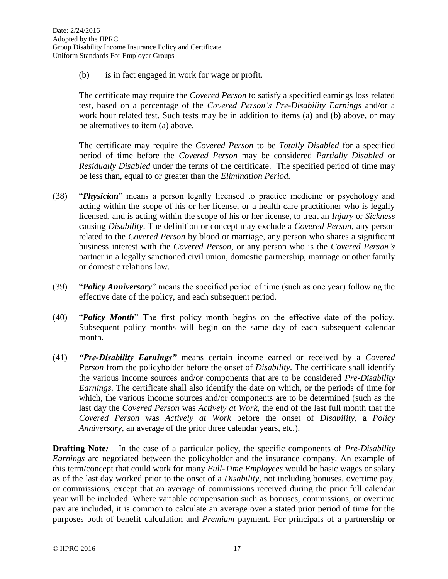(b) is in fact engaged in work for wage or profit.

The certificate may require the *Covered Person* to satisfy a specified earnings loss related test, based on a percentage of the *Covered Person's Pre-Disability Earnings* and/or a work hour related test. Such tests may be in addition to items (a) and (b) above, or may be alternatives to item (a) above.

The certificate may require the *Covered Person* to be *Totally Disabled* for a specified period of time before the *Covered Person* may be considered *Partially Disabled* or *Residually Disabled* under the terms of the certificate. The specified period of time may be less than, equal to or greater than the *Elimination Period.*

- (38) "*Physician*" means a person legally licensed to practice medicine or psychology and acting within the scope of his or her license, or a health care practitioner who is legally licensed, and is acting within the scope of his or her license, to treat an *Injury* or *Sickness* causing *Disability*. The definition or concept may exclude a *Covered Person*, any person related to the *Covered Person* by blood or marriage, any person who shares a significant business interest with the *Covered Person*, or any person who is the *Covered Person's* partner in a legally sanctioned civil union, domestic partnership, marriage or other family or domestic relations law.
- (39) "*Policy Anniversary*" means the specified period of time (such as one year) following the effective date of the policy, and each subsequent period.
- (40) "*Policy Month*" The first policy month begins on the effective date of the policy. Subsequent policy months will begin on the same day of each subsequent calendar month.
- (41) *"Pre-Disability Earnings"* means certain income earned or received by a *Covered Person* from the policyholder before the onset of *Disability.* The certificate shall identify the various income sources and/or components that are to be considered *Pre-Disability Earnings*. The certificate shall also identify the date on which, or the periods of time for which, the various income sources and/or components are to be determined (such as the last day the *Covered Person* was *Actively at Work*, the end of the last full month that the *Covered Person* was *Actively at Work* before the onset of *Disability*, a *Policy Anniversary*, an average of the prior three calendar years, etc.).

**Drafting Note:** In the case of a particular policy, the specific components of *Pre-Disability Earnings* are negotiated between the policyholder and the insurance company. An example of this term/concept that could work for many *Full-Time Employees* would be basic wages or salary as of the last day worked prior to the onset of a *Disability*, not including bonuses, overtime pay, or commissions, except that an average of commissions received during the prior full calendar year will be included. Where variable compensation such as bonuses, commissions, or overtime pay are included, it is common to calculate an average over a stated prior period of time for the purposes both of benefit calculation and *Premium* payment. For principals of a partnership or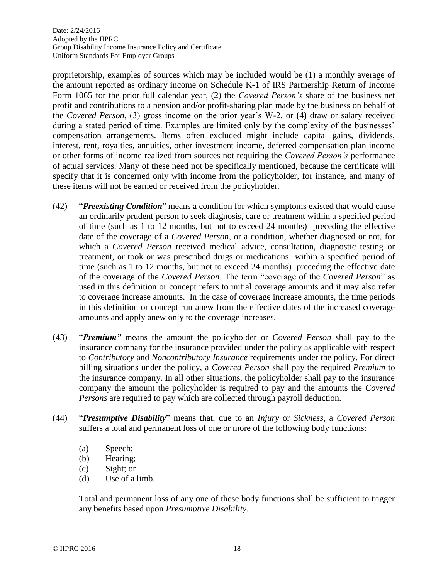proprietorship, examples of sources which may be included would be (1) a monthly average of the amount reported as ordinary income on Schedule K-1 of IRS Partnership Return of Income Form 1065 for the prior full calendar year, (2) the *Covered Person's* share of the business net profit and contributions to a pension and/or profit-sharing plan made by the business on behalf of the *Covered Person*, (3) gross income on the prior year's W-2, or (4) draw or salary received during a stated period of time. Examples are limited only by the complexity of the businesses' compensation arrangements. Items often excluded might include capital gains, dividends, interest, rent, royalties, annuities, other investment income, deferred compensation plan income or other forms of income realized from sources not requiring the *Covered Person's* performance of actual services. Many of these need not be specifically mentioned, because the certificate will specify that it is concerned only with income from the policyholder, for instance, and many of these items will not be earned or received from the policyholder.

- (42) "*Preexisting Condition*" means a condition for which symptoms existed that would cause an ordinarily prudent person to seek diagnosis, care or treatment within a specified period of time (such as 1 to 12 months, but not to exceed 24 months) preceding the effective date of the coverage of a *Covered Person*, or a condition, whether diagnosed or not, for which a *Covered Person* received medical advice, consultation, diagnostic testing or treatment, or took or was prescribed drugs or medications within a specified period of time (such as 1 to 12 months, but not to exceed 24 months) preceding the effective date of the coverage of the *Covered Person*. The term "coverage of the *Covered Person*" as used in this definition or concept refers to initial coverage amounts and it may also refer to coverage increase amounts. In the case of coverage increase amounts, the time periods in this definition or concept run anew from the effective dates of the increased coverage amounts and apply anew only to the coverage increases.
- (43) "*Premium"* means the amount the policyholder or *Covered Person* shall pay to the insurance company for the insurance provided under the policy as applicable with respect to *Contributory* and *Noncontributory Insurance* requirements under the policy. For direct billing situations under the policy, a *Covered Person* shall pay the required *Premium* to the insurance company. In all other situations, the policyholder shall pay to the insurance company the amount the policyholder is required to pay and the amounts the *Covered Persons* are required to pay which are collected through payroll deduction*.*
- (44) "*Presumptive Disability*" means that, due to an *Injury* or *Sickness*, a *Covered Person* suffers a total and permanent loss of one or more of the following body functions:
	- (a) Speech;
	- (b) Hearing;
	- (c) Sight; or
	- (d) Use of a limb.

Total and permanent loss of any one of these body functions shall be sufficient to trigger any benefits based upon *Presumptive Disability*.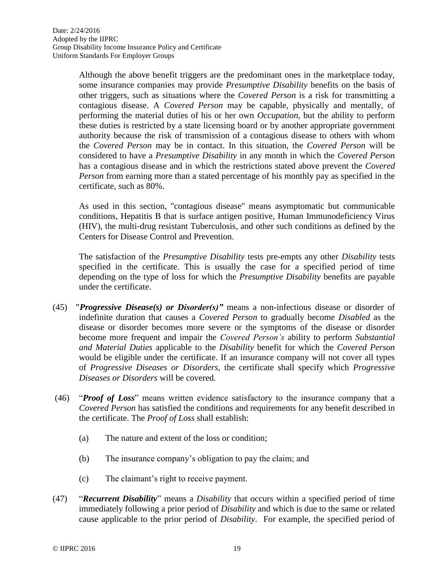Although the above benefit triggers are the predominant ones in the marketplace today, some insurance companies may provide *Presumptive Disability* benefits on the basis of other triggers, such as situations where the *Covered Person* is a risk for transmitting a contagious disease. A *Covered Person* may be capable, physically and mentally, of performing the material duties of his or her own *Occupation,* but the ability to perform these duties is restricted by a state licensing board or by another appropriate government authority because the risk of transmission of a contagious disease to others with whom the *Covered Person* may be in contact. In this situation, the *Covered Person* will be considered to have a *Presumptive Disability* in any month in which the *Covered Person* has a contagious disease and in which the restrictions stated above prevent the *Covered Person* from earning more than a stated percentage of his monthly pay as specified in the certificate, such as 80%.

As used in this section, "contagious disease" means asymptomatic but communicable conditions, Hepatitis B that is surface antigen positive, Human Immunodeficiency Virus (HIV), the multi-drug resistant Tuberculosis, and other such conditions as defined by the Centers for Disease Control and Prevention.

The satisfaction of the *Presumptive Disability* tests pre-empts any other *Disability* tests specified in the certificate. This is usually the case for a specified period of time depending on the type of loss for which the *Presumptive Disability* benefits are payable under the certificate.

- (45) *"Progressive Disease(s) or Disorder(s)"* means a non-infectious disease or disorder of indefinite duration that causes a *Covered Person* to gradually become *Disabled* as the disease or disorder becomes more severe or the symptoms of the disease or disorder become more frequent and impair the *Covered Person's* ability to perform *Substantial and Material Duties* applicable to the *Disability* benefit for which the *Covered Person* would be eligible under the certificate. If an insurance company will not cover all types of *Progressive Diseases or Disorders*, the certificate shall specify which *Progressive Diseases or Disorders* will be covered.
- (46) "*Proof of Loss*" means written evidence satisfactory to the insurance company that a *Covered Person* has satisfied the conditions and requirements for any benefit described in the certificate. The *Proof of Loss* shall establish:
	- (a) The nature and extent of the loss or condition;
	- (b) The insurance company's obligation to pay the claim; and
	- (c) The claimant's right to receive payment.
- (47) "*Recurrent Disability*" means a *Disability* that occurs within a specified period of time immediately following a prior period of *Disability* and which is due to the same or related cause applicable to the prior period of *Disability*. For example, the specified period of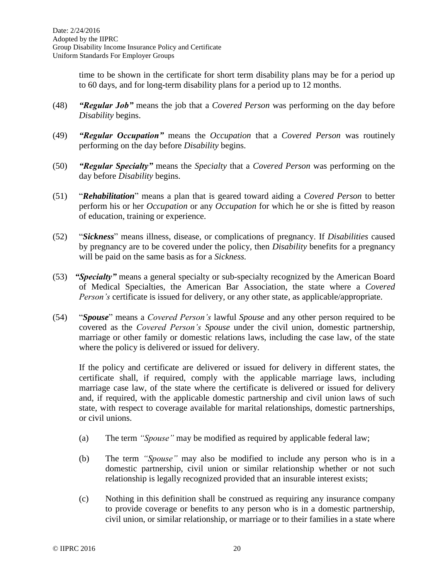time to be shown in the certificate for short term disability plans may be for a period up to 60 days, and for long-term disability plans for a period up to 12 months.

- (48) *"Regular Job"* means the job that a *Covered Person* was performing on the day before *Disability* begins.
- (49) *"Regular Occupation"* means the *Occupation* that a *Covered Person* was routinely performing on the day before *Disability* begins.
- (50) *"Regular Specialty"* means the *Specialty* that a *Covered Person* was performing on the day before *Disability* begins.
- (51) "*Rehabilitation*" means a plan that is geared toward aiding a *Covered Person* to better perform his or her *Occupation* or any *Occupation* for which he or she is fitted by reason of education, training or experience.
- (52) "*Sickness*" means illness, disease, or complications of pregnancy. If *Disabilities* caused by pregnancy are to be covered under the policy, then *Disability* benefits for a pregnancy will be paid on the same basis as for a *Sickness.*
- (53) *"Specialty"* means a general specialty or sub-specialty recognized by the American Board of Medical Specialties, the American Bar Association, the state where a *Covered Person's* certificate is issued for delivery, or any other state, as applicable/appropriate.
- (54) "*Spouse*" means a *Covered Person's* lawful *Spouse* and any other person required to be covered as the *Covered Person's Spouse* under the civil union, domestic partnership, marriage or other family or domestic relations laws, including the case law, of the state where the policy is delivered or issued for delivery.

If the policy and certificate are delivered or issued for delivery in different states, the certificate shall, if required, comply with the applicable marriage laws, including marriage case law, of the state where the certificate is delivered or issued for delivery and, if required, with the applicable domestic partnership and civil union laws of such state, with respect to coverage available for marital relationships, domestic partnerships, or civil unions.

- (a) The term *"Spouse"* may be modified as required by applicable federal law;
- (b) The term *"Spouse"* may also be modified to include any person who is in a domestic partnership, civil union or similar relationship whether or not such relationship is legally recognized provided that an insurable interest exists;
- (c) Nothing in this definition shall be construed as requiring any insurance company to provide coverage or benefits to any person who is in a domestic partnership, civil union, or similar relationship, or marriage or to their families in a state where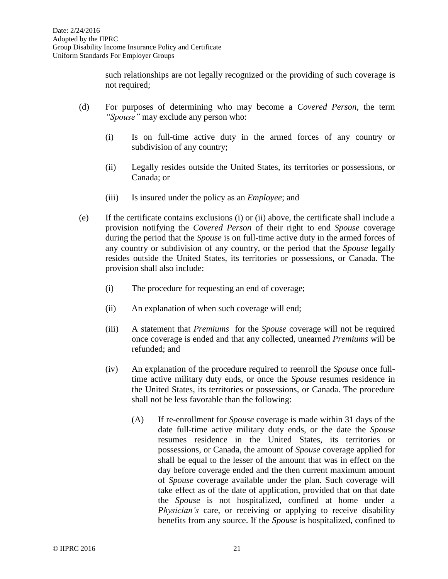such relationships are not legally recognized or the providing of such coverage is not required;

- (d) For purposes of determining who may become a *Covered Person*, the term *"Spouse"* may exclude any person who:
	- (i) Is on full-time active duty in the armed forces of any country or subdivision of any country;
	- (ii) Legally resides outside the United States, its territories or possessions, or Canada; or
	- (iii) Is insured under the policy as an *Employee*; and
- (e) If the certificate contains exclusions (i) or (ii) above, the certificate shall include a provision notifying the *Covered Person* of their right to end *Spouse* coverage during the period that the *Spouse* is on full-time active duty in the armed forces of any country or subdivision of any country, or the period that the *Spouse* legally resides outside the United States, its territories or possessions, or Canada. The provision shall also include:
	- (i) The procedure for requesting an end of coverage;
	- (ii) An explanation of when such coverage will end;
	- (iii) A statement that *Premiums* for the *Spouse* coverage will not be required once coverage is ended and that any collected, unearned *Premiums* will be refunded; and
	- (iv) An explanation of the procedure required to reenroll the *Spouse* once fulltime active military duty ends, or once the *Spouse* resumes residence in the United States, its territories or possessions, or Canada. The procedure shall not be less favorable than the following:
		- (A) If re-enrollment for *Spouse* coverage is made within 31 days of the date full-time active military duty ends, or the date the *Spouse* resumes residence in the United States, its territories or possessions, or Canada, the amount of *Spouse* coverage applied for shall be equal to the lesser of the amount that was in effect on the day before coverage ended and the then current maximum amount of *Spouse* coverage available under the plan. Such coverage will take effect as of the date of application, provided that on that date the *Spouse* is not hospitalized, confined at home under a *Physician's* care, or receiving or applying to receive disability benefits from any source. If the *Spouse* is hospitalized, confined to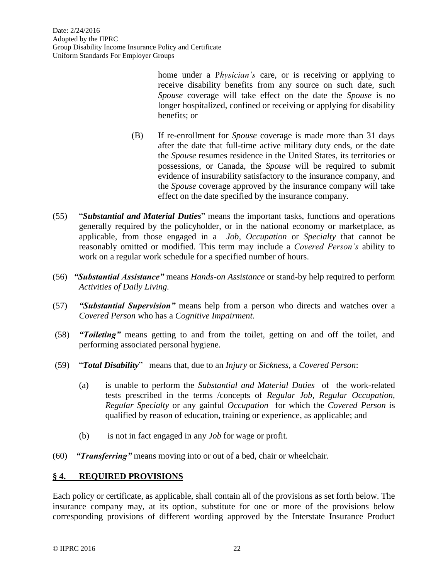home under a P*hysician's* care, or is receiving or applying to receive disability benefits from any source on such date, such *Spouse* coverage will take effect on the date the *Spouse* is no longer hospitalized, confined or receiving or applying for disability benefits; or

- (B) If re-enrollment for *Spouse* coverage is made more than 31 days after the date that full-time active military duty ends, or the date the *Spouse* resumes residence in the United States, its territories or possessions, or Canada, the *Spouse* will be required to submit evidence of insurability satisfactory to the insurance company, and the *Spouse* coverage approved by the insurance company will take effect on the date specified by the insurance company.
- (55) "*Substantial and Material Duties*" means the important tasks, functions and operations generally required by the policyholder, or in the national economy or marketplace, as applicable, from those engaged in a *Job, Occupation* or *Specialty* that cannot be reasonably omitted or modified. This term may include a *Covered Person's* ability to work on a regular work schedule for a specified number of hours.
- (56) *"Substantial Assistance"* means *Hands-on Assistance* or stand-by help required to perform *Activities of Daily Living.*
- (57) *"Substantial Supervision"* means help from a person who directs and watches over a *Covered Person* who has a *Cognitive Impairment*.
- (58) *"Toileting"* means getting to and from the toilet, getting on and off the toilet, and performing associated personal hygiene.
- (59) "*Total Disability*" means that, due to an *Injury* or *Sickness*, a *Covered Person*:
	- (a) is unable to perform the *Substantial and Material Duties* of the work-related tests prescribed in the terms /concepts of *Regular Job, Regular Occupation, Regular Specialty* or any gainful *Occupation* for which the *Covered Person* is qualified by reason of education, training or experience, as applicable; and
	- (b) is not in fact engaged in any *Job* for wage or profit.
- (60) *"Transferring"* means moving into or out of a bed, chair or wheelchair.

## **§ 4. REQUIRED PROVISIONS**

Each policy or certificate, as applicable, shall contain all of the provisions as set forth below. The insurance company may, at its option, substitute for one or more of the provisions below corresponding provisions of different wording approved by the Interstate Insurance Product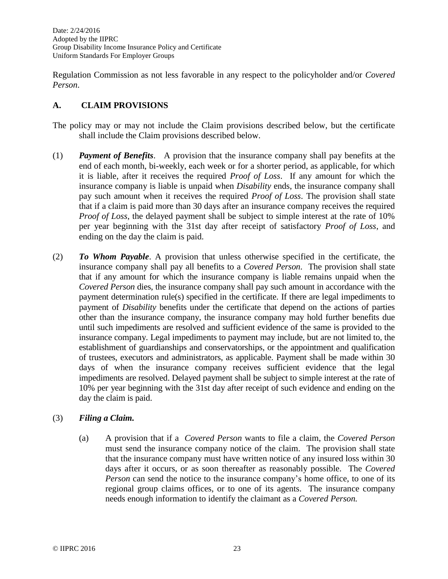Regulation Commission as not less favorable in any respect to the policyholder and/or *Covered Person*.

## **A. CLAIM PROVISIONS**

- The policy may or may not include the Claim provisions described below, but the certificate shall include the Claim provisions described below.
- (1) *Payment of Benefits*. A provision that the insurance company shall pay benefits at the end of each month, bi-weekly, each week or for a shorter period, as applicable, for which it is liable, after it receives the required *Proof of Loss*. If any amount for which the insurance company is liable is unpaid when *Disability* ends, the insurance company shall pay such amount when it receives the required *Proof of Loss*. The provision shall state that if a claim is paid more than 30 days after an insurance company receives the required *Proof of Loss*, the delayed payment shall be subject to simple interest at the rate of 10% per year beginning with the 31st day after receipt of satisfactory *Proof of Loss*, and ending on the day the claim is paid.
- (2) *To Whom Payable*. A provision that unless otherwise specified in the certificate, the insurance company shall pay all benefits to a *Covered Person*. The provision shall state that if any amount for which the insurance company is liable remains unpaid when the *Covered Person* dies, the insurance company shall pay such amount in accordance with the payment determination rule(s) specified in the certificate. If there are legal impediments to payment of *Disability* benefits under the certificate that depend on the actions of parties other than the insurance company, the insurance company may hold further benefits due until such impediments are resolved and sufficient evidence of the same is provided to the insurance company. Legal impediments to payment may include, but are not limited to, the establishment of guardianships and conservatorships, or the appointment and qualification of trustees, executors and administrators, as applicable. Payment shall be made within 30 days of when the insurance company receives sufficient evidence that the legal impediments are resolved. Delayed payment shall be subject to simple interest at the rate of 10% per year beginning with the 31st day after receipt of such evidence and ending on the day the claim is paid.

#### (3) *Filing a Claim.*

(a) A provision that if a *Covered Person* wants to file a claim, the *Covered Person* must send the insurance company notice of the claim. The provision shall state that the insurance company must have written notice of any insured loss within 30 days after it occurs, or as soon thereafter as reasonably possible. The *Covered Person* can send the notice to the insurance company's home office, to one of its regional group claims offices, or to one of its agents. The insurance company needs enough information to identify the claimant as a *Covered Person.*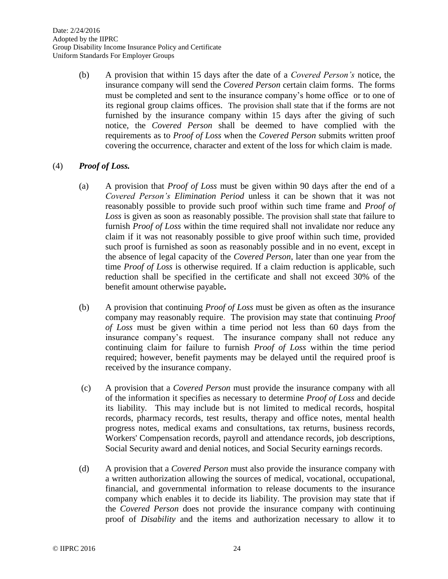(b) A provision that within 15 days after the date of a *Covered Person's* notice, the insurance company will send the *Covered Person* certain claim forms. The forms must be completed and sent to the insurance company's home office or to one of its regional group claims offices. The provision shall state that if the forms are not furnished by the insurance company within 15 days after the giving of such notice, the *Covered Person* shall be deemed to have complied with the requirements as to *Proof of Loss* when the *Covered Person* submits written proof covering the occurrence, character and extent of the loss for which claim is made.

#### (4) *Proof of Loss.*

- (a) A provision that *Proof of Loss* must be given within 90 days after the end of a *Covered Person's Elimination Period* unless it can be shown that it was not reasonably possible to provide such proof within such time frame and *Proof of Loss* is given as soon as reasonably possible. The provision shall state that failure to furnish *Proof of Loss* within the time required shall not invalidate nor reduce any claim if it was not reasonably possible to give proof within such time, provided such proof is furnished as soon as reasonably possible and in no event, except in the absence of legal capacity of the *Covered Person*, later than one year from the time *Proof of Loss* is otherwise required. If a claim reduction is applicable, such reduction shall be specified in the certificate and shall not exceed 30% of the benefit amount otherwise payable**.**
- (b) A provision that continuing *Proof of Loss* must be given as often as the insurance company may reasonably require. The provision may state that continuing *Proof of Loss* must be given within a time period not less than 60 days from the insurance company's request. The insurance company shall not reduce any continuing claim for failure to furnish *Proof of Loss* within the time period required; however, benefit payments may be delayed until the required proof is received by the insurance company.
- (c) A provision that a *Covered Person* must provide the insurance company with all of the information it specifies as necessary to determine *Proof of Loss* and decide its liability. This may include but is not limited to medical records, hospital records, pharmacy records, test results, therapy and office notes, mental health progress notes, medical exams and consultations, tax returns, business records, Workers' Compensation records, payroll and attendance records, job descriptions, Social Security award and denial notices, and Social Security earnings records.
- (d) A provision that a *Covered Person* must also provide the insurance company with a written authorization allowing the sources of medical, vocational, occupational, financial, and governmental information to release documents to the insurance company which enables it to decide its liability. The provision may state that if the *Covered Person* does not provide the insurance company with continuing proof of *Disability* and the items and authorization necessary to allow it to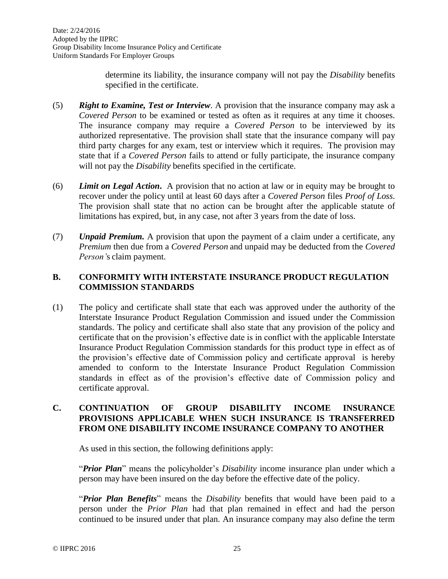determine its liability, the insurance company will not pay the *Disability* benefits specified in the certificate.

- (5) *Right to Examine, Test or Interview*. A provision that the insurance company may ask a *Covered Person* to be examined or tested as often as it requires at any time it chooses. The insurance company may require a *Covered Person* to be interviewed by its authorized representative. The provision shall state that the insurance company will pay third party charges for any exam, test or interview which it requires. The provision may state that if a *Covered Person* fails to attend or fully participate, the insurance company will not pay the *Disability* benefits specified in the certificate.
- (6) *Limit on Legal Action***.** A provision that no action at law or in equity may be brought to recover under the policy until at least 60 days after a *Covered Person* files *Proof of Loss*. The provision shall state that no action can be brought after the applicable statute of limitations has expired, but, in any case, not after 3 years from the date of loss.
- (7) *Unpaid Premium.* A provision that upon the payment of a claim under a certificate, any *Premium* then due from a *Covered Person* and unpaid may be deducted from the *Covered Person'*s claim payment.

## **B. CONFORMITY WITH INTERSTATE INSURANCE PRODUCT REGULATION COMMISSION STANDARDS**

(1) The policy and certificate shall state that each was approved under the authority of the Interstate Insurance Product Regulation Commission and issued under the Commission standards. The policy and certificate shall also state that any provision of the policy and certificate that on the provision's effective date is in conflict with the applicable Interstate Insurance Product Regulation Commission standards for this product type in effect as of the provision's effective date of Commission policy and certificate approval is hereby amended to conform to the Interstate Insurance Product Regulation Commission standards in effect as of the provision's effective date of Commission policy and certificate approval.

## **C. CONTINUATION OF GROUP DISABILITY INCOME INSURANCE PROVISIONS APPLICABLE WHEN SUCH INSURANCE IS TRANSFERRED FROM ONE DISABILITY INCOME INSURANCE COMPANY TO ANOTHER**

As used in this section, the following definitions apply:

"*Prior Plan*" means the policyholder's *Disability* income insurance plan under which a person may have been insured on the day before the effective date of the policy.

"*Prior Plan Benefits*" means the *Disability* benefits that would have been paid to a person under the *Prior Plan* had that plan remained in effect and had the person continued to be insured under that plan. An insurance company may also define the term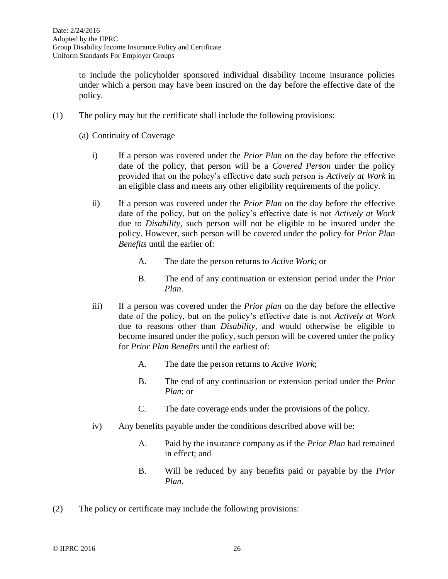to include the policyholder sponsored individual disability income insurance policies under which a person may have been insured on the day before the effective date of the policy.

- (1) The policy may but the certificate shall include the following provisions:
	- (a) Continuity of Coverage
		- i) If a person was covered under the *Prior Plan* on the day before the effective date of the policy, that person will be a *Covered Person* under the policy provided that on the policy's effective date such person is *Actively at Work* in an eligible class and meets any other eligibility requirements of the policy.
		- ii) If a person was covered under the *Prior Plan* on the day before the effective date of the policy, but on the policy's effective date is not *Actively at Work* due to *Disability,* such person will not be eligible to be insured under the policy. However, such person will be covered under the policy for *Prior Plan Benefits* until the earlier of:
			- A. The date the person returns to *Active Work*; or
			- B. The end of any continuation or extension period under the *Prior Plan*.
		- iii) If a person was covered under the *Prior plan* on the day before the effective date of the policy, but on the policy's effective date is not *Actively at Work* due to reasons other than *Disability,* and would otherwise be eligible to become insured under the policy*,* such person will be covered under the policy for *Prior Plan Benefits* until the earliest of:
			- A. The date the person returns to *Active Work*;
			- B. The end of any continuation or extension period under the *Prior Plan*; or
			- C. The date coverage ends under the provisions of the policy.
		- iv) Any benefits payable under the conditions described above will be:
			- A. Paid by the insurance company as if the *Prior Plan* had remained in effect; and
			- B. Will be reduced by any benefits paid or payable by the *Prior Plan*.
- (2) The policy or certificate may include the following provisions: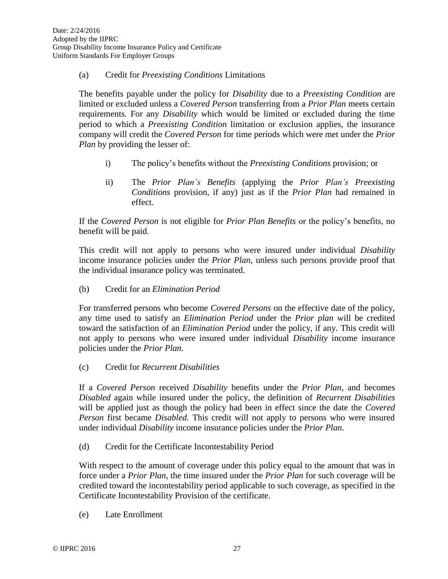## (a) Credit for *Preexisting Conditions* Limitations

The benefits payable under the policy for *Disability* due to a *Preexisting Condition* are limited or excluded unless a *Covered Person* transferring from a *Prior Plan* meets certain requirements*.* For any *Disability* which would be limited or excluded during the time period to which a *Preexisting Condition* limitation or exclusion applies, the insurance company will credit the *Covered Person* for time periods which were met under the *Prior Plan* by providing the lesser of:

- i) The policy's benefits without the *Preexisting Conditions* provision; or
- ii) The *Prior Plan's Benefits* (applying the *Prior Plan's Preexisting Conditions* provision, if any) just as if the *Prior Plan* had remained in effect.

If the *Covered Person* is not eligible for *Prior Plan Benefits* or the policy's benefits, no benefit will be paid.

This credit will not apply to persons who were insured under individual *Disability*  income insurance policies under the *Prior Plan*, unless such persons provide proof that the individual insurance policy was terminated.

(b) Credit for an *Elimination Period*

For transferred persons who become *Covered Persons* on the effective date of the policy, any time used to satisfy an *Elimination Period* under the *Prior plan* will be credited toward the satisfaction of an *Elimination Period* under the policy, if any. This credit will not apply to persons who were insured under individual *Disability* income insurance policies under the *Prior Plan.*

(c) Credit for *Recurrent Disabilities*

If a *Covered Person* received *Disability* benefits under the *Prior Plan*, and becomes *Disabled* again while insured under the policy, the definition of *Recurrent Disabilities* will be applied just as though the policy had been in effect since the date the *Covered Person* first became *Disabled*. This credit will not apply to persons who were insured under individual *Disability* income insurance policies under the *Prior Plan*.

(d) Credit for the Certificate Incontestability Period

With respect to the amount of coverage under this policy equal to the amount that was in force under a *Prior Plan*, the time insured under the *Prior Plan* for such coverage will be credited toward the incontestability period applicable to such coverage, as specified in the Certificate Incontestability Provision of the certificate.

(e) Late Enrollment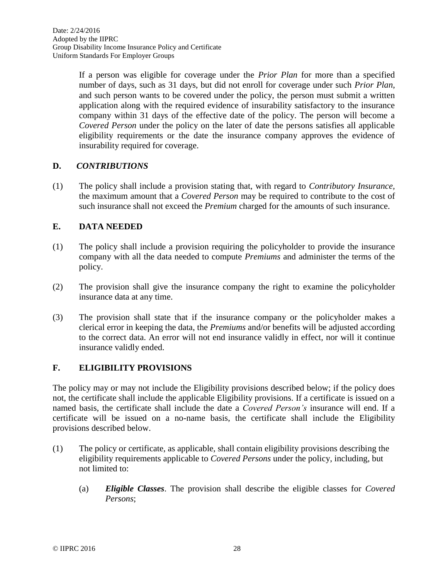If a person was eligible for coverage under the *Prior Plan* for more than a specified number of days, such as 31 days, but did not enroll for coverage under such *Prior Plan*, and such person wants to be covered under the policy, the person must submit a written application along with the required evidence of insurability satisfactory to the insurance company within 31 days of the effective date of the policy. The person will become a *Covered Person* under the policy on the later of date the persons satisfies all applicable eligibility requirements or the date the insurance company approves the evidence of insurability required for coverage.

## **D.** *CONTRIBUTIONS*

(1) The policy shall include a provision stating that, with regard to *Contributory Insurance,* the maximum amount that a *Covered Person* may be required to contribute to the cost of such insurance shall not exceed the *Premium* charged for the amounts of such insurance.

#### **E. DATA NEEDED**

- (1) The policy shall include a provision requiring the policyholder to provide the insurance company with all the data needed to compute *Premiums* and administer the terms of the policy.
- (2) The provision shall give the insurance company the right to examine the policyholder insurance data at any time.
- (3) The provision shall state that if the insurance company or the policyholder makes a clerical error in keeping the data, the *Premiums* and/or benefits will be adjusted according to the correct data. An error will not end insurance validly in effect, nor will it continue insurance validly ended.

## **F. ELIGIBILITY PROVISIONS**

The policy may or may not include the Eligibility provisions described below; if the policy does not, the certificate shall include the applicable Eligibility provisions. If a certificate is issued on a named basis, the certificate shall include the date a *Covered Person's* insurance will end. If a certificate will be issued on a no-name basis, the certificate shall include the Eligibility provisions described below.

- (1) The policy or certificate, as applicable, shall contain eligibility provisions describing the eligibility requirements applicable to *Covered Persons* under the policy, including, but not limited to:
	- (a) *Eligible Classes*. The provision shall describe the eligible classes for *Covered Persons*;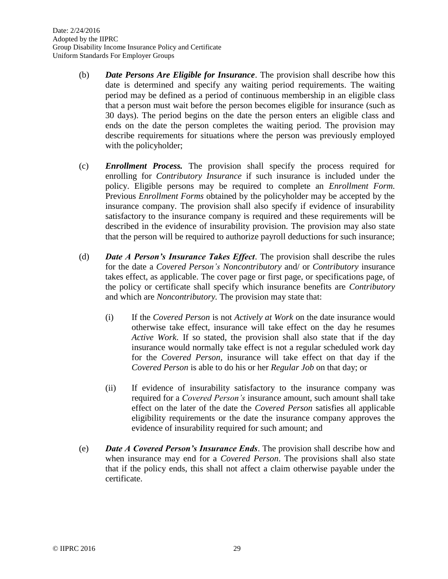- (b) *Date Persons Are Eligible for Insurance*. The provision shall describe how this date is determined and specify any waiting period requirements. The waiting period may be defined as a period of continuous membership in an eligible class that a person must wait before the person becomes eligible for insurance (such as 30 days). The period begins on the date the person enters an eligible class and ends on the date the person completes the waiting period. The provision may describe requirements for situations where the person was previously employed with the policyholder;
- (c) *Enrollment Process.* The provision shall specify the process required for enrolling for *Contributory Insurance* if such insurance is included under the policy. Eligible persons may be required to complete an *Enrollment Form.* Previous *Enrollment Forms* obtained by the policyholder may be accepted by the insurance company. The provision shall also specify if evidence of insurability satisfactory to the insurance company is required and these requirements will be described in the evidence of insurability provision. The provision may also state that the person will be required to authorize payroll deductions for such insurance;
- (d) *Date A Person's Insurance Takes Effect*. The provision shall describe the rules for the date a *Covered Person's Noncontributory* and/ or *Contributory* insurance takes effect, as applicable. The cover page or first page, or specifications page, of the policy or certificate shall specify which insurance benefits are *Contributory* and which are *Noncontributory.* The provision may state that:
	- (i) If the *Covered Person* is not *Actively at Work* on the date insurance would otherwise take effect, insurance will take effect on the day he resumes *Active Work*. If so stated, the provision shall also state that if the day insurance would normally take effect is not a regular scheduled work day for the *Covered Person,* insurance will take effect on that day if the *Covered Person* is able to do his or her *Regular Job* on that day; or
	- (ii) If evidence of insurability satisfactory to the insurance company was required for a *Covered Person's* insurance amount, such amount shall take effect on the later of the date the *Covered Person* satisfies all applicable eligibility requirements or the date the insurance company approves the evidence of insurability required for such amount; and
- (e) *Date A Covered Person's Insurance Ends*. The provision shall describe how and when insurance may end for a *Covered Person*. The provisions shall also state that if the policy ends, this shall not affect a claim otherwise payable under the certificate.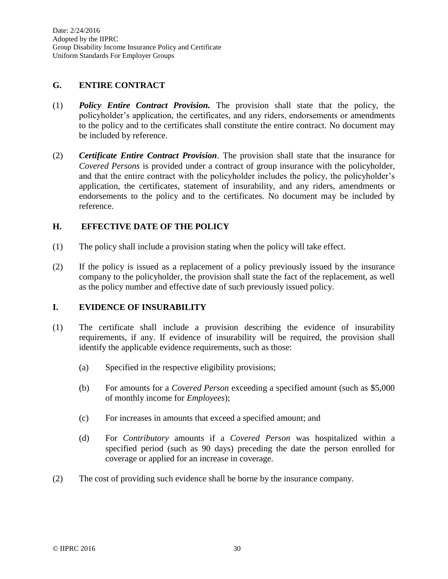#### **G. ENTIRE CONTRACT**

- (1) *Policy Entire Contract Provision.* The provision shall state that the policy, the policyholder's application, the certificates, and any riders, endorsements or amendments to the policy and to the certificates shall constitute the entire contract. No document may be included by reference.
- (2) *Certificate Entire Contract Provision*. The provision shall state that the insurance for *Covered Persons* is provided under a contract of group insurance with the policyholder, and that the entire contract with the policyholder includes the policy, the policyholder's application, the certificates, statement of insurability, and any riders, amendments or endorsements to the policy and to the certificates. No document may be included by reference.

#### **H. EFFECTIVE DATE OF THE POLICY**

- (1) The policy shall include a provision stating when the policy will take effect.
- (2) If the policy is issued as a replacement of a policy previously issued by the insurance company to the policyholder, the provision shall state the fact of the replacement, as well as the policy number and effective date of such previously issued policy.

#### **I. EVIDENCE OF INSURABILITY**

- (1) The certificate shall include a provision describing the evidence of insurability requirements, if any. If evidence of insurability will be required, the provision shall identify the applicable evidence requirements, such as those:
	- (a) Specified in the respective eligibility provisions;
	- (b) For amounts for a *Covered Person* exceeding a specified amount (such as \$5,000 of monthly income for *Employees*);
	- (c) For increases in amounts that exceed a specified amount; and
	- (d) For *Contributory* amounts if a *Covered Person* was hospitalized within a specified period (such as 90 days) preceding the date the person enrolled for coverage or applied for an increase in coverage.
- (2) The cost of providing such evidence shall be borne by the insurance company.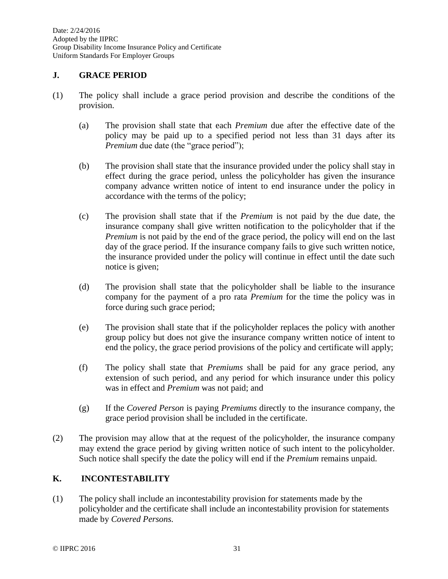Date: 2/24/2016 Adopted by the IIPRC Group Disability Income Insurance Policy and Certificate Uniform Standards For Employer Groups

### **J. GRACE PERIOD**

- (1) The policy shall include a grace period provision and describe the conditions of the provision.
	- (a) The provision shall state that each *Premium* due after the effective date of the policy may be paid up to a specified period not less than 31 days after its *Premium* due date (the "grace period");
	- (b) The provision shall state that the insurance provided under the policy shall stay in effect during the grace period, unless the policyholder has given the insurance company advance written notice of intent to end insurance under the policy in accordance with the terms of the policy;
	- (c) The provision shall state that if the *Premium* is not paid by the due date, the insurance company shall give written notification to the policyholder that if the *Premium* is not paid by the end of the grace period, the policy will end on the last day of the grace period. If the insurance company fails to give such written notice, the insurance provided under the policy will continue in effect until the date such notice is given;
	- (d) The provision shall state that the policyholder shall be liable to the insurance company for the payment of a pro rata *Premium* for the time the policy was in force during such grace period;
	- (e) The provision shall state that if the policyholder replaces the policy with another group policy but does not give the insurance company written notice of intent to end the policy, the grace period provisions of the policy and certificate will apply;
	- (f) The policy shall state that *Premiums* shall be paid for any grace period, any extension of such period, and any period for which insurance under this policy was in effect and *Premium* was not paid; and
	- (g) If the *Covered Person* is paying *Premiums* directly to the insurance company, the grace period provision shall be included in the certificate.
- (2) The provision may allow that at the request of the policyholder, the insurance company may extend the grace period by giving written notice of such intent to the policyholder. Such notice shall specify the date the policy will end if the *Premium* remains unpaid.

# **K. INCONTESTABILITY**

(1) The policy shall include an incontestability provision for statements made by the policyholder and the certificate shall include an incontestability provision for statements made by *Covered Persons.*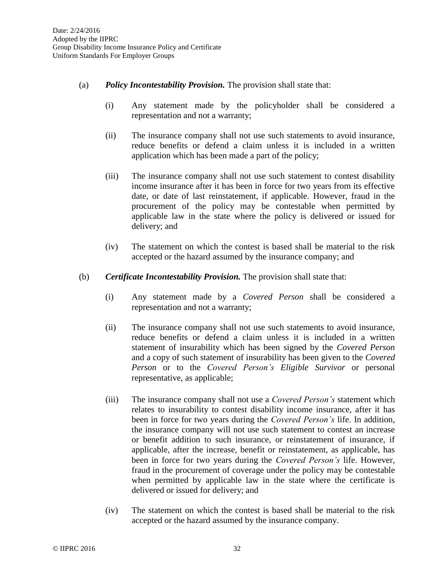- (a) *Policy Incontestability Provision.* The provision shall state that:
	- (i) Any statement made by the policyholder shall be considered a representation and not a warranty;
	- (ii) The insurance company shall not use such statements to avoid insurance, reduce benefits or defend a claim unless it is included in a written application which has been made a part of the policy;
	- (iii) The insurance company shall not use such statement to contest disability income insurance after it has been in force for two years from its effective date, or date of last reinstatement, if applicable. However, fraud in the procurement of the policy may be contestable when permitted by applicable law in the state where the policy is delivered or issued for delivery; and
	- (iv) The statement on which the contest is based shall be material to the risk accepted or the hazard assumed by the insurance company; and
- (b) *Certificate Incontestability Provision.* The provision shall state that:
	- (i) Any statement made by a *Covered Person* shall be considered a representation and not a warranty;
	- (ii) The insurance company shall not use such statements to avoid insurance, reduce benefits or defend a claim unless it is included in a written statement of insurability which has been signed by the *Covered Person* and a copy of such statement of insurability has been given to the *Covered Person* or to the *Covered Person's Eligible Survivor* or personal representative, as applicable;
	- (iii) The insurance company shall not use a *Covered Person's* statement which relates to insurability to contest disability income insurance, after it has been in force for two years during the *Covered Person's* life. In addition, the insurance company will not use such statement to contest an increase or benefit addition to such insurance, or reinstatement of insurance, if applicable, after the increase, benefit or reinstatement, as applicable, has been in force for two years during the *Covered Person's* life. However, fraud in the procurement of coverage under the policy may be contestable when permitted by applicable law in the state where the certificate is delivered or issued for delivery; and
	- (iv) The statement on which the contest is based shall be material to the risk accepted or the hazard assumed by the insurance company.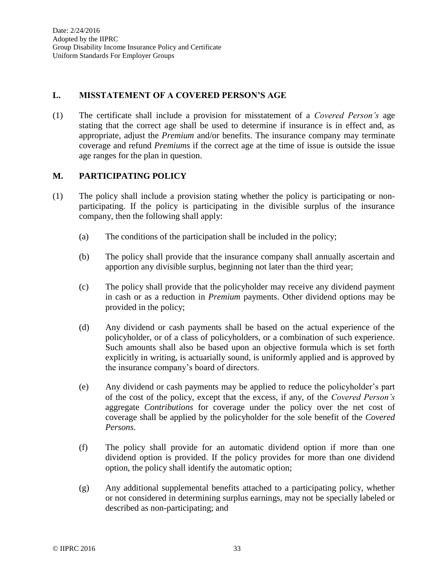## **L. MISSTATEMENT OF A COVERED PERSON'S AGE**

(1) The certificate shall include a provision for misstatement of a *Covered Person's* age stating that the correct age shall be used to determine if insurance is in effect and, as appropriate, adjust the *Premium* and/or benefits. The insurance company may terminate coverage and refund *Premiums* if the correct age at the time of issue is outside the issue age ranges for the plan in question.

## **M. PARTICIPATING POLICY**

- (1) The policy shall include a provision stating whether the policy is participating or nonparticipating. If the policy is participating in the divisible surplus of the insurance company, then the following shall apply:
	- (a) The conditions of the participation shall be included in the policy;
	- (b) The policy shall provide that the insurance company shall annually ascertain and apportion any divisible surplus, beginning not later than the third year;
	- (c) The policy shall provide that the policyholder may receive any dividend payment in cash or as a reduction in *Premium* payments. Other dividend options may be provided in the policy;
	- (d) Any dividend or cash payments shall be based on the actual experience of the policyholder, or of a class of policyholders, or a combination of such experience. Such amounts shall also be based upon an objective formula which is set forth explicitly in writing, is actuarially sound, is uniformly applied and is approved by the insurance company's board of directors.
	- (e) Any dividend or cash payments may be applied to reduce the policyholder's part of the cost of the policy, except that the excess, if any, of the *Covered Person's* aggregate *Contributions* for coverage under the policy over the net cost of coverage shall be applied by the policyholder for the sole benefit of the *Covered Persons*.
	- (f) The policy shall provide for an automatic dividend option if more than one dividend option is provided. If the policy provides for more than one dividend option, the policy shall identify the automatic option;
	- (g) Any additional supplemental benefits attached to a participating policy, whether or not considered in determining surplus earnings, may not be specially labeled or described as non-participating; and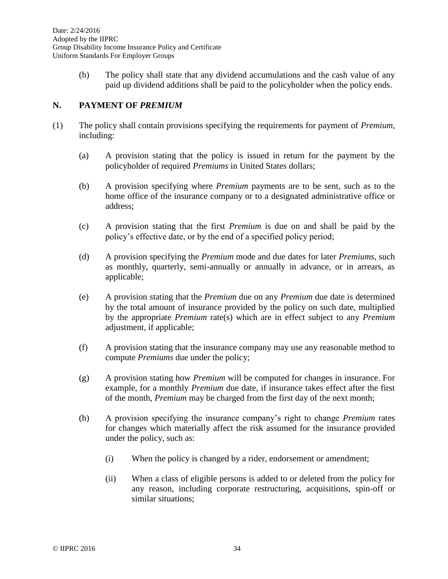(h) The policy shall state that any dividend accumulations and the cash value of any paid up dividend additions shall be paid to the policyholder when the policy ends.

## **N. PAYMENT OF** *PREMIUM*

- (1) The policy shall contain provisions specifying the requirements for payment of *Premium*, including:
	- (a) A provision stating that the policy is issued in return for the payment by the policyholder of required *Premiums* in United States dollars;
	- (b) A provision specifying where *Premium* payments are to be sent, such as to the home office of the insurance company or to a designated administrative office or address;
	- (c) A provision stating that the first *Premium* is due on and shall be paid by the policy's effective date, or by the end of a specified policy period;
	- (d) A provision specifying the *Premium* mode and due dates for later *Premiums*, such as monthly, quarterly, semi-annually or annually in advance, or in arrears, as applicable;
	- (e) A provision stating that the *Premium* due on any *Premium* due date is determined by the total amount of insurance provided by the policy on such date, multiplied by the appropriate *Premium* rate(s) which are in effect subject to any *Premium* adjustment, if applicable;
	- (f) A provision stating that the insurance company may use any reasonable method to compute *Premiums* due under the policy;
	- (g) A provision stating how *Premium* will be computed for changes in insurance. For example, for a monthly *Premium* due date, if insurance takes effect after the first of the month, *Premium* may be charged from the first day of the next month;
	- (h) A provision specifying the insurance company's right to change *Premium* rates for changes which materially affect the risk assumed for the insurance provided under the policy, such as:
		- (i) When the policy is changed by a rider, endorsement or amendment;
		- (ii) When a class of eligible persons is added to or deleted from the policy for any reason, including corporate restructuring, acquisitions, spin-off or similar situations;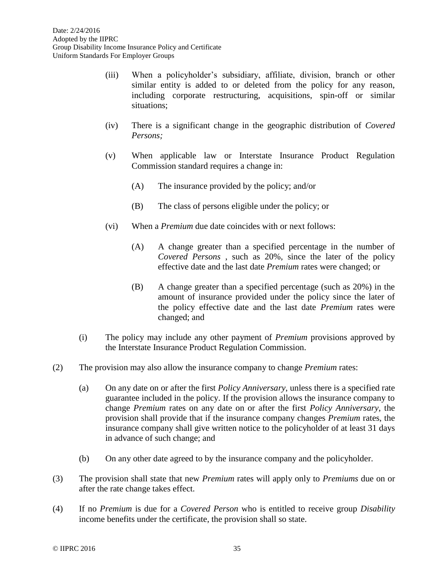- (iii) When a policyholder's subsidiary, affiliate, division, branch or other similar entity is added to or deleted from the policy for any reason, including corporate restructuring, acquisitions, spin-off or similar situations;
- (iv) There is a significant change in the geographic distribution of *Covered Persons;*
- (v) When applicable law or Interstate Insurance Product Regulation Commission standard requires a change in:
	- (A) The insurance provided by the policy; and/or
	- (B) The class of persons eligible under the policy; or
- (vi) When a *Premium* due date coincides with or next follows:
	- (A) A change greater than a specified percentage in the number of *Covered Persons* , such as 20%, since the later of the policy effective date and the last date *Premium* rates were changed; or
	- (B) A change greater than a specified percentage (such as 20%) in the amount of insurance provided under the policy since the later of the policy effective date and the last date *Premium* rates were changed; and
- (i) The policy may include any other payment of *Premium* provisions approved by the Interstate Insurance Product Regulation Commission.
- (2) The provision may also allow the insurance company to change *Premium* rates:
	- (a) On any date on or after the first *Policy Anniversary*, unless there is a specified rate guarantee included in the policy. If the provision allows the insurance company to change *Premium* rates on any date on or after the first *Policy Anniversary*, the provision shall provide that if the insurance company changes *Premium* rates, the insurance company shall give written notice to the policyholder of at least 31 days in advance of such change; and
	- (b) On any other date agreed to by the insurance company and the policyholder.
- (3) The provision shall state that new *Premium* rates will apply only to *Premiums* due on or after the rate change takes effect.
- (4) If no *Premium* is due for a *Covered Person* who is entitled to receive group *Disability* income benefits under the certificate, the provision shall so state.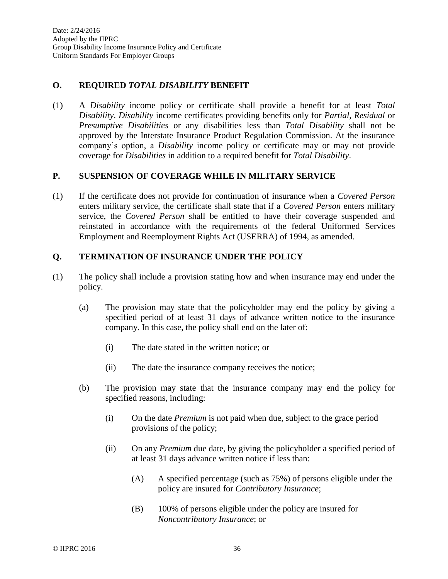## **O. REQUIRED** *TOTAL DISABILITY* **BENEFIT**

(1) A *Disability* income policy or certificate shall provide a benefit for at least *Total Disability*. *Disability* income certificates providing benefits only for *Partial, Residual* or *Presumptive Disabilities* or any disabilities less than *Total Disability* shall not be approved by the Interstate Insurance Product Regulation Commission. At the insurance company's option, a *Disability* income policy or certificate may or may not provide coverage for *Disabilities* in addition to a required benefit for *Total Disability*.

### **P. SUSPENSION OF COVERAGE WHILE IN MILITARY SERVICE**

(1) If the certificate does not provide for continuation of insurance when a *Covered Person* enters military service, the certificate shall state that if a *Covered Person* enters military service, the *Covered Person* shall be entitled to have their coverage suspended and reinstated in accordance with the requirements of the federal Uniformed Services Employment and Reemployment Rights Act (USERRA) of 1994, as amended.

## **Q. TERMINATION OF INSURANCE UNDER THE POLICY**

- (1) The policy shall include a provision stating how and when insurance may end under the policy.
	- (a) The provision may state that the policyholder may end the policy by giving a specified period of at least 31 days of advance written notice to the insurance company. In this case, the policy shall end on the later of:
		- (i) The date stated in the written notice; or
		- (ii) The date the insurance company receives the notice;
	- (b) The provision may state that the insurance company may end the policy for specified reasons, including:
		- (i) On the date *Premium* is not paid when due, subject to the grace period provisions of the policy;
		- (ii) On any *Premium* due date, by giving the policyholder a specified period of at least 31 days advance written notice if less than:
			- (A) A specified percentage (such as 75%) of persons eligible under the policy are insured for *Contributory Insurance*;
			- (B) 100% of persons eligible under the policy are insured for *Noncontributory Insurance*; or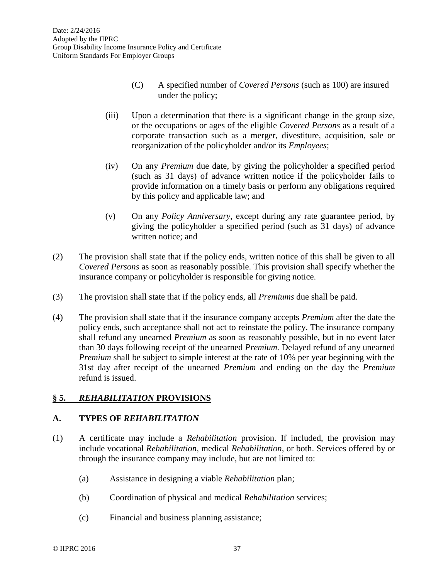- (C) A specified number of *Covered Persons* (such as 100) are insured under the policy;
- (iii) Upon a determination that there is a significant change in the group size, or the occupations or ages of the eligible *Covered Persons* as a result of a corporate transaction such as a merger, divestiture, acquisition, sale or reorganization of the policyholder and/or its *Employees*;
- (iv) On any *Premium* due date, by giving the policyholder a specified period (such as 31 days) of advance written notice if the policyholder fails to provide information on a timely basis or perform any obligations required by this policy and applicable law; and
- (v) On any *Policy Anniversary*, except during any rate guarantee period, by giving the policyholder a specified period (such as 31 days) of advance written notice; and
- (2) The provision shall state that if the policy ends, written notice of this shall be given to all *Covered Persons* as soon as reasonably possible. This provision shall specify whether the insurance company or policyholder is responsible for giving notice.
- (3) The provision shall state that if the policy ends, all *Premiums* due shall be paid.
- (4) The provision shall state that if the insurance company accepts *Premium* after the date the policy ends, such acceptance shall not act to reinstate the policy. The insurance company shall refund any unearned *Premium* as soon as reasonably possible, but in no event later than 30 days following receipt of the unearned *Premium.* Delayed refund of any unearned *Premium* shall be subject to simple interest at the rate of 10% per year beginning with the 31st day after receipt of the unearned *Premium* and ending on the day the *Premium* refund is issued.

# **§ 5.** *REHABILITATION* **PROVISIONS**

# **A. TYPES OF** *REHABILITATION*

- (1) A certificate may include a *Rehabilitation* provision. If included, the provision may include vocational *Rehabilitation*, medical *Rehabilitation*, or both. Services offered by or through the insurance company may include, but are not limited to:
	- (a) Assistance in designing a viable *Rehabilitation* plan;
	- (b) Coordination of physical and medical *Rehabilitation* services;
	- (c) Financial and business planning assistance;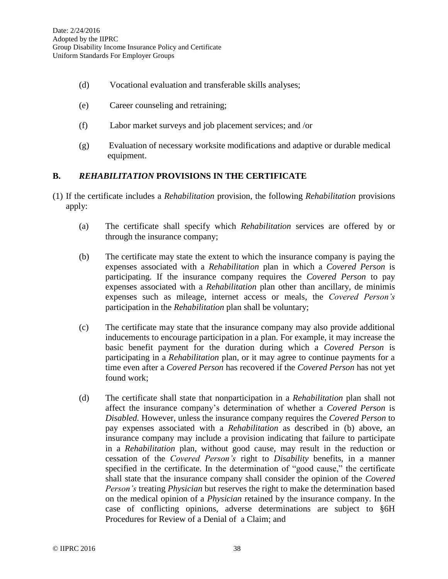- (d) Vocational evaluation and transferable skills analyses;
- (e) Career counseling and retraining;
- (f) Labor market surveys and job placement services; and /or
- (g) Evaluation of necessary worksite modifications and adaptive or durable medical equipment.

### **B.** *REHABILITATION* **PROVISIONS IN THE CERTIFICATE**

- (1) If the certificate includes a *Rehabilitation* provision, the following *Rehabilitation* provisions apply:
	- (a) The certificate shall specify which *Rehabilitation* services are offered by or through the insurance company;
	- (b) The certificate may state the extent to which the insurance company is paying the expenses associated with a *Rehabilitation* plan in which a *Covered Person* is participating. If the insurance company requires the *Covered Person* to pay expenses associated with a *Rehabilitation* plan other than ancillary, de minimis expenses such as mileage, internet access or meals, the *Covered Person's* participation in the *Rehabilitation* plan shall be voluntary;
	- (c) The certificate may state that the insurance company may also provide additional inducements to encourage participation in a plan. For example, it may increase the basic benefit payment for the duration during which a *Covered Person* is participating in a *Rehabilitation* plan, or it may agree to continue payments for a time even after a *Covered Person* has recovered if the *Covered Person* has not yet found work;
	- (d) The certificate shall state that nonparticipation in a *Rehabilitation* plan shall not affect the insurance company's determination of whether a *Covered Person* is *Disabled.* However, unless the insurance company requires the *Covered Person* to pay expenses associated with a *Rehabilitation* as described in (b) above, an insurance company may include a provision indicating that failure to participate in a *Rehabilitation* plan, without good cause, may result in the reduction or cessation of the *Covered Person's* right to *Disability* benefits, in a manner specified in the certificate. In the determination of "good cause," the certificate shall state that the insurance company shall consider the opinion of the *Covered Person's* treating *Physician* but reserves the right to make the determination based on the medical opinion of a *Physician* retained by the insurance company. In the case of conflicting opinions, adverse determinations are subject to §6H Procedures for Review of a Denial of a Claim; and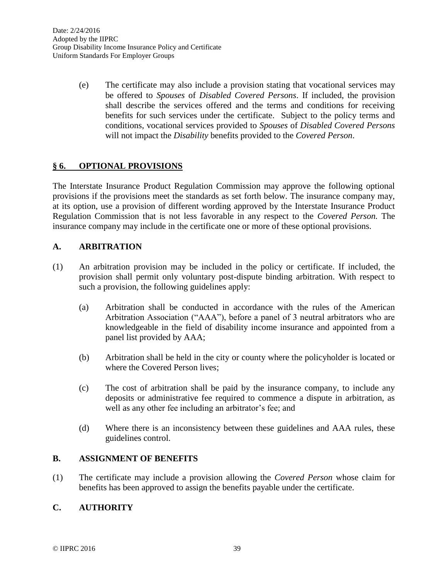(e) The certificate may also include a provision stating that vocational services may be offered to *Spouses* of *Disabled Covered Persons*. If included, the provision shall describe the services offered and the terms and conditions for receiving benefits for such services under the certificate. Subject to the policy terms and conditions, vocational services provided to *Spouses* of *Disabled Covered Persons*  will not impact the *Disability* benefits provided to the *Covered Person*.

# **§ 6. OPTIONAL PROVISIONS**

The Interstate Insurance Product Regulation Commission may approve the following optional provisions if the provisions meet the standards as set forth below. The insurance company may, at its option, use a provision of different wording approved by the Interstate Insurance Product Regulation Commission that is not less favorable in any respect to the *Covered Person.* The insurance company may include in the certificate one or more of these optional provisions.

## **A. ARBITRATION**

- (1) An arbitration provision may be included in the policy or certificate. If included, the provision shall permit only voluntary post-dispute binding arbitration. With respect to such a provision, the following guidelines apply:
	- (a) Arbitration shall be conducted in accordance with the rules of the American Arbitration Association ("AAA"), before a panel of 3 neutral arbitrators who are knowledgeable in the field of disability income insurance and appointed from a panel list provided by AAA;
	- (b) Arbitration shall be held in the city or county where the policyholder is located or where the Covered Person lives;
	- (c) The cost of arbitration shall be paid by the insurance company, to include any deposits or administrative fee required to commence a dispute in arbitration, as well as any other fee including an arbitrator's fee; and
	- (d) Where there is an inconsistency between these guidelines and AAA rules, these guidelines control.

### **B. ASSIGNMENT OF BENEFITS**

(1) The certificate may include a provision allowing the *Covered Person* whose claim for benefits has been approved to assign the benefits payable under the certificate.

# **C. AUTHORITY**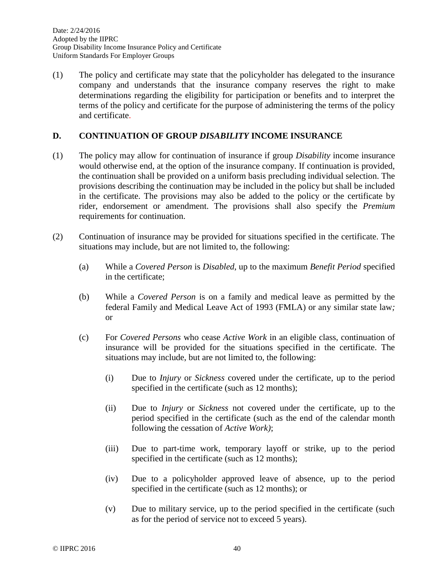(1) The policy and certificate may state that the policyholder has delegated to the insurance company and understands that the insurance company reserves the right to make determinations regarding the eligibility for participation or benefits and to interpret the terms of the policy and certificate for the purpose of administering the terms of the policy and certificate.

### **D. CONTINUATION OF GROUP** *DISABILITY* **INCOME INSURANCE**

- (1) The policy may allow for continuation of insurance if group *Disability* income insurance would otherwise end, at the option of the insurance company. If continuation is provided, the continuation shall be provided on a uniform basis precluding individual selection. The provisions describing the continuation may be included in the policy but shall be included in the certificate. The provisions may also be added to the policy or the certificate by rider, endorsement or amendment. The provisions shall also specify the *Premium* requirements for continuation.
- (2) Continuation of insurance may be provided for situations specified in the certificate. The situations may include, but are not limited to, the following:
	- (a) While a *Covered Person* is *Disabled*, up to the maximum *Benefit Period* specified in the certificate;
	- (b) While a *Covered Person* is on a family and medical leave as permitted by the federal Family and Medical Leave Act of 1993 (FMLA) or any similar state law*;* or
	- (c) For *Covered Persons* who cease *Active Work* in an eligible class, continuation of insurance will be provided for the situations specified in the certificate. The situations may include, but are not limited to, the following:
		- (i) Due to *Injury* or *Sickness* covered under the certificate, up to the period specified in the certificate (such as 12 months);
		- (ii) Due to *Injury* or *Sickness* not covered under the certificate, up to the period specified in the certificate (such as the end of the calendar month following the cessation of *Active Work)*;
		- (iii) Due to part-time work, temporary layoff or strike, up to the period specified in the certificate (such as 12 months);
		- (iv) Due to a policyholder approved leave of absence, up to the period specified in the certificate (such as 12 months); or
		- (v) Due to military service, up to the period specified in the certificate (such as for the period of service not to exceed 5 years).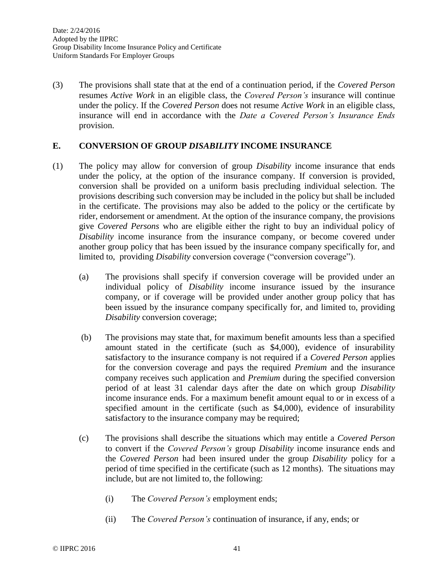(3) The provisions shall state that at the end of a continuation period, if the *Covered Person*  resumes *Active Work* in an eligible class, the *Covered Person's* insurance will continue under the policy. If the *Covered Person* does not resume *Active Work* in an eligible class, insurance will end in accordance with the *Date a Covered Person's Insurance Ends* provision.

#### **E. CONVERSION OF GROUP** *DISABILITY* **INCOME INSURANCE**

- (1) The policy may allow for conversion of group *Disability* income insurance that ends under the policy, at the option of the insurance company. If conversion is provided, conversion shall be provided on a uniform basis precluding individual selection. The provisions describing such conversion may be included in the policy but shall be included in the certificate. The provisions may also be added to the policy or the certificate by rider, endorsement or amendment. At the option of the insurance company, the provisions give *Covered Persons* who are eligible either the right to buy an individual policy of *Disability* income insurance from the insurance company, or become covered under another group policy that has been issued by the insurance company specifically for, and limited to, providing *Disability* conversion coverage ("conversion coverage").
	- (a) The provisions shall specify if conversion coverage will be provided under an individual policy of *Disability* income insurance issued by the insurance company, or if coverage will be provided under another group policy that has been issued by the insurance company specifically for, and limited to, providing *Disability* conversion coverage;
	- (b) The provisions may state that, for maximum benefit amounts less than a specified amount stated in the certificate (such as \$4,000), evidence of insurability satisfactory to the insurance company is not required if a *Covered Person* applies for the conversion coverage and pays the required *Premium* and the insurance company receives such application and *Premium* during the specified conversion period of at least 31 calendar days after the date on which group *Disability* income insurance ends. For a maximum benefit amount equal to or in excess of a specified amount in the certificate (such as \$4,000), evidence of insurability satisfactory to the insurance company may be required;
	- (c) The provisions shall describe the situations which may entitle a *Covered Person* to convert if the *Covered Person's* group *Disability* income insurance ends and the *Covered Person* had been insured under the group *Disability* policy for a period of time specified in the certificate (such as 12 months). The situations may include, but are not limited to, the following:
		- (i) The *Covered Person's* employment ends;
		- (ii) The *Covered Person's* continuation of insurance, if any, ends; or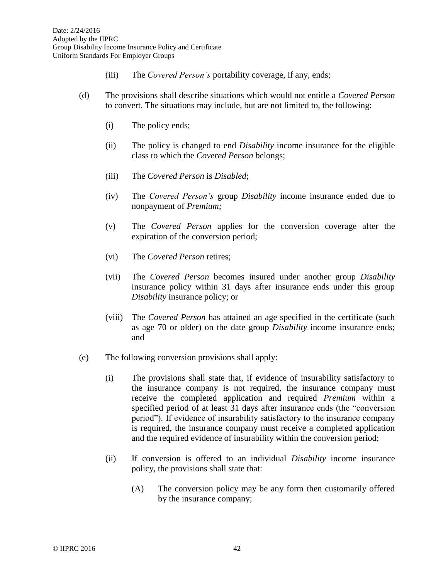- (iii) The *Covered Person's* portability coverage, if any, ends;
- (d) The provisions shall describe situations which would not entitle a *Covered Person* to convert. The situations may include, but are not limited to, the following:
	- (i) The policy ends;
	- (ii) The policy is changed to end *Disability* income insurance for the eligible class to which the *Covered Person* belongs;
	- (iii) The *Covered Person* is *Disabled*;
	- (iv) The *Covered Person's* group *Disability* income insurance ended due to nonpayment of *Premium;*
	- (v) The *Covered Person* applies for the conversion coverage after the expiration of the conversion period;
	- (vi) The *Covered Person* retires;
	- (vii) The *Covered Person* becomes insured under another group *Disability* insurance policy within 31 days after insurance ends under this group *Disability* insurance policy; or
	- (viii) The *Covered Person* has attained an age specified in the certificate (such as age 70 or older) on the date group *Disability* income insurance ends; and
- (e) The following conversion provisions shall apply:
	- (i) The provisions shall state that, if evidence of insurability satisfactory to the insurance company is not required, the insurance company must receive the completed application and required *Premium* within a specified period of at least 31 days after insurance ends (the "conversion period"). If evidence of insurability satisfactory to the insurance company is required, the insurance company must receive a completed application and the required evidence of insurability within the conversion period;
	- (ii) If conversion is offered to an individual *Disability* income insurance policy, the provisions shall state that:
		- (A) The conversion policy may be any form then customarily offered by the insurance company;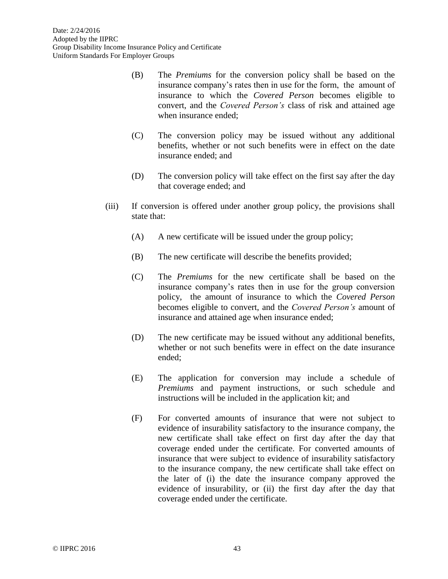- (B) The *Premiums* for the conversion policy shall be based on the insurance company's rates then in use for the form, the amount of insurance to which the *Covered Person* becomes eligible to convert, and the *Covered Person's* class of risk and attained age when insurance ended;
- (C) The conversion policy may be issued without any additional benefits, whether or not such benefits were in effect on the date insurance ended; and
- (D) The conversion policy will take effect on the first say after the day that coverage ended; and
- (iii) If conversion is offered under another group policy, the provisions shall state that:
	- (A) A new certificate will be issued under the group policy;
	- (B) The new certificate will describe the benefits provided;
	- (C) The *Premiums* for the new certificate shall be based on the insurance company's rates then in use for the group conversion policy, the amount of insurance to which the *Covered Person* becomes eligible to convert, and the *Covered Person's* amount of insurance and attained age when insurance ended;
	- (D) The new certificate may be issued without any additional benefits, whether or not such benefits were in effect on the date insurance ended;
	- (E) The application for conversion may include a schedule of *Premiums* and payment instructions, or such schedule and instructions will be included in the application kit; and
	- (F) For converted amounts of insurance that were not subject to evidence of insurability satisfactory to the insurance company, the new certificate shall take effect on first day after the day that coverage ended under the certificate. For converted amounts of insurance that were subject to evidence of insurability satisfactory to the insurance company, the new certificate shall take effect on the later of (i) the date the insurance company approved the evidence of insurability, or (ii) the first day after the day that coverage ended under the certificate.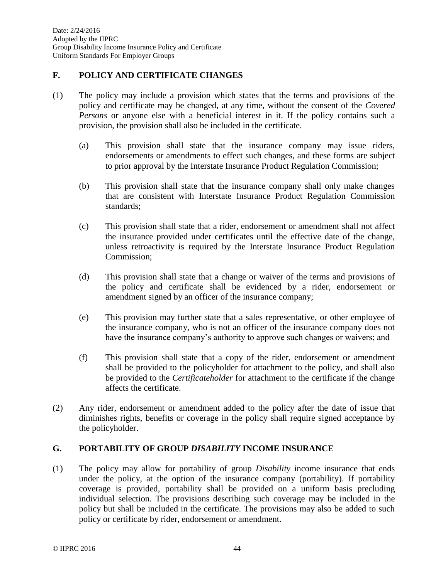Date: 2/24/2016 Adopted by the IIPRC Group Disability Income Insurance Policy and Certificate Uniform Standards For Employer Groups

### **F. POLICY AND CERTIFICATE CHANGES**

- (1) The policy may include a provision which states that the terms and provisions of the policy and certificate may be changed, at any time, without the consent of the *Covered Persons* or anyone else with a beneficial interest in it. If the policy contains such a provision, the provision shall also be included in the certificate.
	- (a) This provision shall state that the insurance company may issue riders, endorsements or amendments to effect such changes, and these forms are subject to prior approval by the Interstate Insurance Product Regulation Commission;
	- (b) This provision shall state that the insurance company shall only make changes that are consistent with Interstate Insurance Product Regulation Commission standards;
	- (c) This provision shall state that a rider, endorsement or amendment shall not affect the insurance provided under certificates until the effective date of the change, unless retroactivity is required by the Interstate Insurance Product Regulation Commission;
	- (d) This provision shall state that a change or waiver of the terms and provisions of the policy and certificate shall be evidenced by a rider, endorsement or amendment signed by an officer of the insurance company;
	- (e) This provision may further state that a sales representative, or other employee of the insurance company, who is not an officer of the insurance company does not have the insurance company's authority to approve such changes or waivers; and
	- (f) This provision shall state that a copy of the rider, endorsement or amendment shall be provided to the policyholder for attachment to the policy, and shall also be provided to the *Certificateholder* for attachment to the certificate if the change affects the certificate.
- (2) Any rider, endorsement or amendment added to the policy after the date of issue that diminishes rights, benefits or coverage in the policy shall require signed acceptance by the policyholder.

# **G. PORTABILITY OF GROUP** *DISABILITY* **INCOME INSURANCE**

(1) The policy may allow for portability of group *Disability* income insurance that ends under the policy, at the option of the insurance company (portability). If portability coverage is provided, portability shall be provided on a uniform basis precluding individual selection. The provisions describing such coverage may be included in the policy but shall be included in the certificate. The provisions may also be added to such policy or certificate by rider, endorsement or amendment.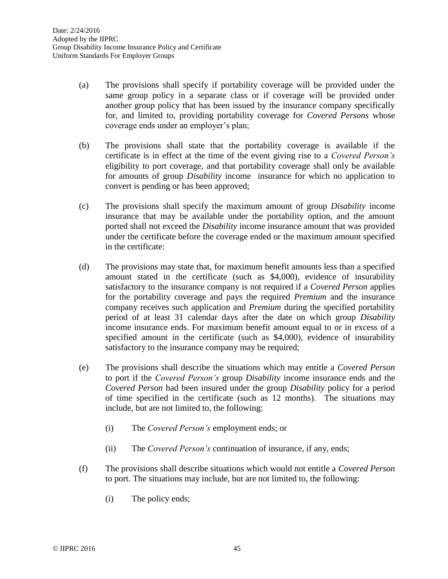- (a) The provisions shall specify if portability coverage will be provided under the same group policy in a separate class or if coverage will be provided under another group policy that has been issued by the insurance company specifically for, and limited to, providing portability coverage for *Covered Persons* whose coverage ends under an employer's plan;
- (b) The provisions shall state that the portability coverage is available if the certificate is in effect at the time of the event giving rise to a *Covered Person's*  eligibility to port coverage, and that portability coverage shall only be available for amounts of group *Disability* income insurance for which no application to convert is pending or has been approved;
- (c) The provisions shall specify the maximum amount of group *Disability* income insurance that may be available under the portability option, and the amount ported shall not exceed the *Disability* income insurance amount that was provided under the certificate before the coverage ended or the maximum amount specified in the certificate:
- (d) The provisions may state that, for maximum benefit amounts less than a specified amount stated in the certificate (such as \$4,000), evidence of insurability satisfactory to the insurance company is not required if a *Covered Person* applies for the portability coverage and pays the required *Premium* and the insurance company receives such application and *Premium* during the specified portability period of at least 31 calendar days after the date on which group *Disability* income insurance ends. For maximum benefit amount equal to or in excess of a specified amount in the certificate (such as \$4,000), evidence of insurability satisfactory to the insurance company may be required;
- (e) The provisions shall describe the situations which may entitle a *Covered Person* to port if the *Covered Person's* group *Disability* income insurance ends and the *Covered Person* had been insured under the group *Disability* policy for a period of time specified in the certificate (such as 12 months). The situations may include, but are not limited to, the following:
	- (i) The *Covered Person's* employment ends; or
	- (ii) The *Covered Person's* continuation of insurance, if any, ends;
- (f) The provisions shall describe situations which would not entitle a *Covered Person* to port. The situations may include, but are not limited to, the following:
	- (i) The policy ends;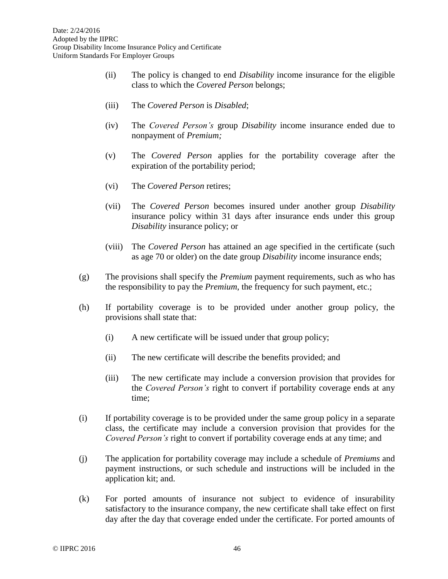- (ii) The policy is changed to end *Disability* income insurance for the eligible class to which the *Covered Person* belongs;
- (iii) The *Covered Person* is *Disabled*;
- (iv) The *Covered Person's* group *Disability* income insurance ended due to nonpayment of *Premium;*
- (v) The *Covered Person* applies for the portability coverage after the expiration of the portability period;
- (vi) The *Covered Person* retires;
- (vii) The *Covered Person* becomes insured under another group *Disability* insurance policy within 31 days after insurance ends under this group *Disability* insurance policy; or
- (viii) The *Covered Person* has attained an age specified in the certificate (such as age 70 or older) on the date group *Disability* income insurance ends;
- (g) The provisions shall specify the *Premium* payment requirements, such as who has the responsibility to pay the *Premium*, the frequency for such payment, etc.;
- (h) If portability coverage is to be provided under another group policy, the provisions shall state that:
	- (i) A new certificate will be issued under that group policy;
	- (ii) The new certificate will describe the benefits provided; and
	- (iii) The new certificate may include a conversion provision that provides for the *Covered Person's* right to convert if portability coverage ends at any time;
- (i) If portability coverage is to be provided under the same group policy in a separate class, the certificate may include a conversion provision that provides for the *Covered Person's* right to convert if portability coverage ends at any time; and
- (j) The application for portability coverage may include a schedule of *Premiums* and payment instructions, or such schedule and instructions will be included in the application kit; and.
- (k) For ported amounts of insurance not subject to evidence of insurability satisfactory to the insurance company, the new certificate shall take effect on first day after the day that coverage ended under the certificate. For ported amounts of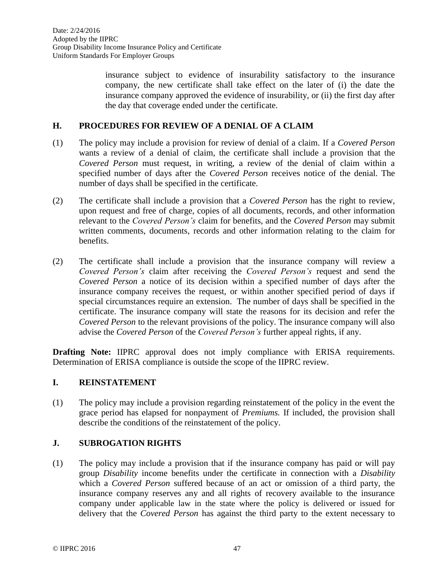insurance subject to evidence of insurability satisfactory to the insurance company, the new certificate shall take effect on the later of (i) the date the insurance company approved the evidence of insurability, or (ii) the first day after the day that coverage ended under the certificate.

### **H. PROCEDURES FOR REVIEW OF A DENIAL OF A CLAIM**

- (1) The policy may include a provision for review of denial of a claim. If a *Covered Person* wants a review of a denial of claim, the certificate shall include a provision that the *Covered Person* must request, in writing, a review of the denial of claim within a specified number of days after the *Covered Person* receives notice of the denial. The number of days shall be specified in the certificate.
- (2) The certificate shall include a provision that a *Covered Person* has the right to review, upon request and free of charge, copies of all documents, records, and other information relevant to the *Covered Person's* claim for benefits, and the *Covered Person* may submit written comments, documents, records and other information relating to the claim for benefits.
- (2) The certificate shall include a provision that the insurance company will review a *Covered Person's* claim after receiving the *Covered Person's* request and send the *Covered Person* a notice of its decision within a specified number of days after the insurance company receives the request, or within another specified period of days if special circumstances require an extension. The number of days shall be specified in the certificate. The insurance company will state the reasons for its decision and refer the *Covered Person* to the relevant provisions of the policy. The insurance company will also advise the *Covered Person* of the *Covered Person's* further appeal rights, if any.

**Drafting Note:** IIPRC approval does not imply compliance with ERISA requirements. Determination of ERISA compliance is outside the scope of the IIPRC review.

# **I. REINSTATEMENT**

(1) The policy may include a provision regarding reinstatement of the policy in the event the grace period has elapsed for nonpayment of *Premiums.* If included, the provision shall describe the conditions of the reinstatement of the policy.

### **J. SUBROGATION RIGHTS**

(1) The policy may include a provision that if the insurance company has paid or will pay group *Disability* income benefits under the certificate in connection with a *Disability* which a *Covered Person* suffered because of an act or omission of a third party, the insurance company reserves any and all rights of recovery available to the insurance company under applicable law in the state where the policy is delivered or issued for delivery that the *Covered Person* has against the third party to the extent necessary to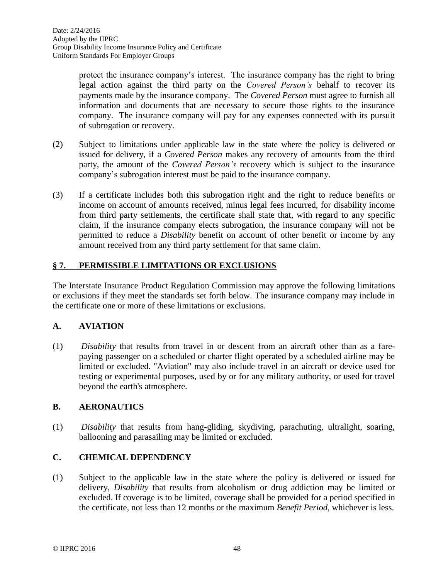protect the insurance company's interest. The insurance company has the right to bring legal action against the third party on the *Covered Person's* behalf to recover its payments made by the insurance company. The *Covered Person* must agree to furnish all information and documents that are necessary to secure those rights to the insurance company. The insurance company will pay for any expenses connected with its pursuit of subrogation or recovery.

- (2) Subject to limitations under applicable law in the state where the policy is delivered or issued for delivery, if a *Covered Person* makes any recovery of amounts from the third party, the amount of the *Covered Person's* recovery which is subject to the insurance company's subrogation interest must be paid to the insurance company.
- (3) If a certificate includes both this subrogation right and the right to reduce benefits or income on account of amounts received, minus legal fees incurred, for disability income from third party settlements, the certificate shall state that, with regard to any specific claim, if the insurance company elects subrogation, the insurance company will not be permitted to reduce a *Disability* benefit on account of other benefit or income by any amount received from any third party settlement for that same claim.

# **§ 7. PERMISSIBLE LIMITATIONS OR EXCLUSIONS**

The Interstate Insurance Product Regulation Commission may approve the following limitations or exclusions if they meet the standards set forth below. The insurance company may include in the certificate one or more of these limitations or exclusions.

# **A. AVIATION**

(1) *Disability* that results from travel in or descent from an aircraft other than as a farepaying passenger on a scheduled or charter flight operated by a scheduled airline may be limited or excluded. "Aviation" may also include travel in an aircraft or device used for testing or experimental purposes, used by or for any military authority, or used for travel beyond the earth's atmosphere.

# **B. AERONAUTICS**

(1) *Disability* that results from hang-gliding, skydiving, parachuting, ultralight, soaring, ballooning and parasailing may be limited or excluded.

# **C. CHEMICAL DEPENDENCY**

(1) Subject to the applicable law in the state where the policy is delivered or issued for delivery, *Disability* that results from alcoholism or drug addiction may be limited or excluded. If coverage is to be limited, coverage shall be provided for a period specified in the certificate, not less than 12 months or the maximum *Benefit Period,* whichever is less.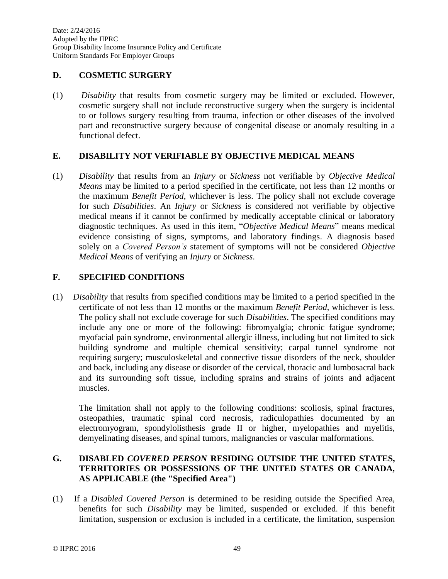Date: 2/24/2016 Adopted by the IIPRC Group Disability Income Insurance Policy and Certificate Uniform Standards For Employer Groups

### **D. COSMETIC SURGERY**

(1) *Disability* that results from cosmetic surgery may be limited or excluded. However, cosmetic surgery shall not include reconstructive surgery when the surgery is incidental to or follows surgery resulting from trauma, infection or other diseases of the involved part and reconstructive surgery because of congenital disease or anomaly resulting in a functional defect.

## **E. DISABILITY NOT VERIFIABLE BY OBJECTIVE MEDICAL MEANS**

(1) *Disability* that results from an *Injury* or *Sickness* not verifiable by *Objective Medical Means* may be limited to a period specified in the certificate, not less than 12 months or the maximum *Benefit Period*, whichever is less. The policy shall not exclude coverage for such *Disabilities*. An *Injury* or *Sickness* is considered not verifiable by objective medical means if it cannot be confirmed by medically acceptable clinical or laboratory diagnostic techniques. As used in this item, "*Objective Medical Means*" means medical evidence consisting of signs, symptoms, and laboratory findings. A diagnosis based solely on a *Covered Person's* statement of symptoms will not be considered *Objective Medical Means* of verifying an *Injury* or *Sickness*.

# **F. SPECIFIED CONDITIONS**

(1) *Disability* that results from specified conditions may be limited to a period specified in the certificate of not less than 12 months or the maximum *Benefit Period*, whichever is less. The policy shall not exclude coverage for such *Disabilities*. The specified conditions may include any one or more of the following: fibromyalgia; chronic fatigue syndrome; myofacial pain syndrome, environmental allergic illness, including but not limited to sick building syndrome and multiple chemical sensitivity; carpal tunnel syndrome not requiring surgery; musculoskeletal and connective tissue disorders of the neck, shoulder and back, including any disease or disorder of the cervical, thoracic and lumbosacral back and its surrounding soft tissue, including sprains and strains of joints and adjacent muscles.

The limitation shall not apply to the following conditions: scoliosis, spinal fractures, osteopathies, traumatic spinal cord necrosis, radiculopathies documented by an electromyogram, spondylolisthesis grade II or higher, myelopathies and myelitis, demyelinating diseases, and spinal tumors, malignancies or vascular malformations.

# **G. DISABLED** *COVERED PERSON* **RESIDING OUTSIDE THE UNITED STATES, TERRITORIES OR POSSESSIONS OF THE UNITED STATES OR CANADA, AS APPLICABLE (the "Specified Area")**

(1) If a *Disabled Covered Person* is determined to be residing outside the Specified Area, benefits for such *Disability* may be limited, suspended or excluded. If this benefit limitation, suspension or exclusion is included in a certificate, the limitation, suspension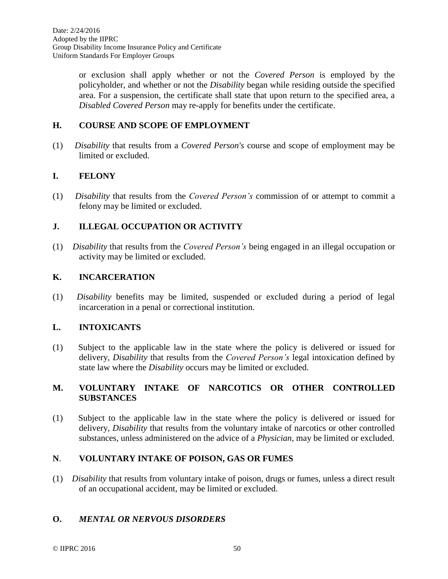or exclusion shall apply whether or not the *Covered Person* is employed by the policyholder, and whether or not the *Disability* began while residing outside the specified area. For a suspension, the certificate shall state that upon return to the specified area, a *Disabled Covered Person* may re-apply for benefits under the certificate.

## **H. COURSE AND SCOPE OF EMPLOYMENT**

(1) *Disability* that results from a *Covered Person's* course and scope of employment may be limited or excluded.

### **I. FELONY**

(1) *Disability* that results from the *Covered Person's* commission of or attempt to commit a felony may be limited or excluded.

## **J. ILLEGAL OCCUPATION OR ACTIVITY**

(1) *Disability* that results from the *Covered Person's* being engaged in an illegal occupation or activity may be limited or excluded.

### **K. INCARCERATION**

(1) *Disability* benefits may be limited, suspended or excluded during a period of legal incarceration in a penal or correctional institution.

### **L. INTOXICANTS**

(1) Subject to the applicable law in the state where the policy is delivered or issued for delivery, *Disability* that results from the *Covered Person's* legal intoxication defined by state law where the *Disability* occurs may be limited or excluded.

## **M. VOLUNTARY INTAKE OF NARCOTICS OR OTHER CONTROLLED SUBSTANCES**

(1) Subject to the applicable law in the state where the policy is delivered or issued for delivery, *Disability* that results from the voluntary intake of narcotics or other controlled substances, unless administered on the advice of a *Physician*, may be limited or excluded.

## **N**. **VOLUNTARY INTAKE OF POISON, GAS OR FUMES**

(1) *Disability* that results from voluntary intake of poison, drugs or fumes, unless a direct result of an occupational accident, may be limited or excluded.

# **O.** *MENTAL OR NERVOUS DISORDERS*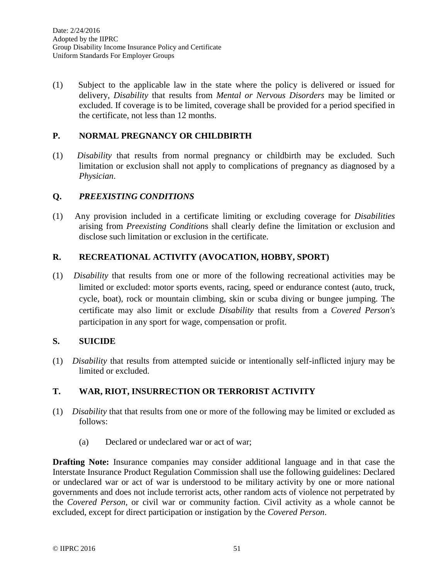(1) Subject to the applicable law in the state where the policy is delivered or issued for delivery, *Disability* that results from *Mental or Nervous Disorders* may be limited or excluded. If coverage is to be limited, coverage shall be provided for a period specified in the certificate, not less than 12 months.

### **P. NORMAL PREGNANCY OR CHILDBIRTH**

(1) *Disability* that results from normal pregnancy or childbirth may be excluded. Such limitation or exclusion shall not apply to complications of pregnancy as diagnosed by a *Physician*.

## **Q.** *PREEXISTING CONDITIONS*

(1)Any provision included in a certificate limiting or excluding coverage for *Disabilities* arising from *Preexisting Condition*s shall clearly define the limitation or exclusion and disclose such limitation or exclusion in the certificate.

## **R. RECREATIONAL ACTIVITY (AVOCATION, HOBBY, SPORT)**

(1) *Disability* that results from one or more of the following recreational activities may be limited or excluded: motor sports events, racing, speed or endurance contest (auto, truck, cycle, boat), rock or mountain climbing, skin or scuba diving or bungee jumping. The certificate may also limit or exclude *Disability* that results from a *Covered Person's* participation in any sport for wage, compensation or profit.

### **S. SUICIDE**

(1) *Disability* that results from attempted suicide or intentionally self-inflicted injury may be limited or excluded.

### **T. WAR, RIOT, INSURRECTION OR TERRORIST ACTIVITY**

- (1) *Disability* that that results from one or more of the following may be limited or excluded as follows:
	- (a) Declared or undeclared war or act of war;

**Drafting Note:** Insurance companies may consider additional language and in that case the Interstate Insurance Product Regulation Commission shall use the following guidelines: Declared or undeclared war or act of war is understood to be military activity by one or more national governments and does not include terrorist acts, other random acts of violence not perpetrated by the *Covered Person*, or civil war or community faction. Civil activity as a whole cannot be excluded, except for direct participation or instigation by the *Covered Person*.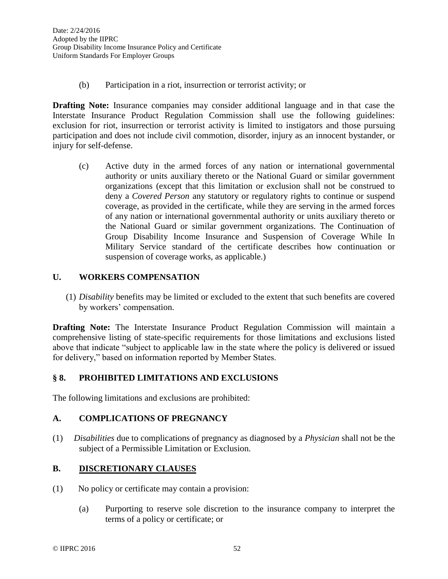(b) Participation in a riot, insurrection or terrorist activity; or

**Drafting Note:** Insurance companies may consider additional language and in that case the Interstate Insurance Product Regulation Commission shall use the following guidelines: exclusion for riot, insurrection or terrorist activity is limited to instigators and those pursuing participation and does not include civil commotion, disorder, injury as an innocent bystander, or injury for self-defense.

(c) Active duty in the armed forces of any nation or international governmental authority or units auxiliary thereto or the National Guard or similar government organizations (except that this limitation or exclusion shall not be construed to deny a *Covered Person* any statutory or regulatory rights to continue or suspend coverage, as provided in the certificate, while they are serving in the armed forces of any nation or international governmental authority or units auxiliary thereto or the National Guard or similar government organizations. The Continuation of Group Disability Income Insurance and Suspension of Coverage While In Military Service standard of the certificate describes how continuation or suspension of coverage works, as applicable.)

## **U. WORKERS COMPENSATION**

(1) *Disability* benefits may be limited or excluded to the extent that such benefits are covered by workers' compensation.

**Drafting Note:** The Interstate Insurance Product Regulation Commission will maintain a comprehensive listing of state-specific requirements for those limitations and exclusions listed above that indicate "subject to applicable law in the state where the policy is delivered or issued for delivery," based on information reported by Member States.

### **§ 8. PROHIBITED LIMITATIONS AND EXCLUSIONS**

The following limitations and exclusions are prohibited:

### **A. COMPLICATIONS OF PREGNANCY**

(1) *Disabilities* due to complications of pregnancy as diagnosed by a *Physician* shall not be the subject of a Permissible Limitation or Exclusion.

# **B. DISCRETIONARY CLAUSES**

- (1) No policy or certificate may contain a provision:
	- (a) Purporting to reserve sole discretion to the insurance company to interpret the terms of a policy or certificate; or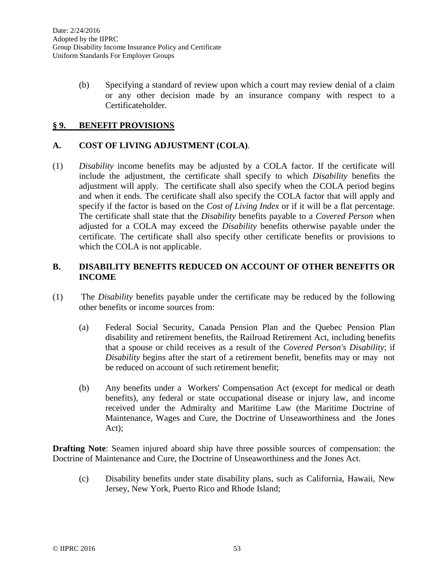(b) Specifying a standard of review upon which a court may review denial of a claim or any other decision made by an insurance company with respect to a Certificateholder.

### **§ 9. BENEFIT PROVISIONS**

### **A. COST OF LIVING ADJUSTMENT (COLA)**.

(1) *Disability* income benefits may be adjusted by a COLA factor. If the certificate will include the adjustment, the certificate shall specify to which *Disability* benefits the adjustment will apply. The certificate shall also specify when the COLA period begins and when it ends. The certificate shall also specify the COLA factor that will apply and specify if the factor is based on the *Cost of Living Index* or if it will be a flat percentage. The certificate shall state that the *Disability* benefits payable to a *Covered Person* when adjusted for a COLA may exceed the *Disability* benefits otherwise payable under the certificate. The certificate shall also specify other certificate benefits or provisions to which the COLA is not applicable.

### **B. DISABILITY BENEFITS REDUCED ON ACCOUNT OF OTHER BENEFITS OR INCOME**

- (1) The *Disability* benefits payable under the certificate may be reduced by the following other benefits or income sources from:
	- (a) Federal Social Security, Canada Pension Plan and the Quebec Pension Plan disability and retirement benefits, the Railroad Retirement Act, including benefits that a spouse or child receives as a result of the *Covered Person's Disability*; if *Disability* begins after the start of a retirement benefit, benefits may or may not be reduced on account of such retirement benefit;
	- (b) Any benefits under a Workers' Compensation Act (except for medical or death benefits), any federal or state occupational disease or injury law, and income received under the Admiralty and Maritime Law (the Maritime Doctrine of Maintenance, Wages and Cure, the Doctrine of Unseaworthiness and the Jones Act);

**Drafting Note**: Seamen injured aboard ship have three possible sources of compensation: the Doctrine of Maintenance and Cure, the Doctrine of Unseaworthiness and the Jones Act.

(c) Disability benefits under state disability plans, such as California, Hawaii, New Jersey, New York, Puerto Rico and Rhode Island;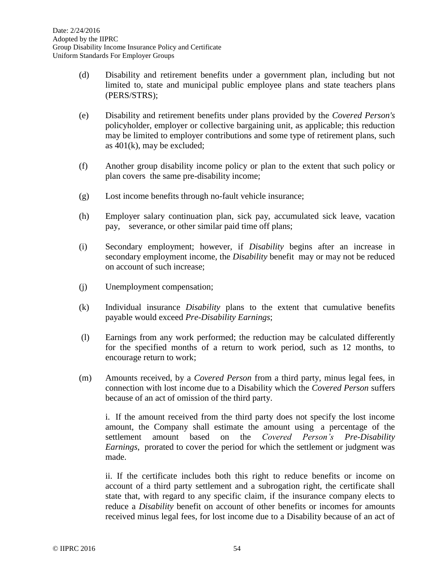- (d) Disability and retirement benefits under a government plan, including but not limited to, state and municipal public employee plans and state teachers plans (PERS/STRS);
- (e) Disability and retirement benefits under plans provided by the *Covered Person's* policyholder, employer or collective bargaining unit, as applicable; this reduction may be limited to employer contributions and some type of retirement plans, such as 401(k), may be excluded;
- (f) Another group disability income policy or plan to the extent that such policy or plan covers the same pre-disability income;
- (g) Lost income benefits through no-fault vehicle insurance;
- (h) Employer salary continuation plan, sick pay, accumulated sick leave, vacation pay, severance, or other similar paid time off plans;
- (i) Secondary employment; however, if *Disability* begins after an increase in secondary employment income, the *Disability* benefit may or may not be reduced on account of such increase;
- (j) Unemployment compensation;
- (k) Individual insurance *Disability* plans to the extent that cumulative benefits payable would exceed *Pre-Disability Earnings*;
- (l) Earnings from any work performed; the reduction may be calculated differently for the specified months of a return to work period, such as 12 months, to encourage return to work;
- (m) Amounts received, by a *Covered Person* from a third party, minus legal fees, in connection with lost income due to a Disability which the *Covered Person* suffers because of an act of omission of the third party.

i. If the amount received from the third party does not specify the lost income amount, the Company shall estimate the amount using a percentage of the settlement amount based on the *Covered Person's Pre-Disability Earnings*, prorated to cover the period for which the settlement or judgment was made.

ii. If the certificate includes both this right to reduce benefits or income on account of a third party settlement and a subrogation right, the certificate shall state that, with regard to any specific claim, if the insurance company elects to reduce a *Disability* benefit on account of other benefits or incomes for amounts received minus legal fees, for lost income due to a Disability because of an act of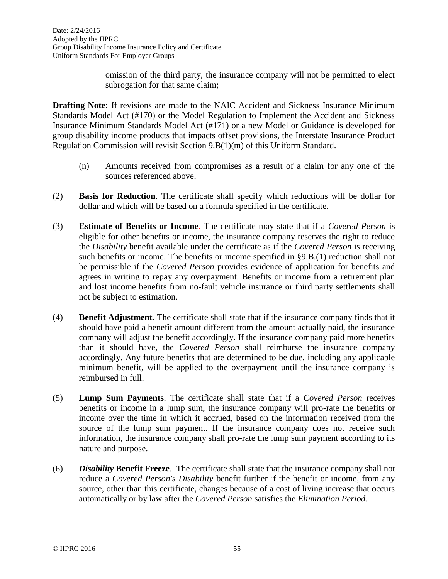omission of the third party, the insurance company will not be permitted to elect subrogation for that same claim;

**Drafting Note:** If revisions are made to the NAIC Accident and Sickness Insurance Minimum Standards Model Act (#170) or the Model Regulation to Implement the Accident and Sickness Insurance Minimum Standards Model Act (#171) or a new Model or Guidance is developed for group disability income products that impacts offset provisions, the Interstate Insurance Product Regulation Commission will revisit Section 9.B(1)(m) of this Uniform Standard.

- (n) Amounts received from compromises as a result of a claim for any one of the sources referenced above.
- (2) **Basis for Reduction**. The certificate shall specify which reductions will be dollar for dollar and which will be based on a formula specified in the certificate.
- (3) **Estimate of Benefits or Income**. The certificate may state that if a *Covered Person* is eligible for other benefits or income, the insurance company reserves the right to reduce the *Disability* benefit available under the certificate as if the *Covered Person* is receiving such benefits or income. The benefits or income specified in §9.B.(1) reduction shall not be permissible if the *Covered Person* provides evidence of application for benefits and agrees in writing to repay any overpayment. Benefits or income from a retirement plan and lost income benefits from no-fault vehicle insurance or third party settlements shall not be subject to estimation.
- (4) **Benefit Adjustment**. The certificate shall state that if the insurance company finds that it should have paid a benefit amount different from the amount actually paid, the insurance company will adjust the benefit accordingly. If the insurance company paid more benefits than it should have, the *Covered Person* shall reimburse the insurance company accordingly. Any future benefits that are determined to be due, including any applicable minimum benefit, will be applied to the overpayment until the insurance company is reimbursed in full.
- (5) **Lump Sum Payments**. The certificate shall state that if a *Covered Person* receives benefits or income in a lump sum, the insurance company will pro-rate the benefits or income over the time in which it accrued, based on the information received from the source of the lump sum payment. If the insurance company does not receive such information, the insurance company shall pro-rate the lump sum payment according to its nature and purpose.
- (6) *Disability* **Benefit Freeze**. The certificate shall state that the insurance company shall not reduce a *Covered Person's Disability* benefit further if the benefit or income, from any source, other than this certificate, changes because of a cost of living increase that occurs automatically or by law after the *Covered Person* satisfies the *Elimination Period*.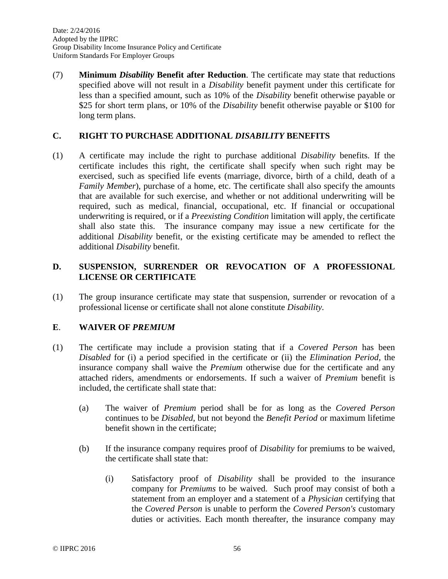Date: 2/24/2016 Adopted by the IIPRC Group Disability Income Insurance Policy and Certificate Uniform Standards For Employer Groups

(7) **Minimum** *Disability* **Benefit after Reduction**. The certificate may state that reductions specified above will not result in a *Disability* benefit payment under this certificate for less than a specified amount, such as 10% of the *Disability* benefit otherwise payable or \$25 for short term plans, or 10% of the *Disability* benefit otherwise payable or \$100 for long term plans.

### **C. RIGHT TO PURCHASE ADDITIONAL** *DISABILITY* **BENEFITS**

(1) A certificate may include the right to purchase additional *Disability* benefits. If the certificate includes this right, the certificate shall specify when such right may be exercised, such as specified life events (marriage, divorce, birth of a child, death of a *Family Member*), purchase of a home, etc. The certificate shall also specify the amounts that are available for such exercise, and whether or not additional underwriting will be required, such as medical, financial, occupational, etc. If financial or occupational underwriting is required, or if a *Preexisting Condition* limitation will apply, the certificate shall also state this. The insurance company may issue a new certificate for the additional *Disability* benefit, or the existing certificate may be amended to reflect the additional *Disability* benefit.

# **D. SUSPENSION, SURRENDER OR REVOCATION OF A PROFESSIONAL LICENSE OR CERTIFICATE**

(1) The group insurance certificate may state that suspension, surrender or revocation of a professional license or certificate shall not alone constitute *Disability.*

### **E**. **WAIVER OF** *PREMIUM*

- (1) The certificate may include a provision stating that if a *Covered Person* has been *Disabled* for (i) a period specified in the certificate or (ii) the *Elimination Period*, the insurance company shall waive the *Premium* otherwise due for the certificate and any attached riders, amendments or endorsements. If such a waiver of *Premium* benefit is included, the certificate shall state that:
	- (a) The waiver of *Premium* period shall be for as long as the *Covered Person* continues to be *Disabled*, but not beyond the *Benefit Period* or maximum lifetime benefit shown in the certificate;
	- (b) If the insurance company requires proof of *Disability* for premiums to be waived, the certificate shall state that:
		- (i) Satisfactory proof of *Disability* shall be provided to the insurance company for *Premiums* to be waived. Such proof may consist of both a statement from an employer and a statement of a *Physician* certifying that the *Covered Person* is unable to perform the *Covered Person's* customary duties or activities. Each month thereafter, the insurance company may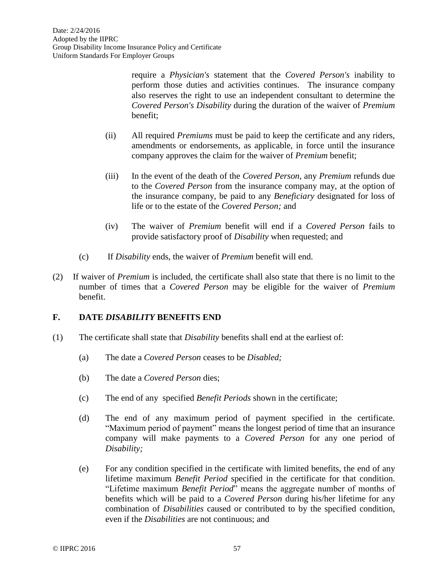require a *Physician's* statement that the *Covered Person's* inability to perform those duties and activities continues. The insurance company also reserves the right to use an independent consultant to determine the *Covered Person's Disability* during the duration of the waiver of *Premium* benefit;

- (ii) All required *Premiums* must be paid to keep the certificate and any riders, amendments or endorsements, as applicable, in force until the insurance company approves the claim for the waiver of *Premium* benefit;
- (iii) In the event of the death of the *Covered Person*, any *Premium* refunds due to the *Covered Person* from the insurance company may, at the option of the insurance company, be paid to any *Beneficiary* designated for loss of life or to the estate of the *Covered Person;* and
- (iv) The waiver of *Premium* benefit will end if a *Covered Person* fails to provide satisfactory proof of *Disability* when requested; and
- (c) If *Disability* ends, the waiver of *Premium* benefit will end.
- (2) If waiver of *Premium* is included, the certificate shall also state that there is no limit to the number of times that a *Covered Person* may be eligible for the waiver of *Premium* benefit.

# **F. DATE** *DISABILITY* **BENEFITS END**

- (1) The certificate shall state that *Disability* benefits shall end at the earliest of:
	- (a) The date a *Covered Person* ceases to be *Disabled;*
	- (b) The date a *Covered Person* dies;
	- (c) The end of any specified *Benefit Periods* shown in the certificate;
	- (d) The end of any maximum period of payment specified in the certificate. "Maximum period of payment" means the longest period of time that an insurance company will make payments to a *Covered Person* for any one period of *Disability;*
	- (e) For any condition specified in the certificate with limited benefits, the end of any lifetime maximum *Benefit Period* specified in the certificate for that condition. "Lifetime maximum *Benefit Period*" means the aggregate number of months of benefits which will be paid to a *Covered Person* during his/her lifetime for any combination of *Disabilities* caused or contributed to by the specified condition, even if the *Disabilities* are not continuous; and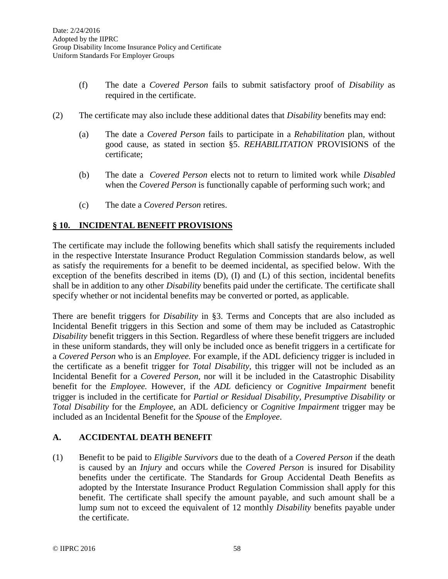- (f) The date a *Covered Person* fails to submit satisfactory proof of *Disability* as required in the certificate.
- (2) The certificate may also include these additional dates that *Disability* benefits may end:
	- (a) The date a *Covered Person* fails to participate in a *Rehabilitation* plan, without good cause, as stated in section §5. *REHABILITATION* PROVISIONS of the certificate;
	- (b) The date a *Covered Person* elects not to return to limited work while *Disabled* when the *Covered Person* is functionally capable of performing such work; and
	- (c) The date a *Covered Person* retires.

# **§ 10. INCIDENTAL BENEFIT PROVISIONS**

The certificate may include the following benefits which shall satisfy the requirements included in the respective Interstate Insurance Product Regulation Commission standards below, as well as satisfy the requirements for a benefit to be deemed incidental, as specified below. With the exception of the benefits described in items (D), (I) and (L) of this section, incidental benefits shall be in addition to any other *Disability* benefits paid under the certificate. The certificate shall specify whether or not incidental benefits may be converted or ported, as applicable.

There are benefit triggers for *Disability* in §3. Terms and Concepts that are also included as Incidental Benefit triggers in this Section and some of them may be included as Catastrophic *Disability* benefit triggers in this Section. Regardless of where these benefit triggers are included in these uniform standards, they will only be included once as benefit triggers in a certificate for a *Covered Person* who is an *Employee.* For example, if the ADL deficiency trigger is included in the certificate as a benefit trigger for *Total Disability,* this trigger will not be included as an Incidental Benefit for a *Covered Person,* nor will it be included in the Catastrophic Disability benefit for the *Employee.* However, if the *ADL* deficiency or *Cognitive Impairment* benefit trigger is included in the certificate for *Partial or Residual Disability, Presumptive Disability* or *Total Disability* for the *Employee,* an ADL deficiency or *Cognitive Impairment* trigger may be included as an Incidental Benefit for the *Spouse* of the *Employee*.

### **A. ACCIDENTAL DEATH BENEFIT**

(1) Benefit to be paid to *Eligible Survivors* due to the death of a *Covered Person* if the death is caused by an *Injury* and occurs while the *Covered Person* is insured for Disability benefits under the certificate. The Standards for Group Accidental Death Benefits as adopted by the Interstate Insurance Product Regulation Commission shall apply for this benefit. The certificate shall specify the amount payable, and such amount shall be a lump sum not to exceed the equivalent of 12 monthly *Disability* benefits payable under the certificate.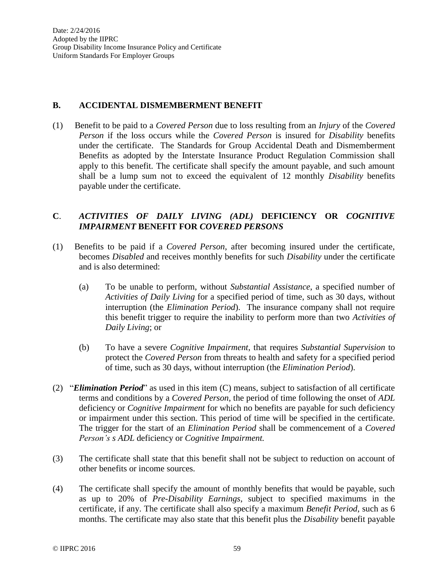#### **B. ACCIDENTAL DISMEMBERMENT BENEFIT**

(1) Benefit to be paid to a *Covered Person* due to loss resulting from an *Injury* of the *Covered Person* if the loss occurs while the *Covered Person* is insured for *Disability* benefits under the certificate. The Standards for Group Accidental Death and Dismemberment Benefits as adopted by the Interstate Insurance Product Regulation Commission shall apply to this benefit. The certificate shall specify the amount payable, and such amount shall be a lump sum not to exceed the equivalent of 12 monthly *Disability* benefits payable under the certificate.

### **C**. *ACTIVITIES OF DAILY LIVING (ADL)* **DEFICIENCY OR** *COGNITIVE IMPAIRMENT* **BENEFIT FOR** *COVERED PERSONS*

- (1) Benefits to be paid if a *Covered Person*, after becoming insured under the certificate, becomes *Disabled* and receives monthly benefits for such *Disability* under the certificate and is also determined:
	- (a) To be unable to perform, without *Substantial Assistance*, a specified number of *Activities of Daily Living* for a specified period of time, such as 30 days, without interruption (the *Elimination Period*). The insurance company shall not require this benefit trigger to require the inability to perform more than two *Activities of Daily Living*; or
	- (b) To have a severe *Cognitive Impairment*, that requires *Substantial Supervision* to protect the *Covered Person* from threats to health and safety for a specified period of time, such as 30 days, without interruption (the *Elimination Period*).
- (2) "*Elimination Period*" as used in this item (C) means, subject to satisfaction of all certificate terms and conditions by a *Covered Person*, the period of time following the onset of *ADL* deficiency or *Cognitive Impairment* for which no benefits are payable for such deficiency or impairment under this section. This period of time will be specified in the certificate. The trigger for the start of an *Elimination Period* shall be commencement of a *Covered Person's s ADL* deficiency or *Cognitive Impairment.*
- (3) The certificate shall state that this benefit shall not be subject to reduction on account of other benefits or income sources.
- (4) The certificate shall specify the amount of monthly benefits that would be payable, such as up to 20% of *Pre-Disability Earnings*, subject to specified maximums in the certificate, if any. The certificate shall also specify a maximum *Benefit Period*, such as 6 months. The certificate may also state that this benefit plus the *Disability* benefit payable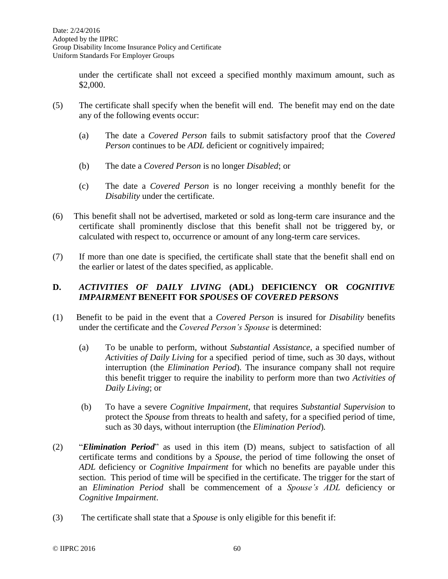under the certificate shall not exceed a specified monthly maximum amount, such as \$2,000.

- (5) The certificate shall specify when the benefit will end. The benefit may end on the date any of the following events occur:
	- (a) The date a *Covered Person* fails to submit satisfactory proof that the *Covered Person* continues to be *ADL* deficient or cognitively impaired;
	- (b) The date a *Covered Person* is no longer *Disabled*; or
	- (c) The date a *Covered Person* is no longer receiving a monthly benefit for the *Disability* under the certificate.
- (6) This benefit shall not be advertised, marketed or sold as long-term care insurance and the certificate shall prominently disclose that this benefit shall not be triggered by, or calculated with respect to, occurrence or amount of any long-term care services.
- (7) If more than one date is specified, the certificate shall state that the benefit shall end on the earlier or latest of the dates specified, as applicable.

# **D.** *ACTIVITIES OF DAILY LIVING* **(ADL) DEFICIENCY OR** *COGNITIVE IMPAIRMENT* **BENEFIT FOR** *SPOUSES* **OF** *COVERED PERSONS*

- (1) Benefit to be paid in the event that a *Covered Person* is insured for *Disability* benefits under the certificate and the *Covered Person's Spouse* is determined:
	- (a) To be unable to perform, without *Substantial Assistance*, a specified number of *Activities of Daily Living* for a specified period of time, such as 30 days, without interruption (the *Elimination Period*). The insurance company shall not require this benefit trigger to require the inability to perform more than two *Activities of Daily Living*; or
	- (b) To have a severe *Cognitive Impairment*, that requires *Substantial Supervision* to protect the *Spouse* from threats to health and safety, for a specified period of time, such as 30 days, without interruption (the *Elimination Period*)*.*
- (2) "*Elimination Period*" as used in this item (D) means, subject to satisfaction of all certificate terms and conditions by a *Spouse*, the period of time following the onset of *ADL* deficiency or *Cognitive Impairment* for which no benefits are payable under this section. This period of time will be specified in the certificate. The trigger for the start of an *Elimination Period* shall be commencement of a *Spouse's ADL* deficiency or *Cognitive Impairment*.
- (3) The certificate shall state that a *Spouse* is only eligible for this benefit if: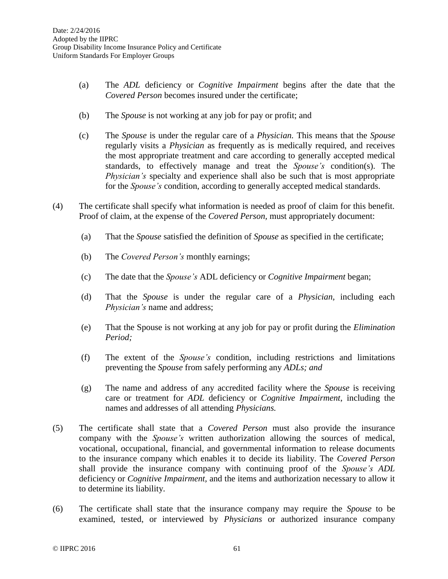- (a) The *ADL* deficiency or *Cognitive Impairment* begins after the date that the *Covered Person* becomes insured under the certificate;
- (b) The *Spouse* is not working at any job for pay or profit; and
- (c) The *Spouse* is under the regular care of a *Physician.* This means that the *Spouse* regularly visits a *Physician* as frequently as is medically required, and receives the most appropriate treatment and care according to generally accepted medical standards, to effectively manage and treat the *Spouse's* condition(s). The *Physician's* specialty and experience shall also be such that is most appropriate for the *Spouse's* condition, according to generally accepted medical standards.
- (4) The certificate shall specify what information is needed as proof of claim for this benefit. Proof of claim, at the expense of the *Covered Person,* must appropriately document:
	- (a) That the *Spouse* satisfied the definition of *Spouse* as specified in the certificate;
	- (b) The *Covered Person's* monthly earnings;
	- (c) The date that the *Spouse's* ADL deficiency or *Cognitive Impairment* began;
	- (d) That the *Spouse* is under the regular care of a *Physician,* including each *Physician's* name and address;
	- (e) That the Spouse is not working at any job for pay or profit during the *Elimination Period;*
	- (f) The extent of the *Spouse's* condition, including restrictions and limitations preventing the *Spouse* from safely performing any *ADLs; and*
	- (g) The name and address of any accredited facility where the *Spouse* is receiving care or treatment for *ADL* deficiency or *Cognitive Impairment*, including the names and addresses of all attending *Physicians.*
- (5) The certificate shall state that a *Covered Person* must also provide the insurance company with the *Spouse's* written authorization allowing the sources of medical, vocational, occupational, financial, and governmental information to release documents to the insurance company which enables it to decide its liability. The *Covered Person* shall provide the insurance company with continuing proof of the *Spouse's ADL* deficiency or *Cognitive Impairment,* and the items and authorization necessary to allow it to determine its liability.
- (6) The certificate shall state that the insurance company may require the *Spouse* to be examined, tested, or interviewed by *Physicians* or authorized insurance company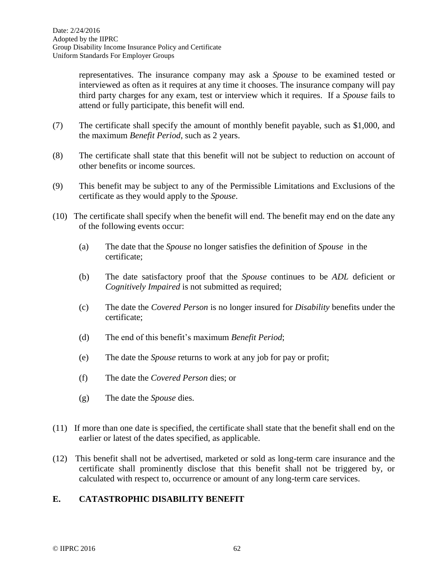representatives. The insurance company may ask a *Spouse* to be examined tested or interviewed as often as it requires at any time it chooses. The insurance company will pay third party charges for any exam, test or interview which it requires. If a *Spouse* fails to attend or fully participate, this benefit will end.

- (7) The certificate shall specify the amount of monthly benefit payable, such as \$1,000, and the maximum *Benefit Period*, such as 2 years.
- (8) The certificate shall state that this benefit will not be subject to reduction on account of other benefits or income sources.
- (9) This benefit may be subject to any of the Permissible Limitations and Exclusions of the certificate as they would apply to the *Spouse*.
- (10) The certificate shall specify when the benefit will end. The benefit may end on the date any of the following events occur:
	- (a) The date that the *Spouse* no longer satisfies the definition of *Spouse* in the certificate;
	- (b) The date satisfactory proof that the *Spouse* continues to be *ADL* deficient or *Cognitively Impaired* is not submitted as required;
	- (c) The date the *Covered Person* is no longer insured for *Disability* benefits under the certificate;
	- (d) The end of this benefit's maximum *Benefit Period*;
	- (e) The date the *Spouse* returns to work at any job for pay or profit;
	- (f) The date the *Covered Person* dies; or
	- (g) The date the *Spouse* dies.
- (11) If more than one date is specified, the certificate shall state that the benefit shall end on the earlier or latest of the dates specified, as applicable.
- (12) This benefit shall not be advertised, marketed or sold as long-term care insurance and the certificate shall prominently disclose that this benefit shall not be triggered by, or calculated with respect to, occurrence or amount of any long-term care services.

# **E. CATASTROPHIC DISABILITY BENEFIT**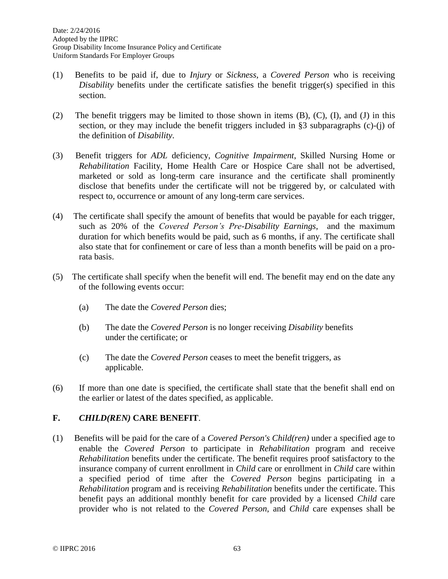- (1) Benefits to be paid if, due to *Injury* or *Sickness,* a *Covered Person* who is receiving *Disability* benefits under the certificate satisfies the benefit trigger(s) specified in this section.
- (2) The benefit triggers may be limited to those shown in items  $(B)$ ,  $(C)$ ,  $(I)$ , and  $(J)$  in this section, or they may include the benefit triggers included in §3 subparagraphs (c)-(j) of the definition of *Disability*.
- (3) Benefit triggers for *ADL* deficiency, *Cognitive Impairment*, Skilled Nursing Home or *Rehabilitation* Facility, Home Health Care or Hospice Care shall not be advertised, marketed or sold as long-term care insurance and the certificate shall prominently disclose that benefits under the certificate will not be triggered by, or calculated with respect to, occurrence or amount of any long-term care services.
- (4) The certificate shall specify the amount of benefits that would be payable for each trigger, such as 20% of the *Covered Person's Pre-Disability Earnings*, and the maximum duration for which benefits would be paid, such as 6 months, if any. The certificate shall also state that for confinement or care of less than a month benefits will be paid on a prorata basis.
- (5) The certificate shall specify when the benefit will end. The benefit may end on the date any of the following events occur:
	- (a) The date the *Covered Person* dies;
	- (b) The date the *Covered Person* is no longer receiving *Disability* benefits under the certificate; or
	- (c) The date the *Covered Person* ceases to meet the benefit triggers, as applicable.
- (6) If more than one date is specified, the certificate shall state that the benefit shall end on the earlier or latest of the dates specified, as applicable.

# **F.** *CHILD(REN)* **CARE BENEFIT**.

(1) Benefits will be paid for the care of a *Covered Person's Child(ren)* under a specified age to enable the *Covered Person* to participate in *Rehabilitation* program and receive *Rehabilitation* benefits under the certificate. The benefit requires proof satisfactory to the insurance company of current enrollment in *Child* care or enrollment in *Child* care within a specified period of time after the *Covered Person* begins participating in a *Rehabilitation* program and is receiving *Rehabilitation* benefits under the certificate. This benefit pays an additional monthly benefit for care provided by a licensed *Child* care provider who is not related to the *Covered Person*, and *Child* care expenses shall be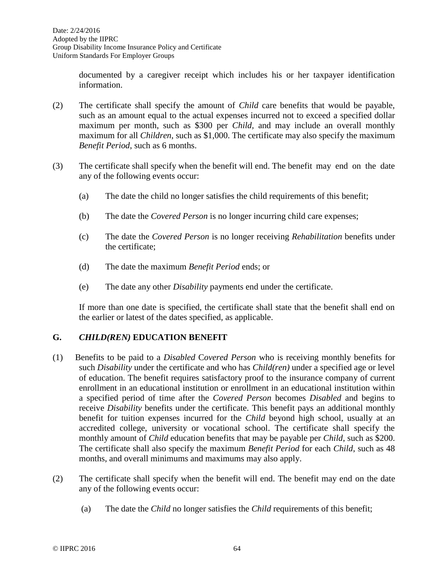documented by a caregiver receipt which includes his or her taxpayer identification information.

- (2) The certificate shall specify the amount of *Child* care benefits that would be payable, such as an amount equal to the actual expenses incurred not to exceed a specified dollar maximum per month, such as \$300 per *Child,* and may include an overall monthly maximum for all *Children*, such as \$1,000. The certificate may also specify the maximum *Benefit Period*, such as 6 months.
- (3) The certificate shall specify when the benefit will end. The benefit may end on the date any of the following events occur:
	- (a) The date the child no longer satisfies the child requirements of this benefit;
	- (b) The date the *Covered Person* is no longer incurring child care expenses;
	- (c) The date the *Covered Person* is no longer receiving *Rehabilitation* benefits under the certificate;
	- (d) The date the maximum *Benefit Period* ends; or
	- (e) The date any other *Disability* payments end under the certificate.

If more than one date is specified, the certificate shall state that the benefit shall end on the earlier or latest of the dates specified, as applicable.

# **G.** *CHILD(REN)* **EDUCATION BENEFIT**

- (1) Benefits to be paid to a *Disabled* C*overed Person* who is receiving monthly benefits for such *Disability* under the certificate and who has *Child(ren)* under a specified age or level of education. The benefit requires satisfactory proof to the insurance company of current enrollment in an educational institution or enrollment in an educational institution within a specified period of time after the *Covered Person* becomes *Disabled* and begins to receive *Disability* benefits under the certificate. This benefit pays an additional monthly benefit for tuition expenses incurred for the *Child* beyond high school, usually at an accredited college, university or vocational school. The certificate shall specify the monthly amount of *Child* education benefits that may be payable per *Child*, such as \$200. The certificate shall also specify the maximum *Benefit Period* for each *Child*, such as 48 months, and overall minimums and maximums may also apply.
- (2) The certificate shall specify when the benefit will end. The benefit may end on the date any of the following events occur:
	- (a) The date the *Child* no longer satisfies the *Child* requirements of this benefit;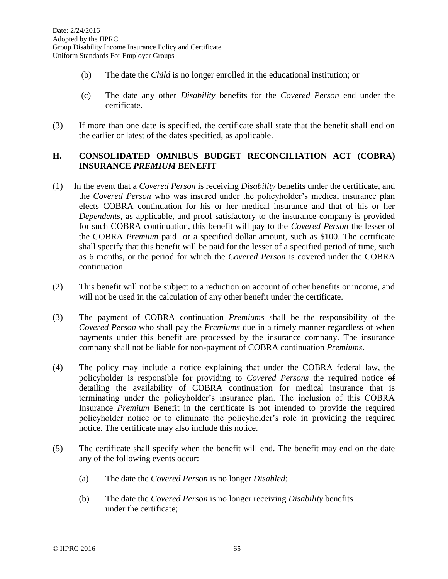- (b) The date the *Child* is no longer enrolled in the educational institution; or
- (c) The date any other *Disability* benefits for the *Covered Person* end under the certificate.
- (3) If more than one date is specified, the certificate shall state that the benefit shall end on the earlier or latest of the dates specified, as applicable.

### **H. CONSOLIDATED OMNIBUS BUDGET RECONCILIATION ACT (COBRA) INSURANCE** *PREMIUM* **BENEFIT**

- (1) In the event that a *Covered Person* is receiving *Disability* benefits under the certificate, and the *Covered Person* who was insured under the policyholder's medical insurance plan elects COBRA continuation for his or her medical insurance and that of his or her *Dependents*, as applicable, and proof satisfactory to the insurance company is provided for such COBRA continuation, this benefit will pay to the *Covered Person* the lesser of the COBRA *Premium* paid or a specified dollar amount, such as \$100. The certificate shall specify that this benefit will be paid for the lesser of a specified period of time, such as 6 months, or the period for which the *Covered Person* is covered under the COBRA continuation.
- (2) This benefit will not be subject to a reduction on account of other benefits or income, and will not be used in the calculation of any other benefit under the certificate.
- (3) The payment of COBRA continuation *Premiums* shall be the responsibility of the *Covered Person* who shall pay the *Premiums* due in a timely manner regardless of when payments under this benefit are processed by the insurance company. The insurance company shall not be liable for non-payment of COBRA continuation *Premiums*.
- (4) The policy may include a notice explaining that under the COBRA federal law, the policyholder is responsible for providing to *Covered Persons* the required notice of detailing the availability of COBRA continuation for medical insurance that is terminating under the policyholder's insurance plan. The inclusion of this COBRA Insurance *Premium* Benefit in the certificate is not intended to provide the required policyholder notice or to eliminate the policyholder's role in providing the required notice. The certificate may also include this notice.
- (5) The certificate shall specify when the benefit will end. The benefit may end on the date any of the following events occur:
	- (a) The date the *Covered Person* is no longer *Disabled*;
	- (b) The date the *Covered Person* is no longer receiving *Disability* benefits under the certificate;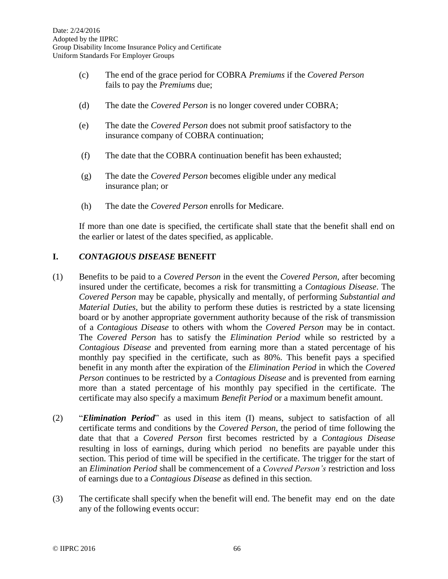- (c) The end of the grace period for COBRA *Premiums* if the *Covered Person* fails to pay the *Premiums* due;
- (d) The date the *Covered Person* is no longer covered under COBRA;
- (e) The date the *Covered Person* does not submit proof satisfactory to the insurance company of COBRA continuation;
- (f) The date that the COBRA continuation benefit has been exhausted;
- (g) The date the *Covered Person* becomes eligible under any medical insurance plan; or
- (h) The date the *Covered Person* enrolls for Medicare.

If more than one date is specified, the certificate shall state that the benefit shall end on the earlier or latest of the dates specified, as applicable.

# **I.** *CONTAGIOUS DISEASE* **BENEFIT**

- (1) Benefits to be paid to a *Covered Person* in the event the *Covered Person,* after becoming insured under the certificate, becomes a risk for transmitting a *Contagious Disease*. The *Covered Person* may be capable, physically and mentally, of performing *Substantial and Material Duties,* but the ability to perform these duties is restricted by a state licensing board or by another appropriate government authority because of the risk of transmission of a *Contagious Disease* to others with whom the *Covered Person* may be in contact. The *Covered Person* has to satisfy the *Elimination Period* while so restricted by a *Contagious Disease* and prevented from earning more than a stated percentage of his monthly pay specified in the certificate, such as 80%. This benefit pays a specified benefit in any month after the expiration of the *Elimination Period* in which the *Covered Person* continues to be restricted by a *Contagious Disease* and is prevented from earning more than a stated percentage of his monthly pay specified in the certificate. The certificate may also specify a maximum *Benefit Period* or a maximum benefit amount.
- (2) "*Elimination Period*" as used in this item (I) means, subject to satisfaction of all certificate terms and conditions by the *Covered Person*, the period of time following the date that that a *Covered Person* first becomes restricted by a *Contagious Disease*  resulting in loss of earnings, during which period no benefits are payable under this section. This period of time will be specified in the certificate. The trigger for the start of an *Elimination Period* shall be commencement of a *Covered Person's* restriction and loss of earnings due to a *Contagious Disease* as defined in this section.
- (3) The certificate shall specify when the benefit will end. The benefit may end on the date any of the following events occur: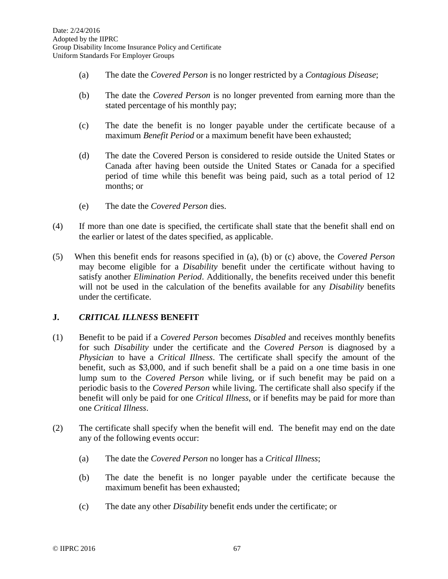- (a) The date the *Covered Person* is no longer restricted by a *Contagious Disease*;
- (b) The date the *Covered Person* is no longer prevented from earning more than the stated percentage of his monthly pay;
- (c) The date the benefit is no longer payable under the certificate because of a maximum *Benefit Period* or a maximum benefit have been exhausted;
- (d) The date the Covered Person is considered to reside outside the United States or Canada after having been outside the United States or Canada for a specified period of time while this benefit was being paid, such as a total period of 12 months; or
- (e) The date the *Covered Person* dies.
- (4) If more than one date is specified, the certificate shall state that the benefit shall end on the earlier or latest of the dates specified, as applicable.
- (5) When this benefit ends for reasons specified in (a), (b) or (c) above, the *Covered Person* may become eligible for a *Disability* benefit under the certificate without having to satisfy another *Elimination Period*. Additionally, the benefits received under this benefit will not be used in the calculation of the benefits available for any *Disability* benefits under the certificate.

### **J.** *CRITICAL ILLNESS* **BENEFIT**

- (1) Benefit to be paid if a *Covered Person* becomes *Disabled* and receives monthly benefits for such *Disability* under the certificate and the *Covered Person* is diagnosed by a *Physician* to have a *Critical Illness*. The certificate shall specify the amount of the benefit, such as \$3,000, and if such benefit shall be a paid on a one time basis in one lump sum to the *Covered Person* while living, or if such benefit may be paid on a periodic basis to the *Covered Person* while living. The certificate shall also specify if the benefit will only be paid for one *Critical Illness*, or if benefits may be paid for more than one *Critical Illness*.
- (2) The certificate shall specify when the benefit will end. The benefit may end on the date any of the following events occur:
	- (a) The date the *Covered Person* no longer has a *Critical Illness*;
	- (b) The date the benefit is no longer payable under the certificate because the maximum benefit has been exhausted;
	- (c) The date any other *Disability* benefit ends under the certificate; or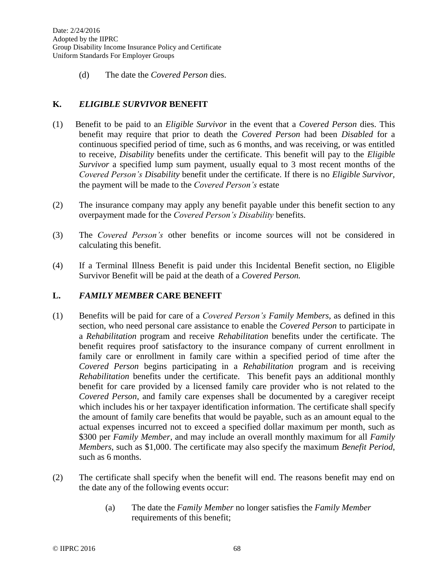(d) The date the *Covered Person* dies.

# **K.** *ELIGIBLE SURVIVOR* **BENEFIT**

- (1) Benefit to be paid to an *Eligible Survivor* in the event that a *Covered Person* dies. This benefit may require that prior to death the *Covered Person* had been *Disabled* for a continuous specified period of time, such as 6 months, and was receiving, or was entitled to receive, *Disability* benefits under the certificate. This benefit will pay to the *Eligible Survivor* a specified lump sum payment, usually equal to 3 most recent months of the *Covered Person's Disability* benefit under the certificate. If there is no *Eligible Survivor,* the payment will be made to the *Covered Person's* estate
- (2) The insurance company may apply any benefit payable under this benefit section to any overpayment made for the *Covered Person's Disability* benefits.
- (3) The *Covered Person's* other benefits or income sources will not be considered in calculating this benefit.
- (4) If a Terminal Illness Benefit is paid under this Incidental Benefit section, no Eligible Survivor Benefit will be paid at the death of a *Covered Person.*

### **L.** *FAMILY MEMBER* **CARE BENEFIT**

- (1) Benefits will be paid for care of a *Covered Person's Family Members*, as defined in this section, who need personal care assistance to enable the *Covered Person* to participate in a *Rehabilitation* program and receive *Rehabilitation* benefits under the certificate. The benefit requires proof satisfactory to the insurance company of current enrollment in family care or enrollment in family care within a specified period of time after the *Covered Person* begins participating in a *Rehabilitation* program and is receiving *Rehabilitation* benefits under the certificate. This benefit pays an additional monthly benefit for care provided by a licensed family care provider who is not related to the *Covered Person*, and family care expenses shall be documented by a caregiver receipt which includes his or her taxpayer identification information. The certificate shall specify the amount of family care benefits that would be payable, such as an amount equal to the actual expenses incurred not to exceed a specified dollar maximum per month, such as \$300 per *Family Member*, and may include an overall monthly maximum for all *Family Members*, such as \$1,000. The certificate may also specify the maximum *Benefit Period*, such as 6 months.
- (2) The certificate shall specify when the benefit will end. The reasons benefit may end on the date any of the following events occur:
	- (a) The date the *Family Member* no longer satisfies the *Family Member* requirements of this benefit;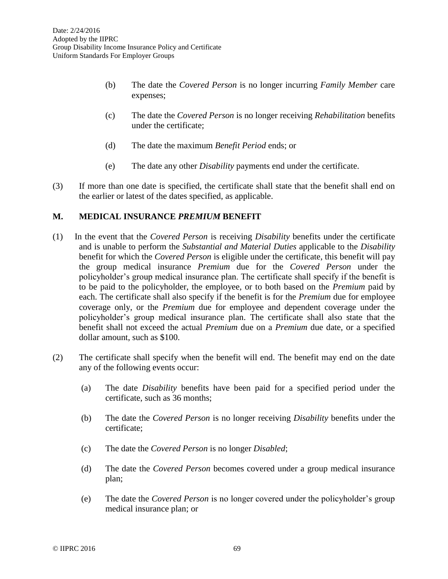- (b) The date the *Covered Person* is no longer incurring *Family Member* care expenses;
- (c) The date the *Covered Person* is no longer receiving *Rehabilitation* benefits under the certificate;
- (d) The date the maximum *Benefit Period* ends; or
- (e) The date any other *Disability* payments end under the certificate.
- (3) If more than one date is specified, the certificate shall state that the benefit shall end on the earlier or latest of the dates specified, as applicable.

#### **M. MEDICAL INSURANCE** *PREMIUM* **BENEFIT**

- (1)In the event that the *Covered Person* is receiving *Disability* benefits under the certificate and is unable to perform the *Substantial and Material Duties* applicable to the *Disability* benefit for which the *Covered Person* is eligible under the certificate, this benefit will pay the group medical insurance *Premium* due for the *Covered Person* under the policyholder's group medical insurance plan. The certificate shall specify if the benefit is to be paid to the policyholder, the employee, or to both based on the *Premium* paid by each. The certificate shall also specify if the benefit is for the *Premium* due for employee coverage only, or the *Premium* due for employee and dependent coverage under the policyholder's group medical insurance plan. The certificate shall also state that the benefit shall not exceed the actual *Premium* due on a *Premium* due date, or a specified dollar amount, such as \$100.
- (2) The certificate shall specify when the benefit will end. The benefit may end on the date any of the following events occur:
	- (a) The date *Disability* benefits have been paid for a specified period under the certificate, such as 36 months;
	- (b) The date the *Covered Person* is no longer receiving *Disability* benefits under the certificate;
	- (c) The date the *Covered Person* is no longer *Disabled*;
	- (d) The date the *Covered Person* becomes covered under a group medical insurance plan;
	- (e) The date the *Covered Person* is no longer covered under the policyholder's group medical insurance plan; or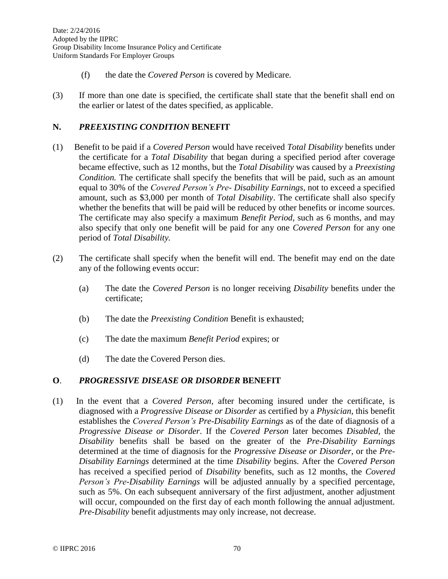- (f) the date the *Covered Person* is covered by Medicare.
- (3) If more than one date is specified, the certificate shall state that the benefit shall end on the earlier or latest of the dates specified, as applicable.

# **N.** *PREEXISTING CONDITION* **BENEFIT**

- (1) Benefit to be paid if a *Covered Person* would have received *Total Disability* benefits under the certificate for a *Total Disability* that began during a specified period after coverage became effective, such as 12 months, but the *Total Disability* was caused by a *Preexisting Condition.* The certificate shall specify the benefits that will be paid, such as an amount equal to 30% of the *Covered Person's Pre- Disability Earnings*, not to exceed a specified amount, such as \$3,000 per month of *Total Disability*. The certificate shall also specify whether the benefits that will be paid will be reduced by other benefits or income sources. The certificate may also specify a maximum *Benefit Period*, such as 6 months, and may also specify that only one benefit will be paid for any one *Covered Person* for any one period of *Total Disability.*
- (2) The certificate shall specify when the benefit will end. The benefit may end on the date any of the following events occur:
	- (a) The date the *Covered Person* is no longer receiving *Disability* benefits under the certificate;
	- (b) The date the *Preexisting Condition* Benefit is exhausted;
	- (c) The date the maximum *Benefit Period* expires; or
	- (d) The date the Covered Person dies.

### **O**. *PROGRESSIVE DISEASE OR DISORDER* **BENEFIT**

(1) In the event that a *Covered Person,* after becoming insured under the certificate, is diagnosed with a *Progressive Disease or Disorder* as certified by a *Physician,* this benefit establishes the *Covered Person's Pre-Disability Earnings* as of the date of diagnosis of a *Progressive Disease or Disorder*. If the *Covered Person* later becomes *Disabled*, the *Disability* benefits shall be based on the greater of the *Pre-Disability Earnings* determined at the time of diagnosis for the *Progressive Disease or Disorder*, or the *Pre-Disability Earnings* determined at the time *Disability* begins. After the *Covered Person* has received a specified period of *Disability* benefits, such as 12 months, the *Covered Person's Pre-Disability Earnings* will be adjusted annually by a specified percentage, such as 5%. On each subsequent anniversary of the first adjustment, another adjustment will occur, compounded on the first day of each month following the annual adjustment. *Pre*-*Disability* benefit adjustments may only increase, not decrease.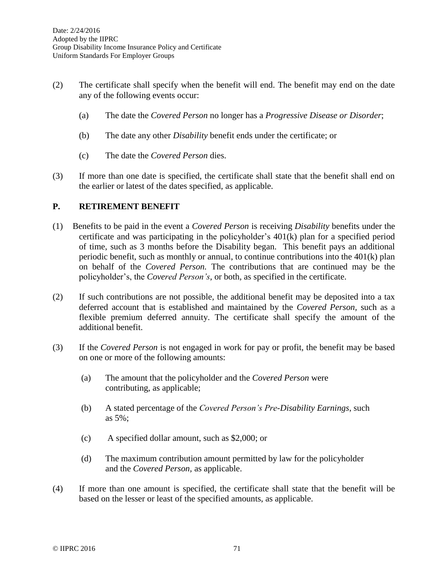- (2) The certificate shall specify when the benefit will end. The benefit may end on the date any of the following events occur:
	- (a) The date the *Covered Person* no longer has a *Progressive Disease or Disorder*;
	- (b) The date any other *Disability* benefit ends under the certificate; or
	- (c) The date the *Covered Person* dies.
- (3) If more than one date is specified, the certificate shall state that the benefit shall end on the earlier or latest of the dates specified, as applicable.

## **P. RETIREMENT BENEFIT**

- (1)Benefits to be paid in the event a *Covered Person* is receiving *Disability* benefits under the certificate and was participating in the policyholder's 401(k) plan for a specified period of time, such as 3 months before the Disability began. This benefit pays an additional periodic benefit, such as monthly or annual, to continue contributions into the 401(k) plan on behalf of the *Covered Person.* The contributions that are continued may be the policyholder's, the *Covered Person's*, or both, as specified in the certificate.
- (2) If such contributions are not possible*,* the additional benefit may be deposited into a tax deferred account that is established and maintained by the *Covered Person,* such as a flexible premium deferred annuity. The certificate shall specify the amount of the additional benefit.
- (3) If the *Covered Person* is not engaged in work for pay or profit, the benefit may be based on one or more of the following amounts:
	- (a) The amount that the policyholder and the *Covered Person* were contributing, as applicable;
	- (b) A stated percentage of the *Covered Person's Pre-Disability Earnings*, such as 5%;
	- (c) A specified dollar amount, such as \$2,000; or
	- (d) The maximum contribution amount permitted by law for the policyholder and the *Covered Person,* as applicable.
- (4) If more than one amount is specified, the certificate shall state that the benefit will be based on the lesser or least of the specified amounts, as applicable.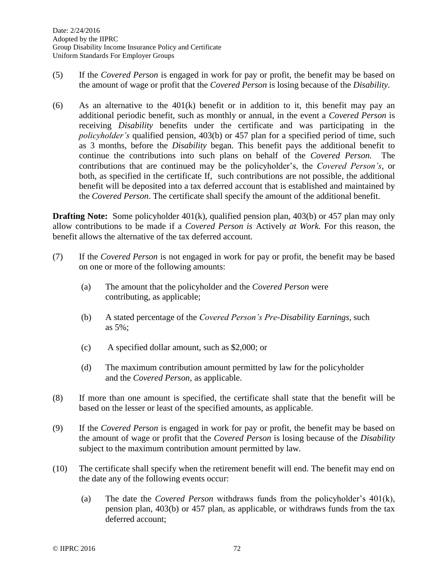- (5) If the *Covered Person* is engaged in work for pay or profit, the benefit may be based on the amount of wage or profit that the *Covered Person* is losing because of the *Disability.*
- (6) As an alternative to the 401(k) benefit or in addition to it, this benefit may pay an additional periodic benefit, such as monthly or annual, in the event a *Covered Person* is receiving *Disability* benefits under the certificate and was participating in the *policyholder's* qualified pension, 403(b) or 457 plan for a specified period of time, such as 3 months, before the *Disability* began. This benefit pays the additional benefit to continue the contributions into such plans on behalf of the *Covered Person.* The contributions that are continued may be the policyholder's, the *Covered Person's*, or both, as specified in the certificate If, such contributions are not possible*,* the additional benefit will be deposited into a tax deferred account that is established and maintained by the *Covered Person*. The certificate shall specify the amount of the additional benefit.

**Drafting Note:** Some policyholder 401(k), qualified pension plan, 403(b) or 457 plan may only allow contributions to be made if a *Covered Person is* Actively *at Work.* For this reason, the benefit allows the alternative of the tax deferred account.

- (7) If the *Covered Person* is not engaged in work for pay or profit, the benefit may be based on one or more of the following amounts:
	- (a) The amount that the policyholder and the *Covered Person* were contributing, as applicable;
	- (b) A stated percentage of the *Covered Person's Pre-Disability Earnings*, such as 5%;
	- (c) A specified dollar amount, such as \$2,000; or
	- (d) The maximum contribution amount permitted by law for the policyholder and the *Covered Person,* as applicable.
- (8) If more than one amount is specified, the certificate shall state that the benefit will be based on the lesser or least of the specified amounts, as applicable.
- (9) If the *Covered Person* is engaged in work for pay or profit, the benefit may be based on the amount of wage or profit that the *Covered Person* is losing because of the *Disability* subject to the maximum contribution amount permitted by law*.*
- (10) The certificate shall specify when the retirement benefit will end. The benefit may end on the date any of the following events occur:
	- (a) The date the *Covered Person* withdraws funds from the policyholder's 401(k), pension plan, 403(b) or 457 plan, as applicable, or withdraws funds from the tax deferred account;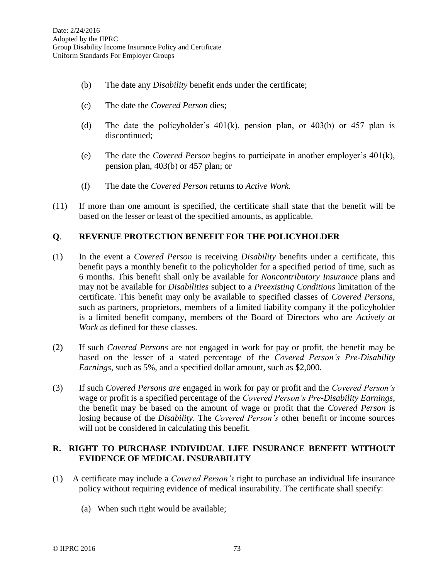- (b) The date any *Disability* benefit ends under the certificate;
- (c) The date the *Covered Person* dies;
- (d) The date the policyholder's 401(k), pension plan, or 403(b) or 457 plan is discontinued;
- (e) The date the *Covered Person* begins to participate in another employer's 401(k), pension plan, 403(b) or 457 plan; or
- (f) The date the *Covered Person* returns to *Active Work.*
- (11) If more than one amount is specified, the certificate shall state that the benefit will be based on the lesser or least of the specified amounts, as applicable.

### **Q**. **REVENUE PROTECTION BENEFIT FOR THE POLICYHOLDER**

- (1) In the event a *Covered Person* is receiving *Disability* benefits under a certificate, this benefit pays a monthly benefit to the policyholder for a specified period of time, such as 6 months. This benefit shall only be available for *Noncontributory Insurance* plans and may not be available for *Disabilities* subject to a *Preexisting Conditions* limitation of the certificate. This benefit may only be available to specified classes of *Covered Persons*, such as partners, proprietors, members of a limited liability company if the policyholder is a limited benefit company, members of the Board of Directors who are *Actively at Work* as defined for these classes.
- (2) If such *Covered Persons* are not engaged in work for pay or profit, the benefit may be based on the lesser of a stated percentage of the *Covered Person's Pre-Disability Earnings*, such as 5%, and a specified dollar amount, such as \$2,000.
- (3) If such *Covered Persons are* engaged in work for pay or profit and the *Covered Person's* wage or profit is a specified percentage of the *Covered Person's Pre-Disability Earnings*, the benefit may be based on the amount of wage or profit that the *Covered Person* is losing because of the *Disability*. The *Covered Person's* other benefit or income sources will not be considered in calculating this benefit.

## **R. RIGHT TO PURCHASE INDIVIDUAL LIFE INSURANCE BENEFIT WITHOUT EVIDENCE OF MEDICAL INSURABILITY**

- (1) A certificate may include a *Covered Person's* right to purchase an individual life insurance policy without requiring evidence of medical insurability. The certificate shall specify:
	- (a) When such right would be available;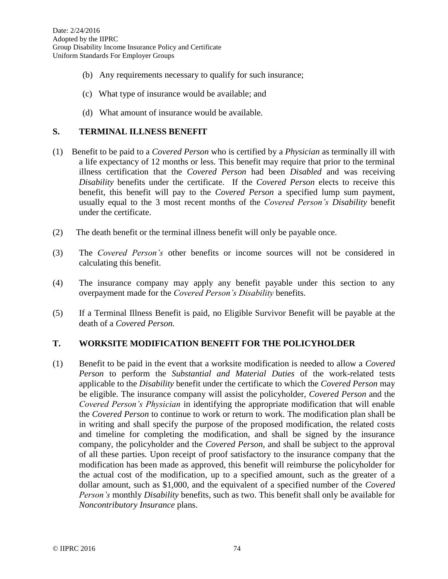- (b) Any requirements necessary to qualify for such insurance;
- (c) What type of insurance would be available; and
- (d) What amount of insurance would be available.

#### **S. TERMINAL ILLNESS BENEFIT**

- (1) Benefit to be paid to a *Covered Person* who is certified by a *Physician* as terminally ill with a life expectancy of 12 months or less. This benefit may require that prior to the terminal illness certification that the *Covered Person* had been *Disabled* and was receiving *Disability* benefits under the certificate. If the *Covered Person* elects to receive this benefit, this benefit will pay to the *Covered Person* a specified lump sum payment, usually equal to the 3 most recent months of the *Covered Person's Disability* benefit under the certificate.
- (2) The death benefit or the terminal illness benefit will only be payable once.
- (3) The *Covered Person's* other benefits or income sources will not be considered in calculating this benefit.
- (4) The insurance company may apply any benefit payable under this section to any overpayment made for the *Covered Person's Disability* benefits.
- (5) If a Terminal Illness Benefit is paid, no Eligible Survivor Benefit will be payable at the death of a *Covered Person.*

# **T. WORKSITE MODIFICATION BENEFIT FOR THE POLICYHOLDER**

(1) Benefit to be paid in the event that a worksite modification is needed to allow a *Covered Person* to perform the *Substantial and Material Duties* of the work-related tests applicable to the *Disability* benefit under the certificate to which the *Covered Person* may be eligible. The insurance company will assist the policyholder, *Covered Person* and the *Covered Person's Physician* in identifying the appropriate modification that will enable the *Covered Person* to continue to work or return to work. The modification plan shall be in writing and shall specify the purpose of the proposed modification, the related costs and timeline for completing the modification, and shall be signed by the insurance company, the policyholder and the *Covered Person,* and shall be subject to the approval of all these parties*.* Upon receipt of proof satisfactory to the insurance company that the modification has been made as approved, this benefit will reimburse the policyholder for the actual cost of the modification, up to a specified amount, such as the greater of a dollar amount, such as \$1,000, and the equivalent of a specified number of the *Covered Person's* monthly *Disability* benefits, such as two. This benefit shall only be available for *Noncontributory Insurance* plans.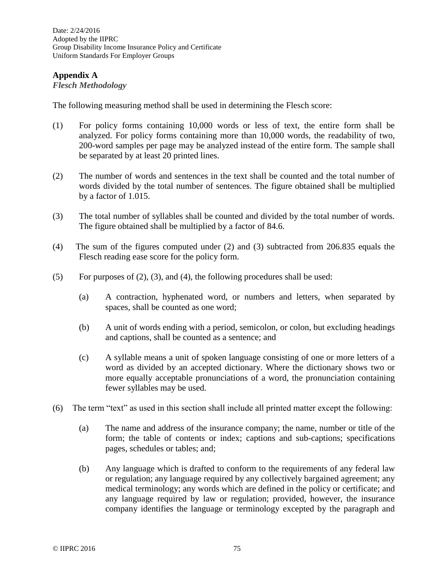Date: 2/24/2016 Adopted by the IIPRC Group Disability Income Insurance Policy and Certificate Uniform Standards For Employer Groups

## **Appendix A**

### *Flesch Methodology*

The following measuring method shall be used in determining the Flesch score:

- (1) For policy forms containing 10,000 words or less of text, the entire form shall be analyzed. For policy forms containing more than 10,000 words, the readability of two, 200-word samples per page may be analyzed instead of the entire form. The sample shall be separated by at least 20 printed lines.
- (2) The number of words and sentences in the text shall be counted and the total number of words divided by the total number of sentences. The figure obtained shall be multiplied by a factor of 1.015.
- (3) The total number of syllables shall be counted and divided by the total number of words. The figure obtained shall be multiplied by a factor of 84.6.
- (4) The sum of the figures computed under (2) and (3) subtracted from 206.835 equals the Flesch reading ease score for the policy form.
- (5) For purposes of  $(2)$ ,  $(3)$ , and  $(4)$ , the following procedures shall be used:
	- (a) A contraction, hyphenated word, or numbers and letters, when separated by spaces, shall be counted as one word;
	- (b) A unit of words ending with a period, semicolon, or colon, but excluding headings and captions, shall be counted as a sentence; and
	- (c) A syllable means a unit of spoken language consisting of one or more letters of a word as divided by an accepted dictionary. Where the dictionary shows two or more equally acceptable pronunciations of a word, the pronunciation containing fewer syllables may be used.
- (6) The term "text" as used in this section shall include all printed matter except the following:
	- (a) The name and address of the insurance company; the name, number or title of the form; the table of contents or index; captions and sub-captions; specifications pages, schedules or tables; and;
	- (b) Any language which is drafted to conform to the requirements of any federal law or regulation; any language required by any collectively bargained agreement; any medical terminology; any words which are defined in the policy or certificate; and any language required by law or regulation; provided, however, the insurance company identifies the language or terminology excepted by the paragraph and